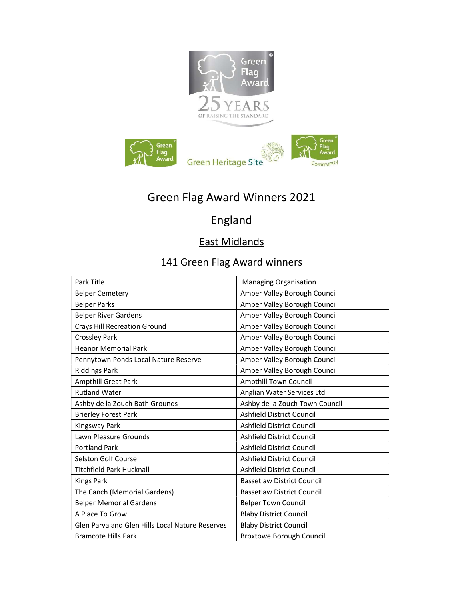

# Green Flag Award Winners 2021

# **England**

## East Midlands

| Park Title                                      | Managing Organisation             |
|-------------------------------------------------|-----------------------------------|
| <b>Belper Cemetery</b>                          | Amber Valley Borough Council      |
| <b>Belper Parks</b>                             | Amber Valley Borough Council      |
| <b>Belper River Gardens</b>                     | Amber Valley Borough Council      |
| <b>Crays Hill Recreation Ground</b>             | Amber Valley Borough Council      |
| <b>Crossley Park</b>                            | Amber Valley Borough Council      |
| <b>Heanor Memorial Park</b>                     | Amber Valley Borough Council      |
| Pennytown Ponds Local Nature Reserve            | Amber Valley Borough Council      |
| <b>Riddings Park</b>                            | Amber Valley Borough Council      |
| <b>Ampthill Great Park</b>                      | Ampthill Town Council             |
| <b>Rutland Water</b>                            | Anglian Water Services Ltd        |
| Ashby de la Zouch Bath Grounds                  | Ashby de la Zouch Town Council    |
| <b>Brierley Forest Park</b>                     | Ashfield District Council         |
| Kingsway Park                                   | Ashfield District Council         |
| Lawn Pleasure Grounds                           | Ashfield District Council         |
| <b>Portland Park</b>                            | Ashfield District Council         |
| <b>Selston Golf Course</b>                      | Ashfield District Council         |
| <b>Titchfield Park Hucknall</b>                 | Ashfield District Council         |
| <b>Kings Park</b>                               | <b>Bassetlaw District Council</b> |
| The Canch (Memorial Gardens)                    | <b>Bassetlaw District Council</b> |
| <b>Belper Memorial Gardens</b>                  | <b>Belper Town Council</b>        |
| A Place To Grow                                 | <b>Blaby District Council</b>     |
| Glen Parva and Glen Hills Local Nature Reserves | <b>Blaby District Council</b>     |
| <b>Bramcote Hills Park</b>                      | <b>Broxtowe Borough Council</b>   |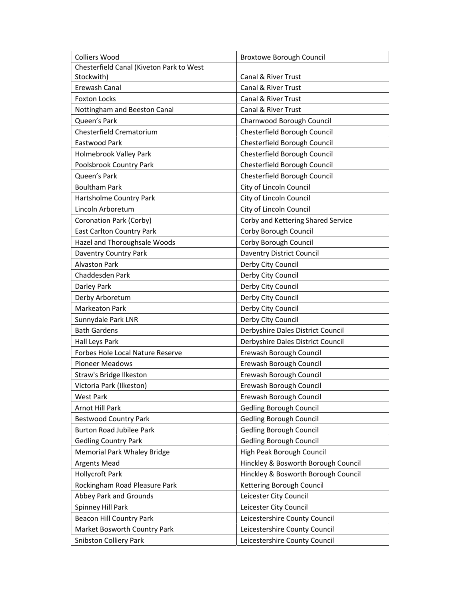| <b>Colliers Wood</b>                     | <b>Broxtowe Borough Council</b>     |
|------------------------------------------|-------------------------------------|
| Chesterfield Canal (Kiveton Park to West |                                     |
| Stockwith)                               | Canal & River Trust                 |
| Erewash Canal                            | Canal & River Trust                 |
| <b>Foxton Locks</b>                      | Canal & River Trust                 |
| Nottingham and Beeston Canal             | Canal & River Trust                 |
| Queen's Park                             | Charnwood Borough Council           |
| Chesterfield Crematorium                 | Chesterfield Borough Council        |
| Eastwood Park                            | Chesterfield Borough Council        |
| Holmebrook Valley Park                   | Chesterfield Borough Council        |
| Poolsbrook Country Park                  | Chesterfield Borough Council        |
| Queen's Park                             | Chesterfield Borough Council        |
| <b>Boultham Park</b>                     | City of Lincoln Council             |
| Hartsholme Country Park                  | City of Lincoln Council             |
| Lincoln Arboretum                        | City of Lincoln Council             |
| Coronation Park (Corby)                  | Corby and Kettering Shared Service  |
| <b>East Carlton Country Park</b>         | Corby Borough Council               |
| Hazel and Thoroughsale Woods             | Corby Borough Council               |
| Daventry Country Park                    | <b>Daventry District Council</b>    |
| <b>Alvaston Park</b>                     | Derby City Council                  |
| Chaddesden Park                          | Derby City Council                  |
| Darley Park                              | Derby City Council                  |
| Derby Arboretum                          | Derby City Council                  |
| <b>Markeaton Park</b>                    | Derby City Council                  |
| Sunnydale Park LNR                       | Derby City Council                  |
| <b>Bath Gardens</b>                      | Derbyshire Dales District Council   |
| Hall Leys Park                           | Derbyshire Dales District Council   |
| Forbes Hole Local Nature Reserve         | Erewash Borough Council             |
| <b>Pioneer Meadows</b>                   | Erewash Borough Council             |
| Straw's Bridge Ilkeston                  | Erewash Borough Council             |
| Victoria Park (Ilkeston)                 | Erewash Borough Council             |
| <b>West Park</b>                         | Erewash Borough Council             |
| Arnot Hill Park                          | <b>Gedling Borough Council</b>      |
| <b>Bestwood Country Park</b>             | <b>Gedling Borough Council</b>      |
| <b>Burton Road Jubilee Park</b>          | <b>Gedling Borough Council</b>      |
| <b>Gedling Country Park</b>              | <b>Gedling Borough Council</b>      |
| Memorial Park Whaley Bridge              | High Peak Borough Council           |
| <b>Argents Mead</b>                      | Hinckley & Bosworth Borough Council |
| <b>Hollycroft Park</b>                   | Hinckley & Bosworth Borough Council |
| Rockingham Road Pleasure Park            | Kettering Borough Council           |
| Abbey Park and Grounds                   | Leicester City Council              |
| Spinney Hill Park                        | Leicester City Council              |
| <b>Beacon Hill Country Park</b>          | Leicestershire County Council       |
| Market Bosworth Country Park             | Leicestershire County Council       |
| Snibston Colliery Park                   | Leicestershire County Council       |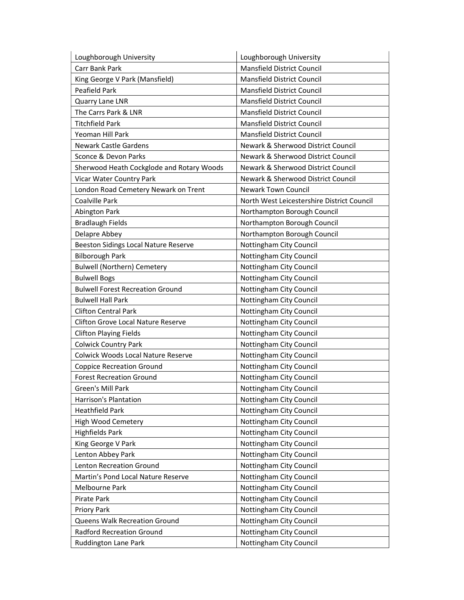| Loughborough University                   | Loughborough University                    |
|-------------------------------------------|--------------------------------------------|
| Carr Bank Park                            | <b>Mansfield District Council</b>          |
| King George V Park (Mansfield)            | Mansfield District Council                 |
| Peafield Park                             | Mansfield District Council                 |
| Quarry Lane LNR                           | <b>Mansfield District Council</b>          |
| The Carrs Park & LNR                      | Mansfield District Council                 |
| <b>Titchfield Park</b>                    | Mansfield District Council                 |
| Yeoman Hill Park                          | <b>Mansfield District Council</b>          |
| <b>Newark Castle Gardens</b>              | Newark & Sherwood District Council         |
| Sconce & Devon Parks                      | Newark & Sherwood District Council         |
| Sherwood Heath Cockglode and Rotary Woods | Newark & Sherwood District Council         |
| Vicar Water Country Park                  | Newark & Sherwood District Council         |
| London Road Cemetery Newark on Trent      | <b>Newark Town Council</b>                 |
| Coalville Park                            | North West Leicestershire District Council |
| <b>Abington Park</b>                      | Northampton Borough Council                |
| <b>Bradlaugh Fields</b>                   | Northampton Borough Council                |
| Delapre Abbey                             | Northampton Borough Council                |
| Beeston Sidings Local Nature Reserve      | Nottingham City Council                    |
| <b>Bilborough Park</b>                    | Nottingham City Council                    |
| <b>Bulwell (Northern) Cemetery</b>        | Nottingham City Council                    |
| <b>Bulwell Bogs</b>                       | Nottingham City Council                    |
| <b>Bulwell Forest Recreation Ground</b>   | Nottingham City Council                    |
| <b>Bulwell Hall Park</b>                  | Nottingham City Council                    |
| <b>Clifton Central Park</b>               | Nottingham City Council                    |
| <b>Clifton Grove Local Nature Reserve</b> | Nottingham City Council                    |
| <b>Clifton Playing Fields</b>             | Nottingham City Council                    |
| <b>Colwick Country Park</b>               | Nottingham City Council                    |
| <b>Colwick Woods Local Nature Reserve</b> | Nottingham City Council                    |
| <b>Coppice Recreation Ground</b>          | Nottingham City Council                    |
| <b>Forest Recreation Ground</b>           | Nottingham City Council                    |
| <b>Green's Mill Park</b>                  | Nottingham City Council                    |
| Harrison's Plantation                     | Nottingham City Council                    |
| <b>Heathfield Park</b>                    | Nottingham City Council                    |
| High Wood Cemetery                        | Nottingham City Council                    |
| Highfields Park                           | Nottingham City Council                    |
| King George V Park                        | Nottingham City Council                    |
| Lenton Abbey Park                         | Nottingham City Council                    |
| Lenton Recreation Ground                  | Nottingham City Council                    |
| Martin's Pond Local Nature Reserve        | Nottingham City Council                    |
| Melbourne Park                            | Nottingham City Council                    |
| Pirate Park                               | Nottingham City Council                    |
| Priory Park                               | Nottingham City Council                    |
| Queens Walk Recreation Ground             | Nottingham City Council                    |
| <b>Radford Recreation Ground</b>          | Nottingham City Council                    |
| Ruddington Lane Park                      | Nottingham City Council                    |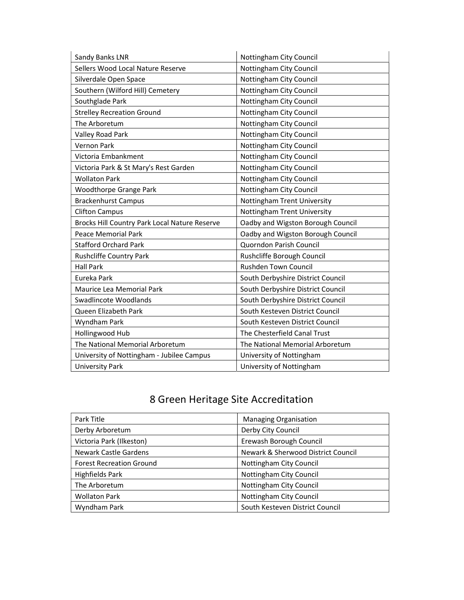| Sandy Banks LNR                               | Nottingham City Council           |
|-----------------------------------------------|-----------------------------------|
| Sellers Wood Local Nature Reserve             | Nottingham City Council           |
| Silverdale Open Space                         | Nottingham City Council           |
| Southern (Wilford Hill) Cemetery              | Nottingham City Council           |
| Southglade Park                               | Nottingham City Council           |
| <b>Strelley Recreation Ground</b>             | Nottingham City Council           |
| The Arboretum                                 | Nottingham City Council           |
| Valley Road Park                              | Nottingham City Council           |
| <b>Vernon Park</b>                            | Nottingham City Council           |
| Victoria Embankment                           | Nottingham City Council           |
| Victoria Park & St Mary's Rest Garden         | Nottingham City Council           |
| <b>Wollaton Park</b>                          | Nottingham City Council           |
| <b>Woodthorpe Grange Park</b>                 | Nottingham City Council           |
| <b>Brackenhurst Campus</b>                    | Nottingham Trent University       |
| <b>Clifton Campus</b>                         | Nottingham Trent University       |
| Brocks Hill Country Park Local Nature Reserve | Oadby and Wigston Borough Council |
| <b>Peace Memorial Park</b>                    | Oadby and Wigston Borough Council |
| <b>Stafford Orchard Park</b>                  | Quorndon Parish Council           |
| Rushcliffe Country Park                       | Rushcliffe Borough Council        |
| <b>Hall Park</b>                              | Rushden Town Council              |
| Eureka Park                                   | South Derbyshire District Council |
| Maurice Lea Memorial Park                     | South Derbyshire District Council |
| Swadlincote Woodlands                         | South Derbyshire District Council |
| Queen Elizabeth Park                          | South Kesteven District Council   |
| Wyndham Park                                  | South Kesteven District Council   |
| Hollingwood Hub                               | The Chesterfield Canal Trust      |
| The National Memorial Arboretum               | The National Memorial Arboretum   |
| University of Nottingham - Jubilee Campus     | University of Nottingham          |
| <b>University Park</b>                        | University of Nottingham          |

| Park Title                      | <b>Managing Organisation</b>       |
|---------------------------------|------------------------------------|
| Derby Arboretum                 | Derby City Council                 |
| Victoria Park (Ilkeston)        | Erewash Borough Council            |
| Newark Castle Gardens           | Newark & Sherwood District Council |
| <b>Forest Recreation Ground</b> | Nottingham City Council            |
| Highfields Park                 | Nottingham City Council            |
| The Arboretum                   | Nottingham City Council            |
| <b>Wollaton Park</b>            | Nottingham City Council            |
| Wyndham Park                    | South Kesteven District Council    |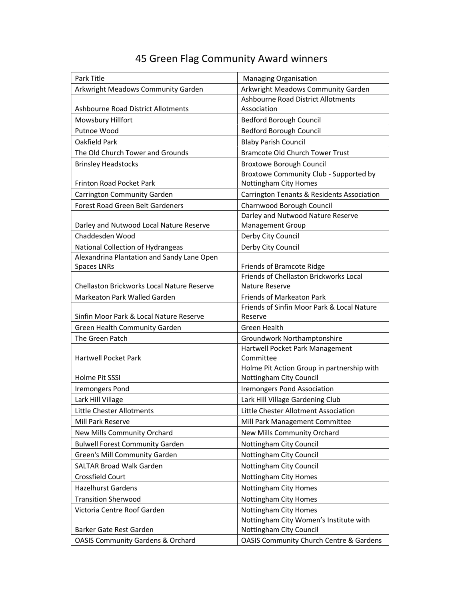| Park Title                                                | <b>Managing Organisation</b>                                        |
|-----------------------------------------------------------|---------------------------------------------------------------------|
| Arkwright Meadows Community Garden                        | Arkwright Meadows Community Garden                                  |
|                                                           | Ashbourne Road District Allotments                                  |
| Ashbourne Road District Allotments                        | Association                                                         |
| Mowsbury Hillfort                                         | <b>Bedford Borough Council</b>                                      |
| Putnoe Wood                                               | Bedford Borough Council                                             |
| Oakfield Park                                             | <b>Blaby Parish Council</b>                                         |
| The Old Church Tower and Grounds                          | <b>Bramcote Old Church Tower Trust</b>                              |
| <b>Brinsley Headstocks</b>                                | <b>Broxtowe Borough Council</b>                                     |
|                                                           | Broxtowe Community Club - Supported by                              |
| Frinton Road Pocket Park                                  | Nottingham City Homes                                               |
| Carrington Community Garden                               | <b>Carrington Tenants &amp; Residents Association</b>               |
| <b>Forest Road Green Belt Gardeners</b>                   | Charnwood Borough Council                                           |
|                                                           | Darley and Nutwood Nature Reserve                                   |
| Darley and Nutwood Local Nature Reserve                   | Management Group                                                    |
| Chaddesden Wood                                           | Derby City Council                                                  |
| National Collection of Hydrangeas                         | Derby City Council                                                  |
| Alexandrina Plantation and Sandy Lane Open<br>Spaces LNRs |                                                                     |
|                                                           | Friends of Bramcote Ridge<br>Friends of Chellaston Brickworks Local |
| Chellaston Brickworks Local Nature Reserve                | Nature Reserve                                                      |
| Markeaton Park Walled Garden                              | <b>Friends of Markeaton Park</b>                                    |
|                                                           | Friends of Sinfin Moor Park & Local Nature                          |
| Sinfin Moor Park & Local Nature Reserve                   | Reserve                                                             |
| Green Health Community Garden                             | <b>Green Health</b>                                                 |
| The Green Patch                                           | Groundwork Northamptonshire                                         |
|                                                           | Hartwell Pocket Park Management                                     |
| Hartwell Pocket Park                                      | Committee                                                           |
|                                                           | Holme Pit Action Group in partnership with                          |
| Holme Pit SSSI                                            | Nottingham City Council                                             |
| <b>Iremongers Pond</b>                                    | <b>Iremongers Pond Association</b>                                  |
| Lark Hill Village                                         | Lark Hill Village Gardening Club                                    |
| Little Chester Allotments                                 | Little Chester Allotment Association                                |
| Mill Park Reserve                                         | Mill Park Management Committee                                      |
| New Mills Community Orchard                               | New Mills Community Orchard                                         |
| <b>Bulwell Forest Community Garden</b>                    | Nottingham City Council                                             |
| Green's Mill Community Garden                             | Nottingham City Council                                             |
| <b>SALTAR Broad Walk Garden</b>                           | Nottingham City Council                                             |
| Crossfield Court                                          | Nottingham City Homes                                               |
| <b>Hazelhurst Gardens</b>                                 | Nottingham City Homes                                               |
| <b>Transition Sherwood</b>                                | Nottingham City Homes                                               |
| Victoria Centre Roof Garden                               | Nottingham City Homes                                               |
|                                                           | Nottingham City Women's Institute with                              |
| Barker Gate Rest Garden                                   | Nottingham City Council                                             |
| <b>OASIS Community Gardens &amp; Orchard</b>              | <b>OASIS Community Church Centre &amp; Gardens</b>                  |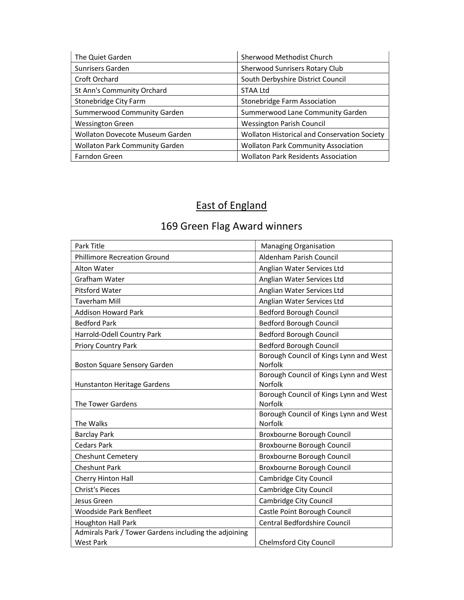| The Quiet Garden                       | Sherwood Methodist Church                           |
|----------------------------------------|-----------------------------------------------------|
| Sunrisers Garden                       | <b>Sherwood Sunrisers Rotary Club</b>               |
| Croft Orchard                          | South Derbyshire District Council                   |
| St Ann's Community Orchard             | STAA Ltd                                            |
| Stonebridge City Farm                  | <b>Stonebridge Farm Association</b>                 |
| <b>Summerwood Community Garden</b>     | Summerwood Lane Community Garden                    |
| <b>Wessington Green</b>                | <b>Wessington Parish Council</b>                    |
| <b>Wollaton Dovecote Museum Garden</b> | <b>Wollaton Historical and Conservation Society</b> |
| <b>Wollaton Park Community Garden</b>  | <b>Wollaton Park Community Association</b>          |
| Farndon Green                          | <b>Wollaton Park Residents Association</b>          |

# East of England

| Park Title                                            | <b>Managing Organisation</b>                      |
|-------------------------------------------------------|---------------------------------------------------|
| <b>Phillimore Recreation Ground</b>                   | Aldenham Parish Council                           |
| <b>Alton Water</b>                                    | Anglian Water Services Ltd                        |
| Grafham Water                                         | Anglian Water Services Ltd                        |
| <b>Pitsford Water</b>                                 | Anglian Water Services Ltd                        |
| <b>Taverham Mill</b>                                  | Anglian Water Services Ltd                        |
| <b>Addison Howard Park</b>                            | <b>Bedford Borough Council</b>                    |
| <b>Bedford Park</b>                                   | <b>Bedford Borough Council</b>                    |
| Harrold-Odell Country Park                            | <b>Bedford Borough Council</b>                    |
| <b>Priory Country Park</b>                            | <b>Bedford Borough Council</b>                    |
| Boston Square Sensory Garden                          | Borough Council of Kings Lynn and West<br>Norfolk |
| <b>Hunstanton Heritage Gardens</b>                    | Borough Council of Kings Lynn and West<br>Norfolk |
| The Tower Gardens                                     | Borough Council of Kings Lynn and West<br>Norfolk |
| The Walks                                             | Borough Council of Kings Lynn and West<br>Norfolk |
| <b>Barclay Park</b>                                   | Broxbourne Borough Council                        |
| <b>Cedars Park</b>                                    | Broxbourne Borough Council                        |
| <b>Cheshunt Cemetery</b>                              | Broxbourne Borough Council                        |
| <b>Cheshunt Park</b>                                  | Broxbourne Borough Council                        |
| Cherry Hinton Hall                                    | Cambridge City Council                            |
| <b>Christ's Pieces</b>                                | Cambridge City Council                            |
| Jesus Green                                           | Cambridge City Council                            |
| <b>Woodside Park Benfleet</b>                         | Castle Point Borough Council                      |
| <b>Houghton Hall Park</b>                             | Central Bedfordshire Council                      |
| Admirals Park / Tower Gardens including the adjoining |                                                   |
| <b>West Park</b>                                      | <b>Chelmsford City Council</b>                    |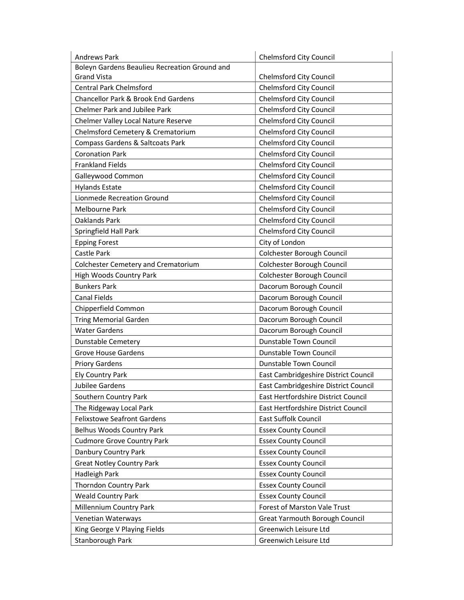| <b>Andrews Park</b>                           | <b>Chelmsford City Council</b>       |
|-----------------------------------------------|--------------------------------------|
| Boleyn Gardens Beaulieu Recreation Ground and |                                      |
| <b>Grand Vista</b>                            | <b>Chelmsford City Council</b>       |
| <b>Central Park Chelmsford</b>                | <b>Chelmsford City Council</b>       |
| Chancellor Park & Brook End Gardens           | <b>Chelmsford City Council</b>       |
| <b>Chelmer Park and Jubilee Park</b>          | <b>Chelmsford City Council</b>       |
| Chelmer Valley Local Nature Reserve           | <b>Chelmsford City Council</b>       |
| Chelmsford Cemetery & Crematorium             | <b>Chelmsford City Council</b>       |
| Compass Gardens & Saltcoats Park              | <b>Chelmsford City Council</b>       |
| <b>Coronation Park</b>                        | Chelmsford City Council              |
| <b>Frankland Fields</b>                       | <b>Chelmsford City Council</b>       |
| Galleywood Common                             | Chelmsford City Council              |
| <b>Hylands Estate</b>                         | <b>Chelmsford City Council</b>       |
| Lionmede Recreation Ground                    | <b>Chelmsford City Council</b>       |
| Melbourne Park                                | Chelmsford City Council              |
| Oaklands Park                                 | <b>Chelmsford City Council</b>       |
| Springfield Hall Park                         | <b>Chelmsford City Council</b>       |
| <b>Epping Forest</b>                          | City of London                       |
| Castle Park                                   | Colchester Borough Council           |
| <b>Colchester Cemetery and Crematorium</b>    | Colchester Borough Council           |
| High Woods Country Park                       | Colchester Borough Council           |
| <b>Bunkers Park</b>                           | Dacorum Borough Council              |
| Canal Fields                                  | Dacorum Borough Council              |
| Chipperfield Common                           | Dacorum Borough Council              |
| <b>Tring Memorial Garden</b>                  | Dacorum Borough Council              |
| <b>Water Gardens</b>                          | Dacorum Borough Council              |
| <b>Dunstable Cemetery</b>                     | <b>Dunstable Town Council</b>        |
| <b>Grove House Gardens</b>                    | Dunstable Town Council               |
| <b>Priory Gardens</b>                         | Dunstable Town Council               |
| Ely Country Park                              | East Cambridgeshire District Council |
| Jubilee Gardens                               | East Cambridgeshire District Council |
| Southern Country Park                         | East Hertfordshire District Council  |
| The Ridgeway Local Park                       | East Hertfordshire District Council  |
| <b>Felixstowe Seafront Gardens</b>            | East Suffolk Council                 |
| Belhus Woods Country Park                     | <b>Essex County Council</b>          |
| <b>Cudmore Grove Country Park</b>             | <b>Essex County Council</b>          |
| Danbury Country Park                          | <b>Essex County Council</b>          |
| <b>Great Notley Country Park</b>              | <b>Essex County Council</b>          |
| Hadleigh Park                                 | <b>Essex County Council</b>          |
| <b>Thorndon Country Park</b>                  | <b>Essex County Council</b>          |
| <b>Weald Country Park</b>                     | <b>Essex County Council</b>          |
| Millennium Country Park                       | Forest of Marston Vale Trust         |
| Venetian Waterways                            | Great Yarmouth Borough Council       |
| King George V Playing Fields                  | Greenwich Leisure Ltd                |
| Stanborough Park                              | Greenwich Leisure Ltd                |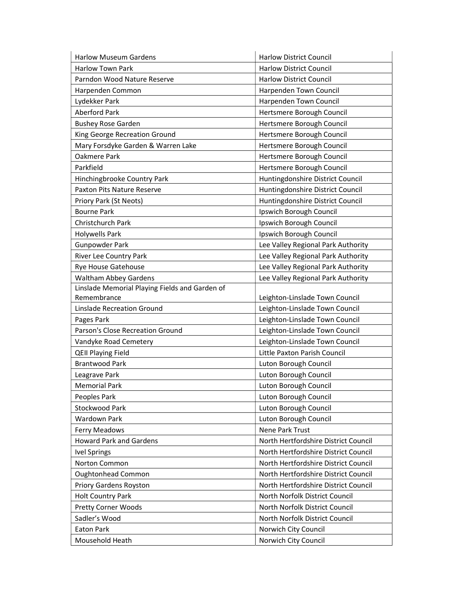| <b>Harlow Museum Gardens</b>                   | <b>Harlow District Council</b>       |
|------------------------------------------------|--------------------------------------|
| <b>Harlow Town Park</b>                        | <b>Harlow District Council</b>       |
| Parndon Wood Nature Reserve                    | <b>Harlow District Council</b>       |
| Harpenden Common                               | Harpenden Town Council               |
| Lydekker Park                                  | Harpenden Town Council               |
| <b>Aberford Park</b>                           | Hertsmere Borough Council            |
| <b>Bushey Rose Garden</b>                      | Hertsmere Borough Council            |
| King George Recreation Ground                  | Hertsmere Borough Council            |
| Mary Forsdyke Garden & Warren Lake             | Hertsmere Borough Council            |
| Oakmere Park                                   | Hertsmere Borough Council            |
| Parkfield                                      | Hertsmere Borough Council            |
| Hinchingbrooke Country Park                    | Huntingdonshire District Council     |
| <b>Paxton Pits Nature Reserve</b>              | Huntingdonshire District Council     |
| Priory Park (St Neots)                         | Huntingdonshire District Council     |
| <b>Bourne Park</b>                             | Ipswich Borough Council              |
| <b>Christchurch Park</b>                       | Ipswich Borough Council              |
| Holywells Park                                 | Ipswich Borough Council              |
| <b>Gunpowder Park</b>                          | Lee Valley Regional Park Authority   |
| River Lee Country Park                         | Lee Valley Regional Park Authority   |
| <b>Rye House Gatehouse</b>                     | Lee Valley Regional Park Authority   |
| <b>Waltham Abbey Gardens</b>                   | Lee Valley Regional Park Authority   |
| Linslade Memorial Playing Fields and Garden of |                                      |
| Remembrance                                    | Leighton-Linslade Town Council       |
| Linslade Recreation Ground                     | Leighton-Linslade Town Council       |
| Pages Park                                     | Leighton-Linslade Town Council       |
| Parson's Close Recreation Ground               | Leighton-Linslade Town Council       |
| Vandyke Road Cemetery                          | Leighton-Linslade Town Council       |
| <b>QEII Playing Field</b>                      | Little Paxton Parish Council         |
| <b>Brantwood Park</b>                          | Luton Borough Council                |
| Leagrave Park                                  | Luton Borough Council                |
| <b>Memorial Park</b>                           | Luton Borough Council                |
| Peoples Park                                   | Luton Borough Council                |
| Stockwood Park                                 | Luton Borough Council                |
| <b>Wardown Park</b>                            | Luton Borough Council                |
| <b>Ferry Meadows</b>                           | Nene Park Trust                      |
| <b>Howard Park and Gardens</b>                 | North Hertfordshire District Council |
| <b>Ivel Springs</b>                            | North Hertfordshire District Council |
| Norton Common                                  | North Hertfordshire District Council |
| Oughtonhead Common                             | North Hertfordshire District Council |
| Priory Gardens Royston                         | North Hertfordshire District Council |
| <b>Holt Country Park</b>                       | North Norfolk District Council       |
| <b>Pretty Corner Woods</b>                     | North Norfolk District Council       |
| Sadler's Wood                                  | North Norfolk District Council       |
| Eaton Park                                     | Norwich City Council                 |
| Mousehold Heath                                | Norwich City Council                 |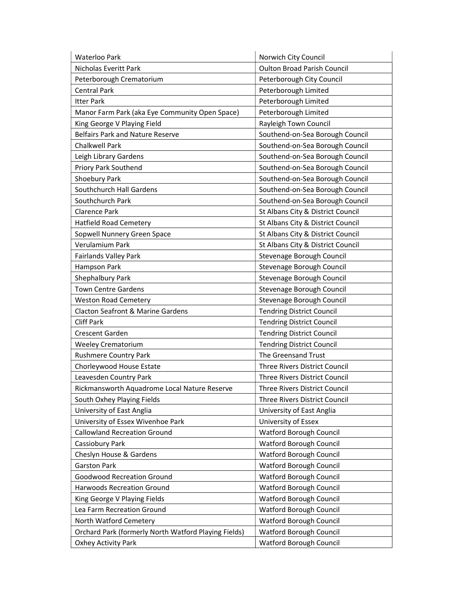| Waterloo Park                                        | Norwich City Council               |
|------------------------------------------------------|------------------------------------|
| Nicholas Everitt Park                                | <b>Oulton Broad Parish Council</b> |
| Peterborough Crematorium                             | Peterborough City Council          |
| <b>Central Park</b>                                  | Peterborough Limited               |
| <b>Itter Park</b>                                    | Peterborough Limited               |
| Manor Farm Park (aka Eye Community Open Space)       | Peterborough Limited               |
| King George V Playing Field                          | Rayleigh Town Council              |
| <b>Belfairs Park and Nature Reserve</b>              | Southend-on-Sea Borough Council    |
| <b>Chalkwell Park</b>                                | Southend-on-Sea Borough Council    |
| Leigh Library Gardens                                | Southend-on-Sea Borough Council    |
| Priory Park Southend                                 | Southend-on-Sea Borough Council    |
| Shoebury Park                                        | Southend-on-Sea Borough Council    |
| Southchurch Hall Gardens                             | Southend-on-Sea Borough Council    |
| Southchurch Park                                     | Southend-on-Sea Borough Council    |
| <b>Clarence Park</b>                                 | St Albans City & District Council  |
| <b>Hatfield Road Cemetery</b>                        | St Albans City & District Council  |
| Sopwell Nunnery Green Space                          | St Albans City & District Council  |
| Verulamium Park                                      | St Albans City & District Council  |
| <b>Fairlands Valley Park</b>                         | Stevenage Borough Council          |
| Hampson Park                                         | Stevenage Borough Council          |
| Shephalbury Park                                     | Stevenage Borough Council          |
| <b>Town Centre Gardens</b>                           | Stevenage Borough Council          |
| <b>Weston Road Cemetery</b>                          | Stevenage Borough Council          |
| Clacton Seafront & Marine Gardens                    | <b>Tendring District Council</b>   |
| <b>Cliff Park</b>                                    | <b>Tendring District Council</b>   |
| Crescent Garden                                      | <b>Tendring District Council</b>   |
| <b>Weeley Crematorium</b>                            | <b>Tendring District Council</b>   |
| <b>Rushmere Country Park</b>                         | The Greensand Trust                |
| Chorleywood House Estate                             | Three Rivers District Council      |
| Leavesden Country Park                               | Three Rivers District Council      |
| Rickmansworth Aquadrome Local Nature Reserve         | Three Rivers District Council      |
| South Oxhey Playing Fields                           | Three Rivers District Council      |
| University of East Anglia                            | University of East Anglia          |
| University of Essex Wivenhoe Park                    | University of Essex                |
| <b>Callowland Recreation Ground</b>                  | Watford Borough Council            |
| Cassiobury Park                                      | Watford Borough Council            |
| Cheslyn House & Gardens                              | Watford Borough Council            |
| <b>Garston Park</b>                                  | Watford Borough Council            |
| <b>Goodwood Recreation Ground</b>                    | Watford Borough Council            |
| Harwoods Recreation Ground                           | Watford Borough Council            |
| King George V Playing Fields                         | Watford Borough Council            |
| Lea Farm Recreation Ground                           | Watford Borough Council            |
| North Watford Cemetery                               | Watford Borough Council            |
| Orchard Park (formerly North Watford Playing Fields) | Watford Borough Council            |
| Oxhey Activity Park                                  | Watford Borough Council            |
|                                                      |                                    |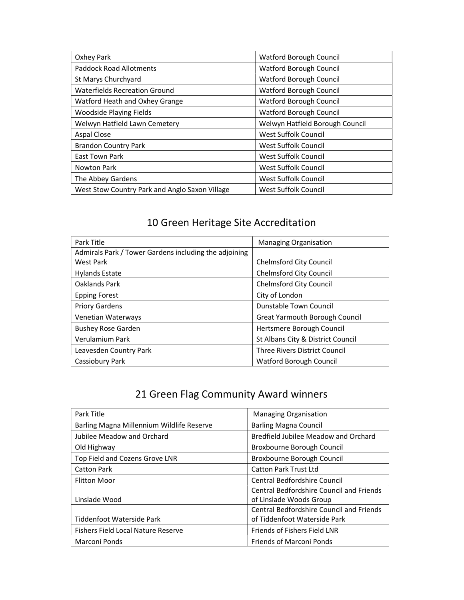| Oxhey Park                                     | Watford Borough Council         |
|------------------------------------------------|---------------------------------|
| <b>Paddock Road Allotments</b>                 | <b>Watford Borough Council</b>  |
| St Marys Churchyard                            | Watford Borough Council         |
| <b>Waterfields Recreation Ground</b>           | Watford Borough Council         |
| Watford Heath and Oxhey Grange                 | Watford Borough Council         |
| <b>Woodside Playing Fields</b>                 | <b>Watford Borough Council</b>  |
| Welwyn Hatfield Lawn Cemetery                  | Welwyn Hatfield Borough Council |
| Aspal Close                                    | West Suffolk Council            |
| <b>Brandon Country Park</b>                    | West Suffolk Council            |
| <b>East Town Park</b>                          | West Suffolk Council            |
| Nowton Park                                    | West Suffolk Council            |
| The Abbey Gardens                              | West Suffolk Council            |
| West Stow Country Park and Anglo Saxon Village | <b>West Suffolk Council</b>     |

| Park Title                                            | <b>Managing Organisation</b>         |
|-------------------------------------------------------|--------------------------------------|
| Admirals Park / Tower Gardens including the adjoining |                                      |
| West Park                                             | <b>Chelmsford City Council</b>       |
| <b>Hylands Estate</b>                                 | <b>Chelmsford City Council</b>       |
| Oaklands Park                                         | <b>Chelmsford City Council</b>       |
| <b>Epping Forest</b>                                  | City of London                       |
| <b>Priory Gardens</b>                                 | Dunstable Town Council               |
| Venetian Waterways                                    | Great Yarmouth Borough Council       |
| <b>Bushey Rose Garden</b>                             | Hertsmere Borough Council            |
| Verulamium Park                                       | St Albans City & District Council    |
| Leavesden Country Park                                | <b>Three Rivers District Council</b> |
| Cassiobury Park                                       | Watford Borough Council              |

| Park Title                                | <b>Managing Organisation</b>                    |
|-------------------------------------------|-------------------------------------------------|
| Barling Magna Millennium Wildlife Reserve | <b>Barling Magna Council</b>                    |
| Jubilee Meadow and Orchard                | Bredfield Jubilee Meadow and Orchard            |
| Old Highway                               | Broxbourne Borough Council                      |
| Top Field and Cozens Grove LNR            | Broxbourne Borough Council                      |
| <b>Catton Park</b>                        | <b>Catton Park Trust Ltd</b>                    |
| <b>Flitton Moor</b>                       | Central Bedfordshire Council                    |
|                                           | <b>Central Bedfordshire Council and Friends</b> |
| Linslade Wood                             | of Linslade Woods Group                         |
|                                           | <b>Central Bedfordshire Council and Friends</b> |
| Tiddenfoot Waterside Park                 | of Tiddenfoot Waterside Park                    |
| <b>Fishers Field Local Nature Reserve</b> | Friends of Fishers Field LNR                    |
| Marconi Ponds                             | <b>Friends of Marconi Ponds</b>                 |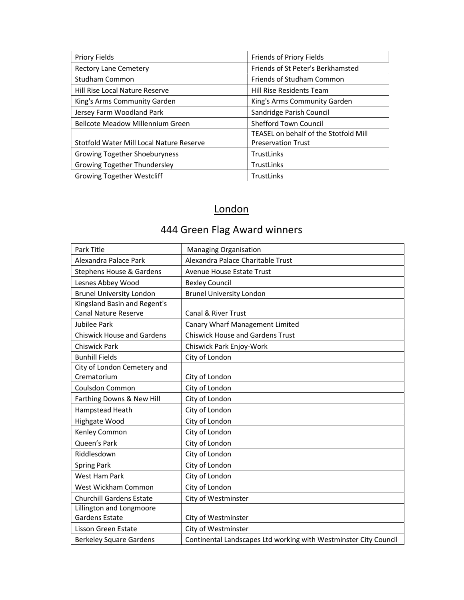| <b>Priory Fields</b>                     | Friends of Priory Fields              |
|------------------------------------------|---------------------------------------|
| <b>Rectory Lane Cemetery</b>             | Friends of St Peter's Berkhamsted     |
| <b>Studham Common</b>                    | Friends of Studham Common             |
| Hill Rise Local Nature Reserve           | <b>Hill Rise Residents Team</b>       |
| King's Arms Community Garden             | King's Arms Community Garden          |
| Jersey Farm Woodland Park                | Sandridge Parish Council              |
| <b>Bellcote Meadow Millennium Green</b>  | <b>Shefford Town Council</b>          |
|                                          | TEASEL on behalf of the Stotfold Mill |
| Stotfold Water Mill Local Nature Reserve | <b>Preservation Trust</b>             |
| Growing Together Shoeburyness            | <b>TrustLinks</b>                     |
| Growing Together Thundersley             | <b>TrustLinks</b>                     |
| <b>Growing Together Westcliff</b>        | <b>TrustLinks</b>                     |

## London

444 Green Flag Award winners

# Park Title Managing Organisation

| Alexandra Palace Park             | Alexandra Palace Charitable Trust                                |
|-----------------------------------|------------------------------------------------------------------|
| Stephens House & Gardens          | <b>Avenue House Estate Trust</b>                                 |
| Lesnes Abbey Wood                 | <b>Bexley Council</b>                                            |
| <b>Brunel University London</b>   | <b>Brunel University London</b>                                  |
| Kingsland Basin and Regent's      |                                                                  |
| <b>Canal Nature Reserve</b>       | <b>Canal &amp; River Trust</b>                                   |
| Jubilee Park                      | Canary Wharf Management Limited                                  |
| <b>Chiswick House and Gardens</b> | <b>Chiswick House and Gardens Trust</b>                          |
| <b>Chiswick Park</b>              | Chiswick Park Enjoy-Work                                         |
| <b>Bunhill Fields</b>             | City of London                                                   |
| City of London Cemetery and       |                                                                  |
| Crematorium                       | City of London                                                   |
| Coulsdon Common                   | City of London                                                   |
| Farthing Downs & New Hill         | City of London                                                   |
| Hampstead Heath                   | City of London                                                   |
| Highgate Wood                     | City of London                                                   |
| Kenley Common                     | City of London                                                   |
| Queen's Park                      | City of London                                                   |
| Riddlesdown                       | City of London                                                   |
| <b>Spring Park</b>                | City of London                                                   |
| <b>West Ham Park</b>              | City of London                                                   |
| West Wickham Common               | City of London                                                   |
| <b>Churchill Gardens Estate</b>   | City of Westminster                                              |
| Lillington and Longmoore          |                                                                  |
| <b>Gardens Estate</b>             | City of Westminster                                              |
| Lisson Green Estate               | City of Westminster                                              |
| <b>Berkeley Square Gardens</b>    | Continental Landscapes Ltd working with Westminster City Council |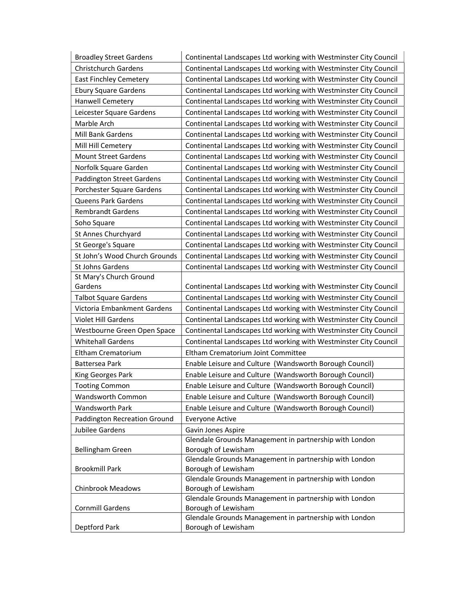| <b>Broadley Street Gardens</b> | Continental Landscapes Ltd working with Westminster City Council              |
|--------------------------------|-------------------------------------------------------------------------------|
| <b>Christchurch Gardens</b>    | Continental Landscapes Ltd working with Westminster City Council              |
| <b>East Finchley Cemetery</b>  | Continental Landscapes Ltd working with Westminster City Council              |
| <b>Ebury Square Gardens</b>    | Continental Landscapes Ltd working with Westminster City Council              |
| Hanwell Cemetery               | Continental Landscapes Ltd working with Westminster City Council              |
| Leicester Square Gardens       | Continental Landscapes Ltd working with Westminster City Council              |
| Marble Arch                    | Continental Landscapes Ltd working with Westminster City Council              |
| Mill Bank Gardens              | Continental Landscapes Ltd working with Westminster City Council              |
| Mill Hill Cemetery             | Continental Landscapes Ltd working with Westminster City Council              |
| <b>Mount Street Gardens</b>    | Continental Landscapes Ltd working with Westminster City Council              |
| Norfolk Square Garden          | Continental Landscapes Ltd working with Westminster City Council              |
| Paddington Street Gardens      | Continental Landscapes Ltd working with Westminster City Council              |
| Porchester Square Gardens      | Continental Landscapes Ltd working with Westminster City Council              |
| Queens Park Gardens            | Continental Landscapes Ltd working with Westminster City Council              |
| <b>Rembrandt Gardens</b>       | Continental Landscapes Ltd working with Westminster City Council              |
| Soho Square                    | Continental Landscapes Ltd working with Westminster City Council              |
| St Annes Churchyard            | Continental Landscapes Ltd working with Westminster City Council              |
| St George's Square             | Continental Landscapes Ltd working with Westminster City Council              |
| St John's Wood Church Grounds  | Continental Landscapes Ltd working with Westminster City Council              |
| St Johns Gardens               | Continental Landscapes Ltd working with Westminster City Council              |
| St Mary's Church Ground        |                                                                               |
| Gardens                        | Continental Landscapes Ltd working with Westminster City Council              |
| <b>Talbot Square Gardens</b>   | Continental Landscapes Ltd working with Westminster City Council              |
| Victoria Embankment Gardens    | Continental Landscapes Ltd working with Westminster City Council              |
| <b>Violet Hill Gardens</b>     | Continental Landscapes Ltd working with Westminster City Council              |
| Westbourne Green Open Space    | Continental Landscapes Ltd working with Westminster City Council              |
| <b>Whitehall Gardens</b>       | Continental Landscapes Ltd working with Westminster City Council              |
| Eltham Crematorium             | Eltham Crematorium Joint Committee                                            |
| Battersea Park                 | Enable Leisure and Culture (Wandsworth Borough Council)                       |
| King Georges Park              | Enable Leisure and Culture (Wandsworth Borough Council)                       |
| <b>Tooting Common</b>          | Enable Leisure and Culture (Wandsworth Borough Council)                       |
| Wandsworth Common              | Enable Leisure and Culture (Wandsworth Borough Council)                       |
| Wandsworth Park                | Enable Leisure and Culture (Wandsworth Borough Council)                       |
| Paddington Recreation Ground   | Everyone Active                                                               |
| Jubilee Gardens                | Gavin Jones Aspire                                                            |
|                                | Glendale Grounds Management in partnership with London                        |
| <b>Bellingham Green</b>        | Borough of Lewisham                                                           |
|                                | Glendale Grounds Management in partnership with London                        |
| <b>Brookmill Park</b>          | Borough of Lewisham                                                           |
| <b>Chinbrook Meadows</b>       | Glendale Grounds Management in partnership with London<br>Borough of Lewisham |
|                                | Glendale Grounds Management in partnership with London                        |
| <b>Cornmill Gardens</b>        | Borough of Lewisham                                                           |
|                                | Glendale Grounds Management in partnership with London                        |
| Deptford Park                  | Borough of Lewisham                                                           |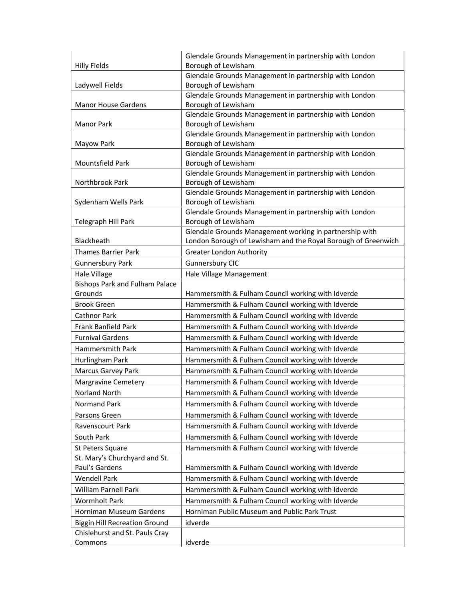| <b>Hilly Fields</b>                   | Glendale Grounds Management in partnership with London<br>Borough of Lewisham                                            |
|---------------------------------------|--------------------------------------------------------------------------------------------------------------------------|
| Ladywell Fields                       | Glendale Grounds Management in partnership with London<br>Borough of Lewisham                                            |
| <b>Manor House Gardens</b>            | Glendale Grounds Management in partnership with London<br>Borough of Lewisham                                            |
| <b>Manor Park</b>                     | Glendale Grounds Management in partnership with London<br>Borough of Lewisham                                            |
| Mayow Park                            | Glendale Grounds Management in partnership with London<br>Borough of Lewisham                                            |
| Mountsfield Park                      | Glendale Grounds Management in partnership with London<br>Borough of Lewisham                                            |
| Northbrook Park                       | Glendale Grounds Management in partnership with London<br>Borough of Lewisham                                            |
| Sydenham Wells Park                   | Glendale Grounds Management in partnership with London<br>Borough of Lewisham                                            |
| Telegraph Hill Park                   | Glendale Grounds Management in partnership with London<br>Borough of Lewisham                                            |
| Blackheath                            | Glendale Grounds Management working in partnership with<br>London Borough of Lewisham and the Royal Borough of Greenwich |
| <b>Thames Barrier Park</b>            | <b>Greater London Authority</b>                                                                                          |
| <b>Gunnersbury Park</b>               | Gunnersbury CIC                                                                                                          |
| Hale Village                          | Hale Village Management                                                                                                  |
| <b>Bishops Park and Fulham Palace</b> |                                                                                                                          |
| Grounds                               | Hammersmith & Fulham Council working with Idverde                                                                        |
| <b>Brook Green</b>                    | Hammersmith & Fulham Council working with Idverde                                                                        |
| Cathnor Park                          | Hammersmith & Fulham Council working with Idverde                                                                        |
| Frank Banfield Park                   | Hammersmith & Fulham Council working with Idverde                                                                        |
| <b>Furnival Gardens</b>               | Hammersmith & Fulham Council working with Idverde                                                                        |
| Hammersmith Park                      | Hammersmith & Fulham Council working with Idverde                                                                        |
| Hurlingham Park                       | Hammersmith & Fulham Council working with Idverde                                                                        |
| Marcus Garvey Park                    | Hammersmith & Fulham Council working with Idverde                                                                        |
| <b>Margravine Cemetery</b>            | Hammersmith & Fulham Council working with Idverde                                                                        |
| Norland North                         | Hammersmith & Fulham Council working with Idverde                                                                        |
| Normand Park                          | Hammersmith & Fulham Council working with Idverde                                                                        |
| Parsons Green                         | Hammersmith & Fulham Council working with Idverde                                                                        |
| Ravenscourt Park                      | Hammersmith & Fulham Council working with Idverde                                                                        |
| South Park                            | Hammersmith & Fulham Council working with Idverde                                                                        |
| St Peters Square                      | Hammersmith & Fulham Council working with Idverde                                                                        |
| St. Mary's Churchyard and St.         |                                                                                                                          |
| Paul's Gardens                        | Hammersmith & Fulham Council working with Idverde                                                                        |
| <b>Wendell Park</b>                   | Hammersmith & Fulham Council working with Idverde                                                                        |
| <b>William Parnell Park</b>           | Hammersmith & Fulham Council working with Idverde                                                                        |
| Wormholt Park                         | Hammersmith & Fulham Council working with Idverde                                                                        |
| Horniman Museum Gardens               | Horniman Public Museum and Public Park Trust                                                                             |
| <b>Biggin Hill Recreation Ground</b>  | idverde                                                                                                                  |
| Chislehurst and St. Pauls Cray        |                                                                                                                          |
| Commons                               | idverde                                                                                                                  |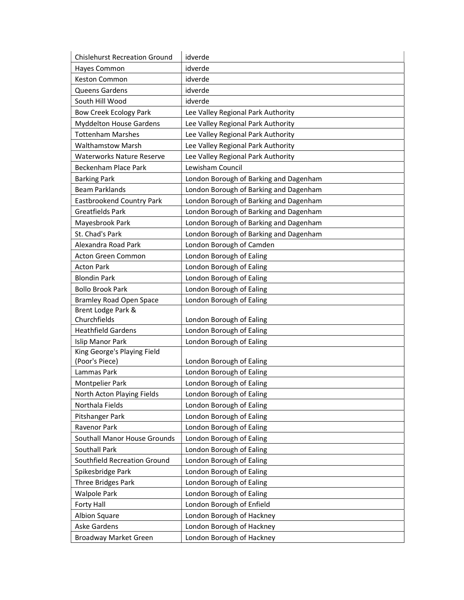| <b>Chislehurst Recreation Ground</b>          | idverde                                              |
|-----------------------------------------------|------------------------------------------------------|
| Hayes Common                                  | idverde                                              |
| Keston Common                                 | idverde                                              |
| Queens Gardens                                | idverde                                              |
| South Hill Wood                               | idverde                                              |
| <b>Bow Creek Ecology Park</b>                 | Lee Valley Regional Park Authority                   |
| <b>Myddelton House Gardens</b>                | Lee Valley Regional Park Authority                   |
| <b>Tottenham Marshes</b>                      | Lee Valley Regional Park Authority                   |
| <b>Walthamstow Marsh</b>                      | Lee Valley Regional Park Authority                   |
| <b>Waterworks Nature Reserve</b>              | Lee Valley Regional Park Authority                   |
| Beckenham Place Park                          | Lewisham Council                                     |
| <b>Barking Park</b>                           | London Borough of Barking and Dagenham               |
| <b>Beam Parklands</b>                         | London Borough of Barking and Dagenham               |
| <b>Eastbrookend Country Park</b>              | London Borough of Barking and Dagenham               |
| <b>Greatfields Park</b>                       | London Borough of Barking and Dagenham               |
| Mayesbrook Park                               | London Borough of Barking and Dagenham               |
| St. Chad's Park                               | London Borough of Barking and Dagenham               |
| Alexandra Road Park                           | London Borough of Camden                             |
| <b>Acton Green Common</b>                     | London Borough of Ealing                             |
| <b>Acton Park</b>                             | London Borough of Ealing                             |
| <b>Blondin Park</b>                           | London Borough of Ealing                             |
| <b>Bollo Brook Park</b>                       | London Borough of Ealing                             |
| <b>Bramley Road Open Space</b>                | London Borough of Ealing                             |
| Brent Lodge Park &                            |                                                      |
| Churchfields                                  | London Borough of Ealing                             |
| <b>Heathfield Gardens</b>                     | London Borough of Ealing                             |
| <b>Islip Manor Park</b>                       | London Borough of Ealing                             |
| King George's Playing Field                   |                                                      |
| (Poor's Piece)<br>Lammas Park                 | London Borough of Ealing                             |
|                                               | London Borough of Ealing                             |
| Montpelier Park                               | London Borough of Ealing<br>London Borough of Ealing |
| North Acton Playing Fields<br>Northala Fields | London Borough of Ealing                             |
| Pitshanger Park                               |                                                      |
|                                               | London Borough of Ealing                             |
| Ravenor Park<br>Southall Manor House Grounds  | London Borough of Ealing                             |
| <b>Southall Park</b>                          | London Borough of Ealing                             |
|                                               | London Borough of Ealing                             |
| Southfield Recreation Ground                  | London Borough of Ealing                             |
| Spikesbridge Park                             | London Borough of Ealing                             |
| Three Bridges Park                            | London Borough of Ealing                             |
| <b>Walpole Park</b>                           | London Borough of Ealing                             |
| <b>Forty Hall</b>                             | London Borough of Enfield                            |
| Albion Square                                 | London Borough of Hackney                            |
| Aske Gardens                                  | London Borough of Hackney                            |
| Broadway Market Green                         | London Borough of Hackney                            |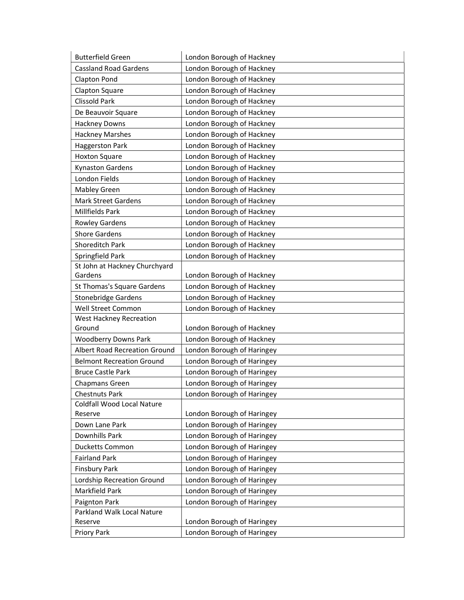| <b>Butterfield Green</b>             | London Borough of Hackney  |
|--------------------------------------|----------------------------|
| <b>Cassland Road Gardens</b>         | London Borough of Hackney  |
| Clapton Pond                         | London Borough of Hackney  |
| Clapton Square                       | London Borough of Hackney  |
| <b>Clissold Park</b>                 | London Borough of Hackney  |
| De Beauvoir Square                   | London Borough of Hackney  |
| <b>Hackney Downs</b>                 | London Borough of Hackney  |
| <b>Hackney Marshes</b>               | London Borough of Hackney  |
| Haggerston Park                      | London Borough of Hackney  |
| <b>Hoxton Square</b>                 | London Borough of Hackney  |
| <b>Kynaston Gardens</b>              | London Borough of Hackney  |
| London Fields                        | London Borough of Hackney  |
| <b>Mabley Green</b>                  | London Borough of Hackney  |
| <b>Mark Street Gardens</b>           | London Borough of Hackney  |
| <b>Millfields Park</b>               | London Borough of Hackney  |
| <b>Rowley Gardens</b>                | London Borough of Hackney  |
| <b>Shore Gardens</b>                 | London Borough of Hackney  |
| Shoreditch Park                      | London Borough of Hackney  |
| Springfield Park                     | London Borough of Hackney  |
| St John at Hackney Churchyard        |                            |
| Gardens                              | London Borough of Hackney  |
| St Thomas's Square Gardens           | London Borough of Hackney  |
| <b>Stonebridge Gardens</b>           | London Borough of Hackney  |
| Well Street Common                   | London Borough of Hackney  |
| West Hackney Recreation              |                            |
| Ground                               | London Borough of Hackney  |
| <b>Woodberry Downs Park</b>          | London Borough of Hackney  |
| <b>Albert Road Recreation Ground</b> | London Borough of Haringey |
| <b>Belmont Recreation Ground</b>     | London Borough of Haringey |
| <b>Bruce Castle Park</b>             | London Borough of Haringey |
| Chapmans Green                       | London Borough of Haringey |
| <b>Chestnuts Park</b>                | London Borough of Haringey |
| Coldfall Wood Local Nature           |                            |
| Reserve                              | London Borough of Haringey |
| Down Lane Park                       | London Borough of Haringey |
| Downhills Park                       | London Borough of Haringey |
| <b>Ducketts Common</b>               | London Borough of Haringey |
| <b>Fairland Park</b>                 | London Borough of Haringey |
| <b>Finsbury Park</b>                 | London Borough of Haringey |
| Lordship Recreation Ground           | London Borough of Haringey |
| Markfield Park                       | London Borough of Haringey |
| Paignton Park                        | London Borough of Haringey |
| Parkland Walk Local Nature           |                            |
| Reserve                              | London Borough of Haringey |
| Priory Park                          | London Borough of Haringey |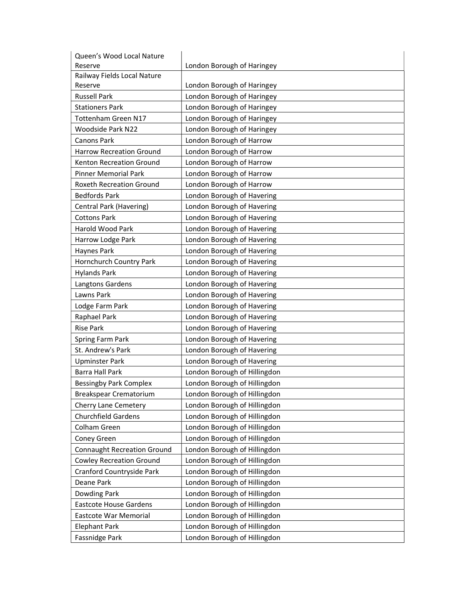| Queen's Wood Local Nature          |                              |
|------------------------------------|------------------------------|
| Reserve                            | London Borough of Haringey   |
| Railway Fields Local Nature        |                              |
| Reserve                            | London Borough of Haringey   |
| <b>Russell Park</b>                | London Borough of Haringey   |
| <b>Stationers Park</b>             | London Borough of Haringey   |
| Tottenham Green N17                | London Borough of Haringey   |
| <b>Woodside Park N22</b>           | London Borough of Haringey   |
| <b>Canons Park</b>                 | London Borough of Harrow     |
| <b>Harrow Recreation Ground</b>    | London Borough of Harrow     |
| Kenton Recreation Ground           | London Borough of Harrow     |
| <b>Pinner Memorial Park</b>        | London Borough of Harrow     |
| <b>Roxeth Recreation Ground</b>    | London Borough of Harrow     |
| <b>Bedfords Park</b>               | London Borough of Havering   |
| Central Park (Havering)            | London Borough of Havering   |
| <b>Cottons Park</b>                | London Borough of Havering   |
| Harold Wood Park                   | London Borough of Havering   |
| Harrow Lodge Park                  | London Borough of Havering   |
| Haynes Park                        | London Borough of Havering   |
| Hornchurch Country Park            | London Borough of Havering   |
| <b>Hylands Park</b>                | London Borough of Havering   |
| Langtons Gardens                   | London Borough of Havering   |
| Lawns Park                         | London Borough of Havering   |
| Lodge Farm Park                    | London Borough of Havering   |
| Raphael Park                       | London Borough of Havering   |
| <b>Rise Park</b>                   | London Borough of Havering   |
| Spring Farm Park                   | London Borough of Havering   |
| St. Andrew's Park                  | London Borough of Havering   |
| <b>Upminster Park</b>              | London Borough of Havering   |
| <b>Barra Hall Park</b>             | London Borough of Hillingdon |
| <b>Bessingby Park Complex</b>      | London Borough of Hillingdon |
| Breakspear Crematorium             | London Borough of Hillingdon |
| Cherry Lane Cemetery               | London Borough of Hillingdon |
| <b>Churchfield Gardens</b>         | London Borough of Hillingdon |
| Colham Green                       | London Borough of Hillingdon |
| Coney Green                        | London Borough of Hillingdon |
| <b>Connaught Recreation Ground</b> | London Borough of Hillingdon |
| <b>Cowley Recreation Ground</b>    | London Borough of Hillingdon |
| Cranford Countryside Park          | London Borough of Hillingdon |
| Deane Park                         | London Borough of Hillingdon |
| Dowding Park                       | London Borough of Hillingdon |
| <b>Eastcote House Gardens</b>      | London Borough of Hillingdon |
| Eastcote War Memorial              | London Borough of Hillingdon |
| <b>Elephant Park</b>               | London Borough of Hillingdon |
|                                    | London Borough of Hillingdon |
| Fassnidge Park                     |                              |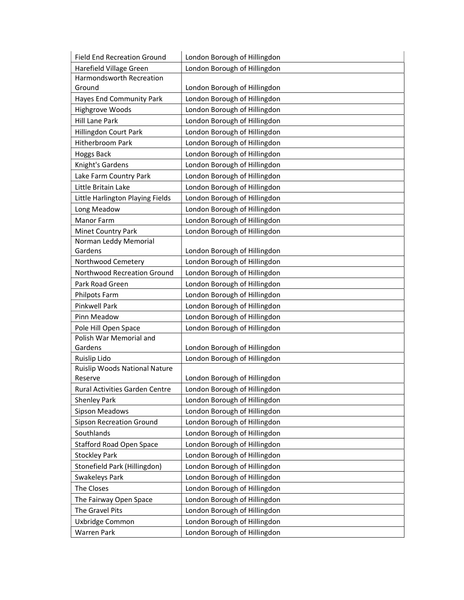| <b>Field End Recreation Ground</b>    | London Borough of Hillingdon |
|---------------------------------------|------------------------------|
| Harefield Village Green               | London Borough of Hillingdon |
| <b>Harmondsworth Recreation</b>       |                              |
| Ground                                | London Borough of Hillingdon |
| Hayes End Community Park              | London Borough of Hillingdon |
| Highgrove Woods                       | London Borough of Hillingdon |
| Hill Lane Park                        | London Borough of Hillingdon |
| Hillingdon Court Park                 | London Borough of Hillingdon |
| <b>Hitherbroom Park</b>               | London Borough of Hillingdon |
| <b>Hoggs Back</b>                     | London Borough of Hillingdon |
| Knight's Gardens                      | London Borough of Hillingdon |
| Lake Farm Country Park                | London Borough of Hillingdon |
| Little Britain Lake                   | London Borough of Hillingdon |
| Little Harlington Playing Fields      | London Borough of Hillingdon |
| Long Meadow                           | London Borough of Hillingdon |
| <b>Manor Farm</b>                     | London Borough of Hillingdon |
| Minet Country Park                    | London Borough of Hillingdon |
| Norman Leddy Memorial                 |                              |
| Gardens                               | London Borough of Hillingdon |
| Northwood Cemetery                    | London Borough of Hillingdon |
| Northwood Recreation Ground           | London Borough of Hillingdon |
| Park Road Green                       | London Borough of Hillingdon |
| Philpots Farm                         | London Borough of Hillingdon |
| <b>Pinkwell Park</b>                  | London Borough of Hillingdon |
| Pinn Meadow                           | London Borough of Hillingdon |
| Pole Hill Open Space                  | London Borough of Hillingdon |
| Polish War Memorial and               |                              |
| Gardens                               | London Borough of Hillingdon |
| Ruislip Lido                          | London Borough of Hillingdon |
| Ruislip Woods National Nature         |                              |
| Reserve                               | London Borough of Hillingdon |
| <b>Rural Activities Garden Centre</b> | London Borough of Hillingdon |
| <b>Shenley Park</b>                   | London Borough of Hillingdon |
| <b>Sipson Meadows</b>                 | London Borough of Hillingdon |
| <b>Sipson Recreation Ground</b>       | London Borough of Hillingdon |
| Southlands                            | London Borough of Hillingdon |
| <b>Stafford Road Open Space</b>       | London Borough of Hillingdon |
| <b>Stockley Park</b>                  | London Borough of Hillingdon |
| Stonefield Park (Hillingdon)          | London Borough of Hillingdon |
| Swakeleys Park                        | London Borough of Hillingdon |
| The Closes                            | London Borough of Hillingdon |
| The Fairway Open Space                | London Borough of Hillingdon |
| The Gravel Pits                       | London Borough of Hillingdon |
| Uxbridge Common                       | London Borough of Hillingdon |
| <b>Warren Park</b>                    | London Borough of Hillingdon |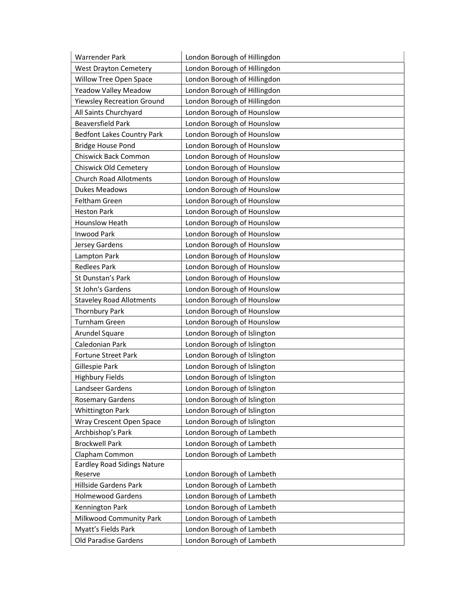| <b>Warrender Park</b>              | London Borough of Hillingdon |
|------------------------------------|------------------------------|
| <b>West Drayton Cemetery</b>       | London Borough of Hillingdon |
| Willow Tree Open Space             | London Borough of Hillingdon |
| Yeadow Valley Meadow               | London Borough of Hillingdon |
| <b>Yiewsley Recreation Ground</b>  | London Borough of Hillingdon |
| All Saints Churchyard              | London Borough of Hounslow   |
| <b>Beaversfield Park</b>           | London Borough of Hounslow   |
| <b>Bedfont Lakes Country Park</b>  | London Borough of Hounslow   |
| <b>Bridge House Pond</b>           | London Borough of Hounslow   |
| Chiswick Back Common               | London Borough of Hounslow   |
| <b>Chiswick Old Cemetery</b>       | London Borough of Hounslow   |
| <b>Church Road Allotments</b>      | London Borough of Hounslow   |
| <b>Dukes Meadows</b>               | London Borough of Hounslow   |
| Feltham Green                      | London Borough of Hounslow   |
| <b>Heston Park</b>                 | London Borough of Hounslow   |
| Hounslow Heath                     | London Borough of Hounslow   |
| <b>Inwood Park</b>                 | London Borough of Hounslow   |
| Jersey Gardens                     | London Borough of Hounslow   |
| Lampton Park                       | London Borough of Hounslow   |
| <b>Redlees Park</b>                | London Borough of Hounslow   |
| St Dunstan's Park                  | London Borough of Hounslow   |
| St John's Gardens                  | London Borough of Hounslow   |
| <b>Staveley Road Allotments</b>    | London Borough of Hounslow   |
| <b>Thornbury Park</b>              | London Borough of Hounslow   |
| <b>Turnham Green</b>               | London Borough of Hounslow   |
| Arundel Square                     | London Borough of Islington  |
| Caledonian Park                    | London Borough of Islington  |
| Fortune Street Park                | London Borough of Islington  |
| Gillespie Park                     | London Borough of Islington  |
| <b>Highbury Fields</b>             | London Borough of Islington  |
| Landseer Gardens                   | London Borough of Islington  |
| <b>Rosemary Gardens</b>            | London Borough of Islington  |
| <b>Whittington Park</b>            | London Borough of Islington  |
| Wray Crescent Open Space           | London Borough of Islington  |
| Archbishop's Park                  | London Borough of Lambeth    |
| <b>Brockwell Park</b>              | London Borough of Lambeth    |
| Clapham Common                     | London Borough of Lambeth    |
| <b>Eardley Road Sidings Nature</b> |                              |
| Reserve                            | London Borough of Lambeth    |
| Hillside Gardens Park              | London Borough of Lambeth    |
| <b>Holmewood Gardens</b>           | London Borough of Lambeth    |
| Kennington Park                    | London Borough of Lambeth    |
| Milkwood Community Park            | London Borough of Lambeth    |
| Myatt's Fields Park                | London Borough of Lambeth    |
| Old Paradise Gardens               | London Borough of Lambeth    |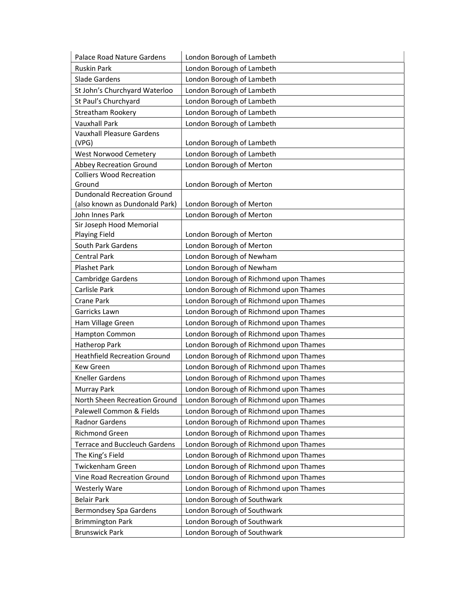| <b>Palace Road Nature Gardens</b>            | London Borough of Lambeth              |
|----------------------------------------------|----------------------------------------|
| <b>Ruskin Park</b>                           | London Borough of Lambeth              |
| Slade Gardens                                | London Borough of Lambeth              |
| St John's Churchyard Waterloo                | London Borough of Lambeth              |
| St Paul's Churchyard                         | London Borough of Lambeth              |
| Streatham Rookery                            | London Borough of Lambeth              |
| <b>Vauxhall Park</b>                         | London Borough of Lambeth              |
| <b>Vauxhall Pleasure Gardens</b>             |                                        |
| (VPG)                                        | London Borough of Lambeth              |
| West Norwood Cemetery                        | London Borough of Lambeth              |
| <b>Abbey Recreation Ground</b>               | London Borough of Merton               |
| <b>Colliers Wood Recreation</b>              |                                        |
| Ground<br><b>Dundonald Recreation Ground</b> | London Borough of Merton               |
| (also known as Dundonald Park)               | London Borough of Merton               |
| John Innes Park                              | London Borough of Merton               |
| Sir Joseph Hood Memorial                     |                                        |
| <b>Playing Field</b>                         | London Borough of Merton               |
| South Park Gardens                           | London Borough of Merton               |
| <b>Central Park</b>                          | London Borough of Newham               |
| <b>Plashet Park</b>                          | London Borough of Newham               |
| Cambridge Gardens                            | London Borough of Richmond upon Thames |
| Carlisle Park                                | London Borough of Richmond upon Thames |
| <b>Crane Park</b>                            | London Borough of Richmond upon Thames |
| Garricks Lawn                                | London Borough of Richmond upon Thames |
| Ham Village Green                            | London Borough of Richmond upon Thames |
| Hampton Common                               | London Borough of Richmond upon Thames |
| Hatherop Park                                | London Borough of Richmond upon Thames |
| <b>Heathfield Recreation Ground</b>          | London Borough of Richmond upon Thames |
| <b>Kew Green</b>                             | London Borough of Richmond upon Thames |
| <b>Kneller Gardens</b>                       | London Borough of Richmond upon Thames |
| Murray Park                                  | London Borough of Richmond upon Thames |
| North Sheen Recreation Ground                | London Borough of Richmond upon Thames |
| Palewell Common & Fields                     | London Borough of Richmond upon Thames |
| Radnor Gardens                               | London Borough of Richmond upon Thames |
| <b>Richmond Green</b>                        | London Borough of Richmond upon Thames |
| <b>Terrace and Buccleuch Gardens</b>         | London Borough of Richmond upon Thames |
| The King's Field                             | London Borough of Richmond upon Thames |
| Twickenham Green                             | London Borough of Richmond upon Thames |
| <b>Vine Road Recreation Ground</b>           | London Borough of Richmond upon Thames |
| <b>Westerly Ware</b>                         | London Borough of Richmond upon Thames |
| <b>Belair Park</b>                           | London Borough of Southwark            |
| Bermondsey Spa Gardens                       | London Borough of Southwark            |
| <b>Brimmington Park</b>                      | London Borough of Southwark            |
| <b>Brunswick Park</b>                        | London Borough of Southwark            |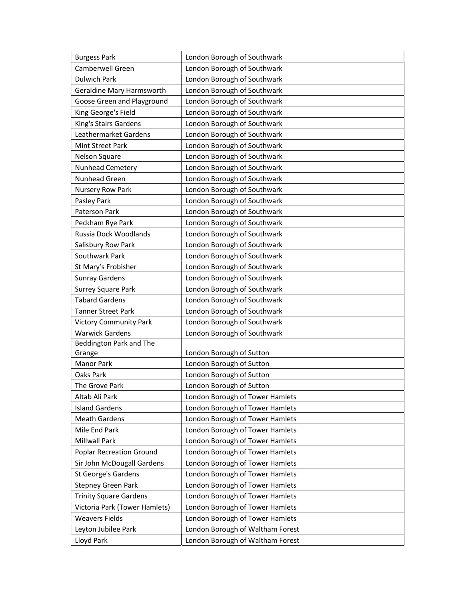| <b>Burgess Park</b>             | London Borough of Southwark      |
|---------------------------------|----------------------------------|
| Camberwell Green                | London Borough of Southwark      |
| <b>Dulwich Park</b>             | London Borough of Southwark      |
| Geraldine Mary Harmsworth       | London Borough of Southwark      |
| Goose Green and Playground      | London Borough of Southwark      |
| King George's Field             | London Borough of Southwark      |
| King's Stairs Gardens           | London Borough of Southwark      |
| Leathermarket Gardens           | London Borough of Southwark      |
| Mint Street Park                | London Borough of Southwark      |
| Nelson Square                   | London Borough of Southwark      |
| Nunhead Cemetery                | London Borough of Southwark      |
| Nunhead Green                   | London Borough of Southwark      |
| Nursery Row Park                | London Borough of Southwark      |
| Pasley Park                     | London Borough of Southwark      |
| Paterson Park                   | London Borough of Southwark      |
| Peckham Rye Park                | London Borough of Southwark      |
| Russia Dock Woodlands           | London Borough of Southwark      |
| Salisbury Row Park              | London Borough of Southwark      |
| Southwark Park                  | London Borough of Southwark      |
| St Mary's Frobisher             | London Borough of Southwark      |
| <b>Sunray Gardens</b>           | London Borough of Southwark      |
| <b>Surrey Square Park</b>       | London Borough of Southwark      |
| <b>Tabard Gardens</b>           | London Borough of Southwark      |
| <b>Tanner Street Park</b>       | London Borough of Southwark      |
| <b>Victory Community Park</b>   | London Borough of Southwark      |
| <b>Warwick Gardens</b>          | London Borough of Southwark      |
| Beddington Park and The         |                                  |
| Grange                          | London Borough of Sutton         |
| <b>Manor Park</b>               | London Borough of Sutton         |
| Oaks Park                       | London Borough of Sutton         |
| The Grove Park                  | London Borough of Sutton         |
| Altab Ali Park                  | London Borough of Tower Hamlets  |
| <b>Island Gardens</b>           | London Borough of Tower Hamlets  |
| <b>Meath Gardens</b>            | London Borough of Tower Hamlets  |
| Mile End Park                   | London Borough of Tower Hamlets  |
| <b>Millwall Park</b>            | London Borough of Tower Hamlets  |
| <b>Poplar Recreation Ground</b> | London Borough of Tower Hamlets  |
| Sir John McDougall Gardens      | London Borough of Tower Hamlets  |
| St George's Gardens             | London Borough of Tower Hamlets  |
| <b>Stepney Green Park</b>       | London Borough of Tower Hamlets  |
| <b>Trinity Square Gardens</b>   | London Borough of Tower Hamlets  |
| Victoria Park (Tower Hamlets)   | London Borough of Tower Hamlets  |
| <b>Weavers Fields</b>           | London Borough of Tower Hamlets  |
| Leyton Jubilee Park             | London Borough of Waltham Forest |
| Lloyd Park                      | London Borough of Waltham Forest |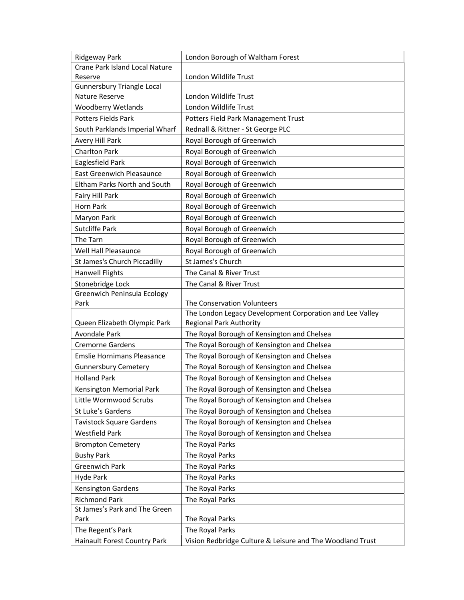| Ridgeway Park                                                                                                                                                                                                                          | London Borough of Waltham Forest                                                                                                                                                                                                |  |
|----------------------------------------------------------------------------------------------------------------------------------------------------------------------------------------------------------------------------------------|---------------------------------------------------------------------------------------------------------------------------------------------------------------------------------------------------------------------------------|--|
| Crane Park Island Local Nature                                                                                                                                                                                                         |                                                                                                                                                                                                                                 |  |
| Reserve                                                                                                                                                                                                                                | London Wildlife Trust                                                                                                                                                                                                           |  |
| <b>Gunnersbury Triangle Local</b>                                                                                                                                                                                                      |                                                                                                                                                                                                                                 |  |
| Nature Reserve                                                                                                                                                                                                                         | London Wildlife Trust                                                                                                                                                                                                           |  |
| <b>Woodberry Wetlands</b>                                                                                                                                                                                                              | London Wildlife Trust                                                                                                                                                                                                           |  |
| <b>Potters Fields Park</b>                                                                                                                                                                                                             | Potters Field Park Management Trust                                                                                                                                                                                             |  |
| South Parklands Imperial Wharf                                                                                                                                                                                                         | Rednall & Rittner - St George PLC                                                                                                                                                                                               |  |
| Avery Hill Park                                                                                                                                                                                                                        | Royal Borough of Greenwich                                                                                                                                                                                                      |  |
| <b>Charlton Park</b>                                                                                                                                                                                                                   | Royal Borough of Greenwich                                                                                                                                                                                                      |  |
| Eaglesfield Park                                                                                                                                                                                                                       | Royal Borough of Greenwich                                                                                                                                                                                                      |  |
| <b>East Greenwich Pleasaunce</b>                                                                                                                                                                                                       | Royal Borough of Greenwich                                                                                                                                                                                                      |  |
| Eltham Parks North and South                                                                                                                                                                                                           | Royal Borough of Greenwich                                                                                                                                                                                                      |  |
| Fairy Hill Park                                                                                                                                                                                                                        | Royal Borough of Greenwich                                                                                                                                                                                                      |  |
| Horn Park                                                                                                                                                                                                                              | Royal Borough of Greenwich                                                                                                                                                                                                      |  |
| Maryon Park                                                                                                                                                                                                                            | Royal Borough of Greenwich                                                                                                                                                                                                      |  |
| <b>Sutcliffe Park</b>                                                                                                                                                                                                                  | Royal Borough of Greenwich                                                                                                                                                                                                      |  |
| The Tarn                                                                                                                                                                                                                               | Royal Borough of Greenwich                                                                                                                                                                                                      |  |
| Well Hall Pleasaunce                                                                                                                                                                                                                   | Royal Borough of Greenwich                                                                                                                                                                                                      |  |
| St James's Church Piccadilly                                                                                                                                                                                                           | St James's Church                                                                                                                                                                                                               |  |
| <b>Hanwell Flights</b>                                                                                                                                                                                                                 | The Canal & River Trust                                                                                                                                                                                                         |  |
| Stonebridge Lock                                                                                                                                                                                                                       | The Canal & River Trust                                                                                                                                                                                                         |  |
| Greenwich Peninsula Ecology                                                                                                                                                                                                            |                                                                                                                                                                                                                                 |  |
| Park                                                                                                                                                                                                                                   | The Conservation Volunteers                                                                                                                                                                                                     |  |
|                                                                                                                                                                                                                                        | The London Legacy Development Corporation and Lee Valley                                                                                                                                                                        |  |
| Queen Elizabeth Olympic Park                                                                                                                                                                                                           | <b>Regional Park Authority</b>                                                                                                                                                                                                  |  |
| Avondale Park                                                                                                                                                                                                                          | The Royal Borough of Kensington and Chelsea                                                                                                                                                                                     |  |
| <b>Cremorne Gardens</b>                                                                                                                                                                                                                | The Royal Borough of Kensington and Chelsea                                                                                                                                                                                     |  |
| <b>Emslie Hornimans Pleasance</b>                                                                                                                                                                                                      | The Royal Borough of Kensington and Chelsea                                                                                                                                                                                     |  |
| <b>Gunnersbury Cemetery</b>                                                                                                                                                                                                            | The Royal Borough of Kensington and Chelsea                                                                                                                                                                                     |  |
| <b>Holland Park</b>                                                                                                                                                                                                                    | The Royal Borough of Kensington and Chelsea                                                                                                                                                                                     |  |
| Kensington Memorial Park                                                                                                                                                                                                               | The Royal Borough of Kensington and Chelsea                                                                                                                                                                                     |  |
| Little Wormwood Scrubs                                                                                                                                                                                                                 | The Royal Borough of Kensington and Chelsea                                                                                                                                                                                     |  |
| St Luke's Gardens                                                                                                                                                                                                                      | The Royal Borough of Kensington and Chelsea                                                                                                                                                                                     |  |
|                                                                                                                                                                                                                                        |                                                                                                                                                                                                                                 |  |
|                                                                                                                                                                                                                                        |                                                                                                                                                                                                                                 |  |
|                                                                                                                                                                                                                                        |                                                                                                                                                                                                                                 |  |
|                                                                                                                                                                                                                                        |                                                                                                                                                                                                                                 |  |
|                                                                                                                                                                                                                                        |                                                                                                                                                                                                                                 |  |
|                                                                                                                                                                                                                                        |                                                                                                                                                                                                                                 |  |
|                                                                                                                                                                                                                                        |                                                                                                                                                                                                                                 |  |
|                                                                                                                                                                                                                                        |                                                                                                                                                                                                                                 |  |
|                                                                                                                                                                                                                                        |                                                                                                                                                                                                                                 |  |
|                                                                                                                                                                                                                                        |                                                                                                                                                                                                                                 |  |
| The Regent's Park                                                                                                                                                                                                                      |                                                                                                                                                                                                                                 |  |
|                                                                                                                                                                                                                                        | The Royal Parks                                                                                                                                                                                                                 |  |
| <b>Tavistock Square Gardens</b><br>Westfield Park<br><b>Brompton Cemetery</b><br><b>Bushy Park</b><br><b>Greenwich Park</b><br>Hyde Park<br><b>Kensington Gardens</b><br><b>Richmond Park</b><br>St James's Park and The Green<br>Park | The Royal Borough of Kensington and Chelsea<br>The Royal Borough of Kensington and Chelsea<br>The Royal Parks<br>The Royal Parks<br>The Royal Parks<br>The Royal Parks<br>The Royal Parks<br>The Royal Parks<br>The Royal Parks |  |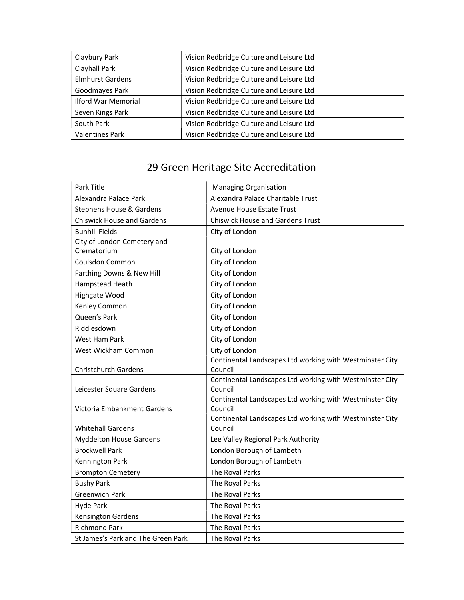| Claybury Park              | Vision Redbridge Culture and Leisure Ltd |  |
|----------------------------|------------------------------------------|--|
| Clayhall Park              | Vision Redbridge Culture and Leisure Ltd |  |
| <b>Elmhurst Gardens</b>    | Vision Redbridge Culture and Leisure Ltd |  |
| Goodmayes Park             | Vision Redbridge Culture and Leisure Ltd |  |
| <b>Ilford War Memorial</b> | Vision Redbridge Culture and Leisure Ltd |  |
| Seven Kings Park           | Vision Redbridge Culture and Leisure Ltd |  |
| South Park                 | Vision Redbridge Culture and Leisure Ltd |  |
| <b>Valentines Park</b>     | Vision Redbridge Culture and Leisure Ltd |  |

| <b>Managing Organisation</b>                                        |  |
|---------------------------------------------------------------------|--|
| Alexandra Palace Charitable Trust                                   |  |
| Avenue House Estate Trust                                           |  |
| <b>Chiswick House and Gardens Trust</b>                             |  |
| City of London                                                      |  |
|                                                                     |  |
| City of London                                                      |  |
| City of London                                                      |  |
| City of London                                                      |  |
| City of London                                                      |  |
| City of London                                                      |  |
| City of London                                                      |  |
| City of London                                                      |  |
| City of London                                                      |  |
| City of London                                                      |  |
| City of London                                                      |  |
| Continental Landscapes Ltd working with Westminster City            |  |
| Council                                                             |  |
| Continental Landscapes Ltd working with Westminster City            |  |
| Council                                                             |  |
| Continental Landscapes Ltd working with Westminster City<br>Council |  |
| Continental Landscapes Ltd working with Westminster City            |  |
| Council                                                             |  |
| Lee Valley Regional Park Authority                                  |  |
| London Borough of Lambeth                                           |  |
| London Borough of Lambeth                                           |  |
| The Royal Parks                                                     |  |
| The Royal Parks                                                     |  |
| The Royal Parks                                                     |  |
| The Royal Parks                                                     |  |
| The Royal Parks                                                     |  |
| The Royal Parks                                                     |  |
| The Royal Parks                                                     |  |
|                                                                     |  |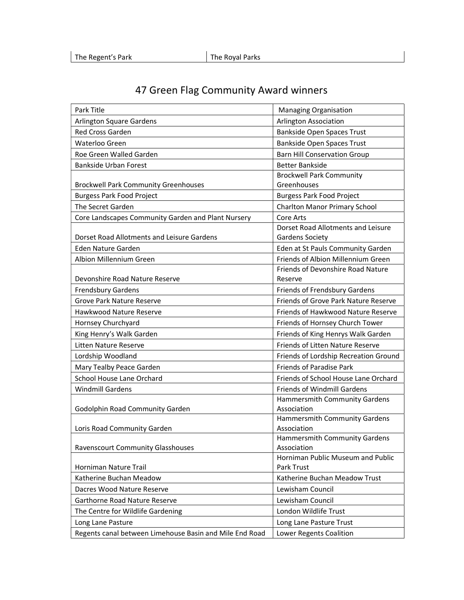| Park Title                                              | <b>Managing Organisation</b>                 |
|---------------------------------------------------------|----------------------------------------------|
| Arlington Square Gardens                                | Arlington Association                        |
| <b>Red Cross Garden</b>                                 | Bankside Open Spaces Trust                   |
| Waterloo Green                                          | <b>Bankside Open Spaces Trust</b>            |
| Roe Green Walled Garden                                 | <b>Barn Hill Conservation Group</b>          |
| <b>Bankside Urban Forest</b>                            | <b>Better Bankside</b>                       |
|                                                         | <b>Brockwell Park Community</b>              |
| <b>Brockwell Park Community Greenhouses</b>             | Greenhouses                                  |
| <b>Burgess Park Food Project</b>                        | <b>Burgess Park Food Project</b>             |
| The Secret Garden                                       | <b>Charlton Manor Primary School</b>         |
| Core Landscapes Community Garden and Plant Nursery      | Core Arts                                    |
|                                                         | Dorset Road Allotments and Leisure           |
| Dorset Road Allotments and Leisure Gardens              | Gardens Society                              |
| Eden Nature Garden                                      | Eden at St Pauls Community Garden            |
| Albion Millennium Green                                 | Friends of Albion Millennium Green           |
|                                                         | Friends of Devonshire Road Nature            |
| Devonshire Road Nature Reserve                          | Reserve                                      |
| <b>Frendsbury Gardens</b>                               | Friends of Frendsbury Gardens                |
| <b>Grove Park Nature Reserve</b>                        | Friends of Grove Park Nature Reserve         |
| Hawkwood Nature Reserve                                 | Friends of Hawkwood Nature Reserve           |
| Hornsey Churchyard                                      | Friends of Hornsey Church Tower              |
| King Henry's Walk Garden                                | Friends of King Henrys Walk Garden           |
| Litten Nature Reserve                                   | Friends of Litten Nature Reserve             |
| Lordship Woodland                                       | Friends of Lordship Recreation Ground        |
| Mary Tealby Peace Garden                                | <b>Friends of Paradise Park</b>              |
| School House Lane Orchard                               | Friends of School House Lane Orchard         |
| <b>Windmill Gardens</b>                                 | <b>Friends of Windmill Gardens</b>           |
|                                                         | Hammersmith Community Gardens                |
| Godolphin Road Community Garden                         | Association                                  |
|                                                         | Hammersmith Community Gardens                |
| Loris Road Community Garden                             | Association                                  |
| <b>Ravenscourt Community Glasshouses</b>                | Hammersmith Community Gardens<br>Association |
|                                                         | Horniman Public Museum and Public            |
| Horniman Nature Trail                                   | Park Trust                                   |
| Katherine Buchan Meadow                                 | Katherine Buchan Meadow Trust                |
| Dacres Wood Nature Reserve                              | Lewisham Council                             |
| Garthorne Road Nature Reserve                           | Lewisham Council                             |
| The Centre for Wildlife Gardening                       | London Wildlife Trust                        |
| Long Lane Pasture                                       | Long Lane Pasture Trust                      |
| Regents canal between Limehouse Basin and Mile End Road | Lower Regents Coalition                      |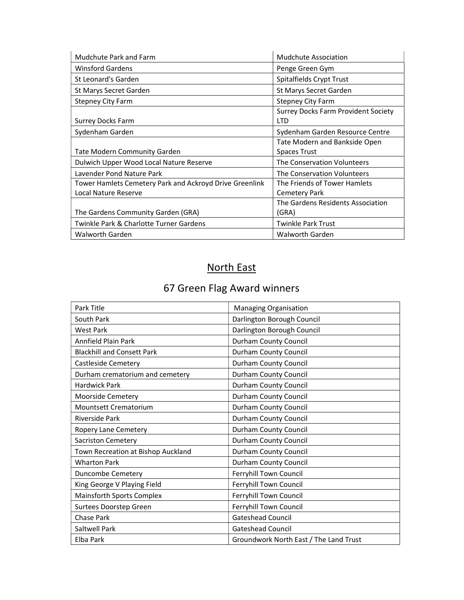| Mudchute Park and Farm                                  | Mudchute Association                       |
|---------------------------------------------------------|--------------------------------------------|
| <b>Winsford Gardens</b>                                 | Penge Green Gym                            |
| St Leonard's Garden                                     | Spitalfields Crypt Trust                   |
| St Marys Secret Garden                                  | St Marys Secret Garden                     |
| <b>Stepney City Farm</b>                                | <b>Stepney City Farm</b>                   |
|                                                         | <b>Surrey Docks Farm Provident Society</b> |
| Surrey Docks Farm                                       | <b>LTD</b>                                 |
| Sydenham Garden                                         | Sydenham Garden Resource Centre            |
|                                                         | Tate Modern and Bankside Open              |
| <b>Tate Modern Community Garden</b>                     | <b>Spaces Trust</b>                        |
| Dulwich Upper Wood Local Nature Reserve                 | The Conservation Volunteers                |
| Lavender Pond Nature Park                               | The Conservation Volunteers                |
| Tower Hamlets Cemetery Park and Ackroyd Drive Greenlink | The Friends of Tower Hamlets               |
| Local Nature Reserve                                    | <b>Cemetery Park</b>                       |
|                                                         | The Gardens Residents Association          |
| The Gardens Community Garden (GRA)                      | (GRA)                                      |
| Twinkle Park & Charlotte Turner Gardens                 | <b>Twinkle Park Trust</b>                  |
| Walworth Garden                                         | Walworth Garden                            |

## North East

| Park Title                         | <b>Managing Organisation</b>           |
|------------------------------------|----------------------------------------|
| South Park                         | Darlington Borough Council             |
| <b>West Park</b>                   | Darlington Borough Council             |
| Annfield Plain Park                | Durham County Council                  |
| <b>Blackhill and Consett Park</b>  | Durham County Council                  |
| Castleside Cemetery                | Durham County Council                  |
| Durham crematorium and cemetery    | Durham County Council                  |
| <b>Hardwick Park</b>               | Durham County Council                  |
| Moorside Cemetery                  | Durham County Council                  |
| Mountsett Crematorium              | Durham County Council                  |
| <b>Riverside Park</b>              | Durham County Council                  |
| Ropery Lane Cemetery               | Durham County Council                  |
| <b>Sacriston Cemetery</b>          | Durham County Council                  |
| Town Recreation at Bishop Auckland | Durham County Council                  |
| <b>Wharton Park</b>                | Durham County Council                  |
| <b>Duncombe Cemetery</b>           | Ferryhill Town Council                 |
| King George V Playing Field        | Ferryhill Town Council                 |
| <b>Mainsforth Sports Complex</b>   | Ferryhill Town Council                 |
| Surtees Doorstep Green             | Ferryhill Town Council                 |
| Chase Park                         | Gateshead Council                      |
| Saltwell Park                      | <b>Gateshead Council</b>               |
| Elba Park                          | Groundwork North East / The Land Trust |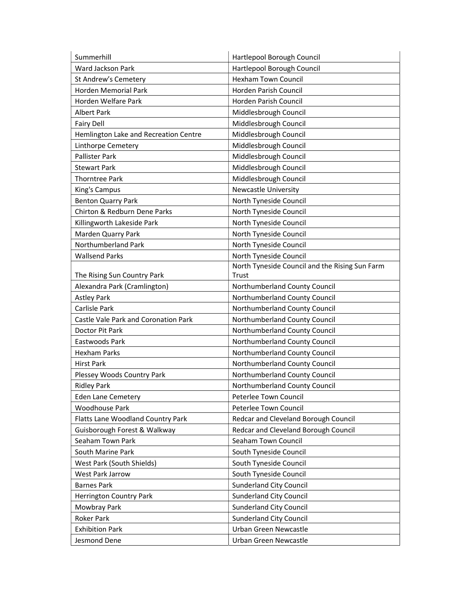| Summerhill                            | Hartlepool Borough Council                     |
|---------------------------------------|------------------------------------------------|
| Ward Jackson Park                     | Hartlepool Borough Council                     |
| St Andrew's Cemetery                  | <b>Hexham Town Council</b>                     |
| <b>Horden Memorial Park</b>           | Horden Parish Council                          |
| Horden Welfare Park                   | Horden Parish Council                          |
| <b>Albert Park</b>                    | Middlesbrough Council                          |
| <b>Fairy Dell</b>                     | Middlesbrough Council                          |
| Hemlington Lake and Recreation Centre | Middlesbrough Council                          |
| Linthorpe Cemetery                    | Middlesbrough Council                          |
| <b>Pallister Park</b>                 | Middlesbrough Council                          |
| <b>Stewart Park</b>                   | Middlesbrough Council                          |
| <b>Thorntree Park</b>                 | Middlesbrough Council                          |
| King's Campus                         | <b>Newcastle University</b>                    |
| <b>Benton Quarry Park</b>             | North Tyneside Council                         |
| Chirton & Redburn Dene Parks          | North Tyneside Council                         |
| Killingworth Lakeside Park            | North Tyneside Council                         |
| Marden Quarry Park                    | North Tyneside Council                         |
| Northumberland Park                   | North Tyneside Council                         |
| <b>Wallsend Parks</b>                 | North Tyneside Council                         |
|                                       | North Tyneside Council and the Rising Sun Farm |
| The Rising Sun Country Park           | Trust                                          |
| Alexandra Park (Cramlington)          | Northumberland County Council                  |
| <b>Astley Park</b>                    | Northumberland County Council                  |
| Carlisle Park                         | Northumberland County Council                  |
| Castle Vale Park and Coronation Park  | Northumberland County Council                  |
| Doctor Pit Park                       | Northumberland County Council                  |
| Eastwoods Park                        | Northumberland County Council                  |
| <b>Hexham Parks</b>                   | Northumberland County Council                  |
| <b>Hirst Park</b>                     | Northumberland County Council                  |
| Plessey Woods Country Park            | Northumberland County Council                  |
| <b>Ridley Park</b>                    | Northumberland County Council                  |
| <b>Eden Lane Cemetery</b>             | Peterlee Town Council                          |
| <b>Woodhouse Park</b>                 | Peterlee Town Council                          |
| Flatts Lane Woodland Country Park     | Redcar and Cleveland Borough Council           |
| Guisborough Forest & Walkway          | Redcar and Cleveland Borough Council           |
| Seaham Town Park                      | Seaham Town Council                            |
| South Marine Park                     | South Tyneside Council                         |
| West Park (South Shields)             | South Tyneside Council                         |
| West Park Jarrow                      | South Tyneside Council                         |
| <b>Barnes Park</b>                    | <b>Sunderland City Council</b>                 |
| <b>Herrington Country Park</b>        | <b>Sunderland City Council</b>                 |
| Mowbray Park                          | <b>Sunderland City Council</b>                 |
| Roker Park                            | <b>Sunderland City Council</b>                 |
| <b>Exhibition Park</b>                | Urban Green Newcastle                          |
| Jesmond Dene                          | Urban Green Newcastle                          |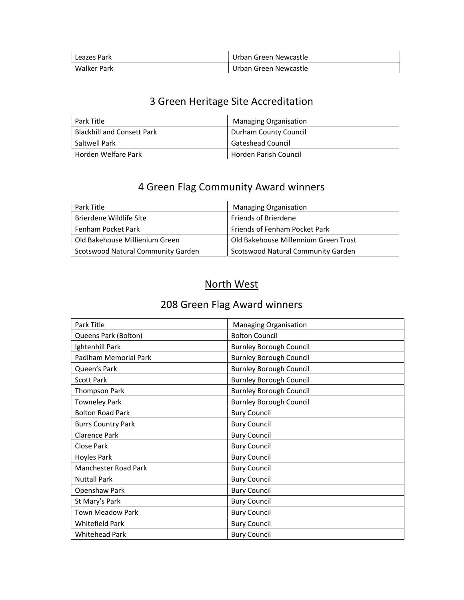| Leazes Park | Urban Green Newcastle |
|-------------|-----------------------|
| Walker Park | Urban Green Newcastle |

| Park Title                        | <b>Managing Organisation</b> |
|-----------------------------------|------------------------------|
| <b>Blackhill and Consett Park</b> | Durham County Council        |
| Saltwell Park                     | <b>Gateshead Council</b>     |
| Horden Welfare Park               | Horden Parish Council        |

## 4 Green Flag Community Award winners

| Park Title                         | <b>Managing Organisation</b>         |
|------------------------------------|--------------------------------------|
| Brierdene Wildlife Site            | <b>Friends of Brierdene</b>          |
| Fenham Pocket Park                 | <b>Friends of Fenham Pocket Park</b> |
| Old Bakehouse Millienium Green     | Old Bakehouse Millennium Green Trust |
| Scotswood Natural Community Garden | Scotswood Natural Community Garden   |

#### North West

| Park Title                  | <b>Managing Organisation</b>   |
|-----------------------------|--------------------------------|
| Queens Park (Bolton)        | <b>Bolton Council</b>          |
| Ightenhill Park             | <b>Burnley Borough Council</b> |
| Padiham Memorial Park       | <b>Burnley Borough Council</b> |
| Queen's Park                | <b>Burnley Borough Council</b> |
| <b>Scott Park</b>           | <b>Burnley Borough Council</b> |
| Thompson Park               | <b>Burnley Borough Council</b> |
| <b>Towneley Park</b>        | <b>Burnley Borough Council</b> |
| <b>Bolton Road Park</b>     | <b>Bury Council</b>            |
| <b>Burrs Country Park</b>   | <b>Bury Council</b>            |
| <b>Clarence Park</b>        | <b>Bury Council</b>            |
| Close Park                  | <b>Bury Council</b>            |
| Hoyles Park                 | <b>Bury Council</b>            |
| <b>Manchester Road Park</b> | <b>Bury Council</b>            |
| <b>Nuttall Park</b>         | <b>Bury Council</b>            |
| Openshaw Park               | <b>Bury Council</b>            |
| St Mary's Park              | <b>Bury Council</b>            |
| <b>Town Meadow Park</b>     | <b>Bury Council</b>            |
| Whitefield Park             | <b>Bury Council</b>            |
| <b>Whitehead Park</b>       | <b>Bury Council</b>            |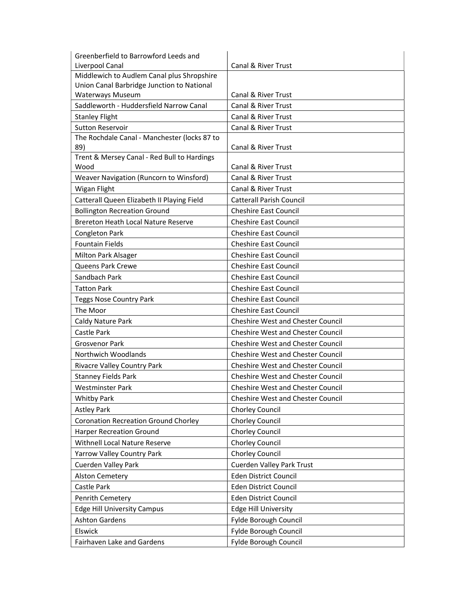| Greenberfield to Barrowford Leeds and              |                                                |
|----------------------------------------------------|------------------------------------------------|
| Liverpool Canal                                    | <b>Canal &amp; River Trust</b>                 |
| Middlewich to Audlem Canal plus Shropshire         |                                                |
| Union Canal Barbridge Junction to National         |                                                |
| Waterways Museum                                   | Canal & River Trust                            |
| Saddleworth - Huddersfield Narrow Canal            | Canal & River Trust                            |
| <b>Stanley Flight</b>                              | Canal & River Trust                            |
| <b>Sutton Reservoir</b>                            | Canal & River Trust                            |
| The Rochdale Canal - Manchester (locks 87 to       |                                                |
| 89)<br>Trent & Mersey Canal - Red Bull to Hardings | Canal & River Trust                            |
| Wood                                               | Canal & River Trust                            |
| Weaver Navigation (Runcorn to Winsford)            | Canal & River Trust                            |
| Wigan Flight                                       | Canal & River Trust                            |
| Catterall Queen Elizabeth II Playing Field         | <b>Catterall Parish Council</b>                |
| <b>Bollington Recreation Ground</b>                | <b>Cheshire East Council</b>                   |
| <b>Brereton Heath Local Nature Reserve</b>         | <b>Cheshire East Council</b>                   |
|                                                    |                                                |
| Congleton Park                                     | <b>Cheshire East Council</b>                   |
| <b>Fountain Fields</b>                             | <b>Cheshire East Council</b>                   |
| Milton Park Alsager                                | <b>Cheshire East Council</b>                   |
| <b>Queens Park Crewe</b>                           | <b>Cheshire East Council</b>                   |
| Sandbach Park                                      | <b>Cheshire East Council</b>                   |
| <b>Tatton Park</b>                                 | <b>Cheshire East Council</b>                   |
| <b>Teggs Nose Country Park</b>                     | <b>Cheshire East Council</b>                   |
| The Moor                                           | <b>Cheshire East Council</b>                   |
| Caldy Nature Park                                  | <b>Cheshire West and Chester Council</b>       |
| Castle Park                                        | <b>Cheshire West and Chester Council</b>       |
| <b>Grosvenor Park</b>                              | <b>Cheshire West and Chester Council</b>       |
| Northwich Woodlands                                | <b>Cheshire West and Chester Council</b>       |
| Rivacre Valley Country Park                        | <b>Cheshire West and Chester Council</b>       |
| <b>Stanney Fields Park</b>                         | <b>Cheshire West and Chester Council</b>       |
| <b>Westminster Park</b>                            | <b>Cheshire West and Chester Council</b>       |
| <b>Whitby Park</b>                                 | Cheshire West and Chester Council              |
| <b>Astley Park</b>                                 | <b>Chorley Council</b>                         |
| <b>Coronation Recreation Ground Chorley</b>        | <b>Chorley Council</b>                         |
| <b>Harper Recreation Ground</b>                    | <b>Chorley Council</b>                         |
| Withnell Local Nature Reserve                      | <b>Chorley Council</b>                         |
| Yarrow Valley Country Park                         | <b>Chorley Council</b>                         |
| Cuerden Valley Park                                | Cuerden Valley Park Trust                      |
| <b>Alston Cemetery</b>                             | <b>Eden District Council</b>                   |
| Castle Park                                        | Eden District Council                          |
| Penrith Cemetery                                   | Eden District Council                          |
| <b>Edge Hill University Campus</b>                 | <b>Edge Hill University</b>                    |
| <b>Ashton Gardens</b>                              | Fylde Borough Council                          |
|                                                    |                                                |
|                                                    |                                                |
| Elswick<br>Fairhaven Lake and Gardens              | Fylde Borough Council<br>Fylde Borough Council |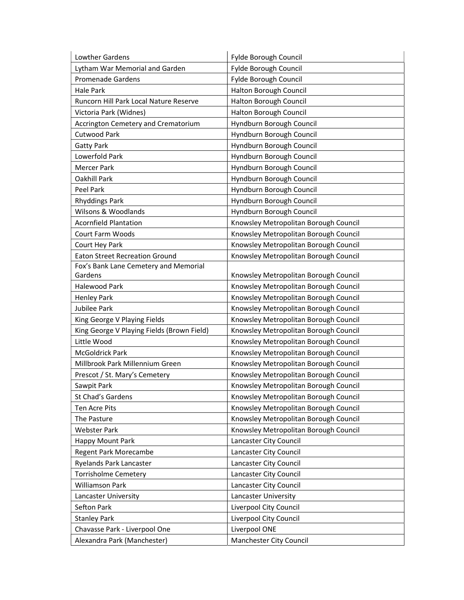| Lowther Gardens                            | Fylde Borough Council                 |
|--------------------------------------------|---------------------------------------|
| Lytham War Memorial and Garden             | Fylde Borough Council                 |
| <b>Promenade Gardens</b>                   | Fylde Borough Council                 |
| <b>Hale Park</b>                           | Halton Borough Council                |
| Runcorn Hill Park Local Nature Reserve     | Halton Borough Council                |
| Victoria Park (Widnes)                     | Halton Borough Council                |
| Accrington Cemetery and Crematorium        | Hyndburn Borough Council              |
| <b>Cutwood Park</b>                        | Hyndburn Borough Council              |
| <b>Gatty Park</b>                          | Hyndburn Borough Council              |
| Lowerfold Park                             | Hyndburn Borough Council              |
| <b>Mercer Park</b>                         | Hyndburn Borough Council              |
| Oakhill Park                               | Hyndburn Borough Council              |
| Peel Park                                  | Hyndburn Borough Council              |
| <b>Rhyddings Park</b>                      | Hyndburn Borough Council              |
| Wilsons & Woodlands                        | Hyndburn Borough Council              |
| <b>Acornfield Plantation</b>               | Knowsley Metropolitan Borough Council |
| Court Farm Woods                           | Knowsley Metropolitan Borough Council |
| Court Hey Park                             | Knowsley Metropolitan Borough Council |
| <b>Eaton Street Recreation Ground</b>      | Knowsley Metropolitan Borough Council |
| Fox's Bank Lane Cemetery and Memorial      |                                       |
| Gardens                                    | Knowsley Metropolitan Borough Council |
| <b>Halewood Park</b>                       | Knowsley Metropolitan Borough Council |
| <b>Henley Park</b>                         | Knowsley Metropolitan Borough Council |
| Jubilee Park                               | Knowsley Metropolitan Borough Council |
| King George V Playing Fields               | Knowsley Metropolitan Borough Council |
| King George V Playing Fields (Brown Field) | Knowsley Metropolitan Borough Council |
| Little Wood                                | Knowsley Metropolitan Borough Council |
| McGoldrick Park                            | Knowsley Metropolitan Borough Council |
| Millbrook Park Millennium Green            | Knowsley Metropolitan Borough Council |
| Prescot / St. Mary's Cemetery              | Knowsley Metropolitan Borough Council |
| Sawpit Park                                | Knowsley Metropolitan Borough Council |
| St Chad's Gardens                          | Knowsley Metropolitan Borough Council |
| Ten Acre Pits                              | Knowsley Metropolitan Borough Council |
| The Pasture                                | Knowsley Metropolitan Borough Council |
| <b>Webster Park</b>                        | Knowsley Metropolitan Borough Council |
| Happy Mount Park                           | Lancaster City Council                |
| Regent Park Morecambe                      | Lancaster City Council                |
| Ryelands Park Lancaster                    | Lancaster City Council                |
| <b>Torrisholme Cemetery</b>                | Lancaster City Council                |
| Williamson Park                            | Lancaster City Council                |
| Lancaster University                       | Lancaster University                  |
| Sefton Park                                | Liverpool City Council                |
| <b>Stanley Park</b>                        | Liverpool City Council                |
| Chavasse Park - Liverpool One              | Liverpool ONE                         |
| Alexandra Park (Manchester)                | Manchester City Council               |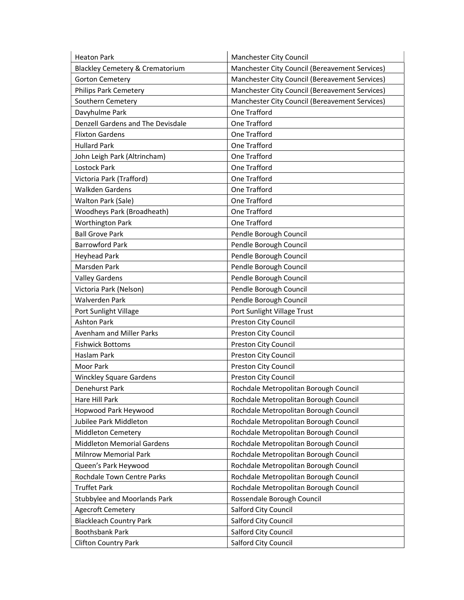| <b>Heaton Park</b>                | Manchester City Council                        |
|-----------------------------------|------------------------------------------------|
| Blackley Cemetery & Crematorium   | Manchester City Council (Bereavement Services) |
| <b>Gorton Cemetery</b>            | Manchester City Council (Bereavement Services) |
| <b>Philips Park Cemetery</b>      | Manchester City Council (Bereavement Services) |
| Southern Cemetery                 | Manchester City Council (Bereavement Services) |
| Davyhulme Park                    | One Trafford                                   |
| Denzell Gardens and The Devisdale | One Trafford                                   |
| <b>Flixton Gardens</b>            | One Trafford                                   |
| <b>Hullard Park</b>               | One Trafford                                   |
| John Leigh Park (Altrincham)      | One Trafford                                   |
| Lostock Park                      | One Trafford                                   |
| Victoria Park (Trafford)          | One Trafford                                   |
| <b>Walkden Gardens</b>            | One Trafford                                   |
| Walton Park (Sale)                | One Trafford                                   |
| Woodheys Park (Broadheath)        | One Trafford                                   |
| <b>Worthington Park</b>           | One Trafford                                   |
| <b>Ball Grove Park</b>            | Pendle Borough Council                         |
| <b>Barrowford Park</b>            | Pendle Borough Council                         |
| <b>Heyhead Park</b>               | Pendle Borough Council                         |
| Marsden Park                      | Pendle Borough Council                         |
| <b>Valley Gardens</b>             | Pendle Borough Council                         |
| Victoria Park (Nelson)            | Pendle Borough Council                         |
| Walverden Park                    | Pendle Borough Council                         |
| Port Sunlight Village             | Port Sunlight Village Trust                    |
| <b>Ashton Park</b>                | Preston City Council                           |
| Avenham and Miller Parks          | Preston City Council                           |
| <b>Fishwick Bottoms</b>           | Preston City Council                           |
| Haslam Park                       | Preston City Council                           |
| <b>Moor Park</b>                  | Preston City Council                           |
| <b>Winckley Square Gardens</b>    | Preston City Council                           |
| Denehurst Park                    | Rochdale Metropolitan Borough Council          |
| Hare Hill Park                    | Rochdale Metropolitan Borough Council          |
| Hopwood Park Heywood              | Rochdale Metropolitan Borough Council          |
| Jubilee Park Middleton            | Rochdale Metropolitan Borough Council          |
| <b>Middleton Cemetery</b>         | Rochdale Metropolitan Borough Council          |
| <b>Middleton Memorial Gardens</b> | Rochdale Metropolitan Borough Council          |
| <b>Milnrow Memorial Park</b>      | Rochdale Metropolitan Borough Council          |
| Queen's Park Heywood              | Rochdale Metropolitan Borough Council          |
| Rochdale Town Centre Parks        | Rochdale Metropolitan Borough Council          |
| <b>Truffet Park</b>               | Rochdale Metropolitan Borough Council          |
| Stubbylee and Moorlands Park      | Rossendale Borough Council                     |
| <b>Agecroft Cemetery</b>          | Salford City Council                           |
| <b>Blackleach Country Park</b>    | Salford City Council                           |
| <b>Boothsbank Park</b>            | Salford City Council                           |
| <b>Clifton Country Park</b>       | Salford City Council                           |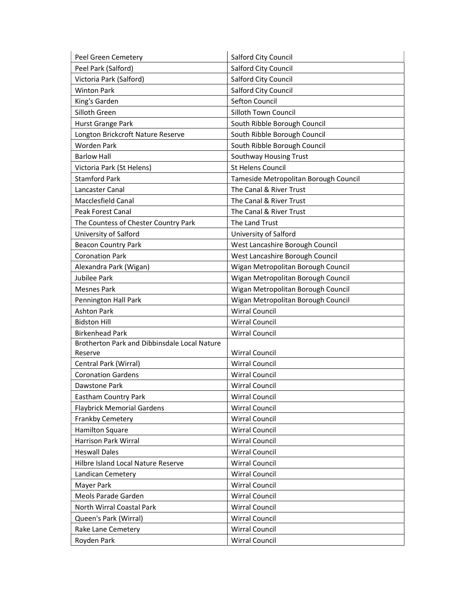| Peel Green Cemetery                          | <b>Salford City Council</b>           |
|----------------------------------------------|---------------------------------------|
| Peel Park (Salford)                          | Salford City Council                  |
| Victoria Park (Salford)                      | Salford City Council                  |
| <b>Winton Park</b>                           | Salford City Council                  |
| King's Garden                                | Sefton Council                        |
| Silloth Green                                | Silloth Town Council                  |
| Hurst Grange Park                            | South Ribble Borough Council          |
| Longton Brickcroft Nature Reserve            | South Ribble Borough Council          |
| <b>Worden Park</b>                           | South Ribble Borough Council          |
| <b>Barlow Hall</b>                           | Southway Housing Trust                |
| Victoria Park (St Helens)                    | <b>St Helens Council</b>              |
| <b>Stamford Park</b>                         | Tameside Metropolitan Borough Council |
| Lancaster Canal                              | The Canal & River Trust               |
| Macclesfield Canal                           | The Canal & River Trust               |
| <b>Peak Forest Canal</b>                     | The Canal & River Trust               |
| The Countess of Chester Country Park         | The Land Trust                        |
| University of Salford                        | University of Salford                 |
| <b>Beacon Country Park</b>                   | West Lancashire Borough Council       |
| <b>Coronation Park</b>                       | West Lancashire Borough Council       |
| Alexandra Park (Wigan)                       | Wigan Metropolitan Borough Council    |
| Jubilee Park                                 | Wigan Metropolitan Borough Council    |
| <b>Mesnes Park</b>                           | Wigan Metropolitan Borough Council    |
| Pennington Hall Park                         | Wigan Metropolitan Borough Council    |
| <b>Ashton Park</b>                           | <b>Wirral Council</b>                 |
| <b>Bidston Hill</b>                          | <b>Wirral Council</b>                 |
| <b>Birkenhead Park</b>                       | <b>Wirral Council</b>                 |
| Brotherton Park and Dibbinsdale Local Nature |                                       |
| Reserve                                      | <b>Wirral Council</b>                 |
| Central Park (Wirral)                        | <b>Wirral Council</b>                 |
| <b>Coronation Gardens</b>                    | <b>Wirral Council</b>                 |
| Dawstone Park                                | <b>Wirral Council</b>                 |
| <b>Eastham Country Park</b>                  | <b>Wirral Council</b>                 |
| <b>Flaybrick Memorial Gardens</b>            | <b>Wirral Council</b>                 |
| Frankby Cemetery                             | <b>Wirral Council</b>                 |
| <b>Hamilton Square</b>                       | <b>Wirral Council</b>                 |
| Harrison Park Wirral                         | <b>Wirral Council</b>                 |
| <b>Heswall Dales</b>                         | <b>Wirral Council</b>                 |
| Hilbre Island Local Nature Reserve           | <b>Wirral Council</b>                 |
| Landican Cemetery                            | <b>Wirral Council</b>                 |
| Mayer Park                                   | <b>Wirral Council</b>                 |
| Meols Parade Garden                          | <b>Wirral Council</b>                 |
| North Wirral Coastal Park                    | <b>Wirral Council</b>                 |
| Queen's Park (Wirral)                        | Wirral Council                        |
| Rake Lane Cemetery                           | <b>Wirral Council</b>                 |
| Royden Park                                  | <b>Wirral Council</b>                 |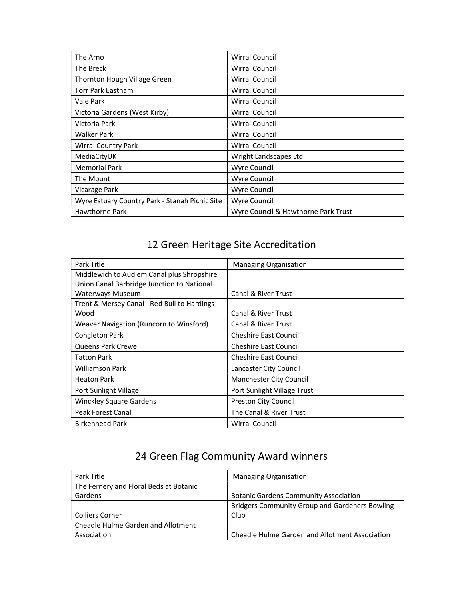| The Arno                                       | <b>Wirral Council</b>               |
|------------------------------------------------|-------------------------------------|
| The Breck                                      | <b>Wirral Council</b>               |
| Thornton Hough Village Green                   | <b>Wirral Council</b>               |
| <b>Torr Park Eastham</b>                       | <b>Wirral Council</b>               |
| Vale Park                                      | <b>Wirral Council</b>               |
| Victoria Gardens (West Kirby)                  | Wirral Council                      |
| Victoria Park                                  | <b>Wirral Council</b>               |
| <b>Walker Park</b>                             | <b>Wirral Council</b>               |
| <b>Wirral Country Park</b>                     | <b>Wirral Council</b>               |
| MediaCityUK                                    | Wright Landscapes Ltd               |
| <b>Memorial Park</b>                           | Wyre Council                        |
| The Mount                                      | Wyre Council                        |
| Vicarage Park                                  | <b>Wyre Council</b>                 |
| Wyre Estuary Country Park - Stanah Picnic Site | Wyre Council                        |
| Hawthorne Park                                 | Wyre Council & Hawthorne Park Trust |

| Park Title                                  | <b>Managing Organisation</b>   |
|---------------------------------------------|--------------------------------|
| Middlewich to Audlem Canal plus Shropshire  |                                |
| Union Canal Barbridge Junction to National  |                                |
| Waterways Museum                            | <b>Canal &amp; River Trust</b> |
| Trent & Mersey Canal - Red Bull to Hardings |                                |
| Wood                                        | Canal & River Trust            |
| Weaver Navigation (Runcorn to Winsford)     | Canal & River Trust            |
| Congleton Park                              | <b>Cheshire East Council</b>   |
| <b>Queens Park Crewe</b>                    | <b>Cheshire East Council</b>   |
| <b>Tatton Park</b>                          | <b>Cheshire East Council</b>   |
| Williamson Park                             | Lancaster City Council         |
| <b>Heaton Park</b>                          | Manchester City Council        |
| Port Sunlight Village                       | Port Sunlight Village Trust    |
| <b>Winckley Square Gardens</b>              | Preston City Council           |
| Peak Forest Canal                           | The Canal & River Trust        |
| <b>Birkenhead Park</b>                      | <b>Wirral Council</b>          |

| Park Title                             | <b>Managing Organisation</b>                          |
|----------------------------------------|-------------------------------------------------------|
| The Fernery and Floral Beds at Botanic |                                                       |
| Gardens                                | <b>Botanic Gardens Community Association</b>          |
|                                        | <b>Bridgers Community Group and Gardeners Bowling</b> |
| <b>Colliers Corner</b>                 | Club                                                  |
| Cheadle Hulme Garden and Allotment     |                                                       |
| Association                            | Cheadle Hulme Garden and Allotment Association        |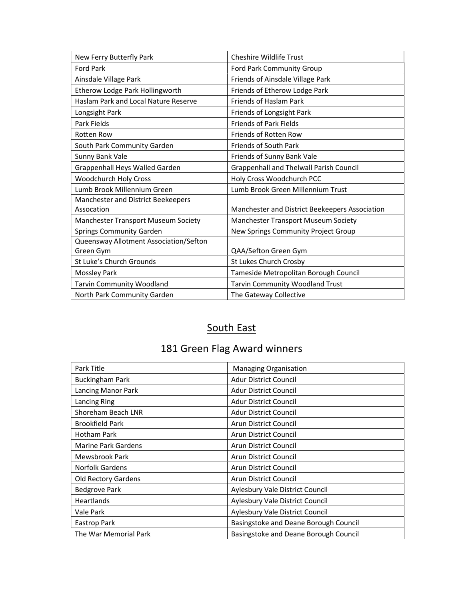| New Ferry Butterfly Park               | <b>Cheshire Wildlife Trust</b>                 |
|----------------------------------------|------------------------------------------------|
| <b>Ford Park</b>                       | Ford Park Community Group                      |
| Ainsdale Village Park                  | Friends of Ainsdale Village Park               |
| Etherow Lodge Park Hollingworth        | Friends of Etherow Lodge Park                  |
| Haslam Park and Local Nature Reserve   | Friends of Haslam Park                         |
| Longsight Park                         | Friends of Longsight Park                      |
| Park Fields                            | <b>Friends of Park Fields</b>                  |
| <b>Rotten Row</b>                      | <b>Friends of Rotten Row</b>                   |
| South Park Community Garden            | <b>Friends of South Park</b>                   |
| Sunny Bank Vale                        | Friends of Sunny Bank Vale                     |
| Grappenhall Heys Walled Garden         | Grappenhall and Thelwall Parish Council        |
| <b>Woodchurch Holy Cross</b>           | Holy Cross Woodchurch PCC                      |
| Lumb Brook Millennium Green            | Lumb Brook Green Millennium Trust              |
| Manchester and District Beekeepers     |                                                |
| Assocation                             | Manchester and District Beekeepers Association |
| Manchester Transport Museum Society    | Manchester Transport Museum Society            |
| <b>Springs Community Garden</b>        | New Springs Community Project Group            |
| Queensway Allotment Association/Sefton |                                                |
| Green Gym                              | QAA/Sefton Green Gym                           |
| St Luke's Church Grounds               | St Lukes Church Crosby                         |
| <b>Mossley Park</b>                    | Tameside Metropolitan Borough Council          |
| <b>Tarvin Community Woodland</b>       | <b>Tarvin Community Woodland Trust</b>         |
| North Park Community Garden            | The Gateway Collective                         |

# South East

| Park Title                 | <b>Managing Organisation</b>          |
|----------------------------|---------------------------------------|
| <b>Buckingham Park</b>     | Adur District Council                 |
| Lancing Manor Park         | <b>Adur District Council</b>          |
| Lancing Ring               | <b>Adur District Council</b>          |
| Shoreham Beach LNR         | <b>Adur District Council</b>          |
| <b>Brookfield Park</b>     | Arun District Council                 |
| <b>Hotham Park</b>         | Arun District Council                 |
| <b>Marine Park Gardens</b> | Arun District Council                 |
| Mewsbrook Park             | Arun District Council                 |
| Norfolk Gardens            | Arun District Council                 |
| Old Rectory Gardens        | Arun District Council                 |
| <b>Bedgrove Park</b>       | Aylesbury Vale District Council       |
| <b>Heartlands</b>          | Aylesbury Vale District Council       |
| Vale Park                  | Aylesbury Vale District Council       |
| Eastrop Park               | Basingstoke and Deane Borough Council |
| The War Memorial Park      | Basingstoke and Deane Borough Council |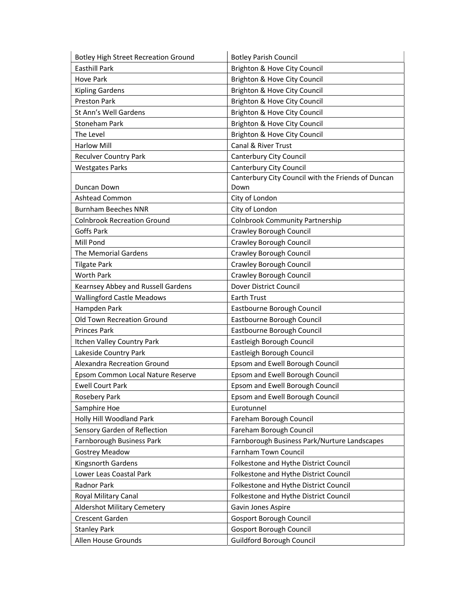| <b>Botley High Street Recreation Ground</b> | <b>Botley Parish Council</b>                       |
|---------------------------------------------|----------------------------------------------------|
| <b>Easthill Park</b>                        | Brighton & Hove City Council                       |
| Hove Park                                   | Brighton & Hove City Council                       |
| <b>Kipling Gardens</b>                      | Brighton & Hove City Council                       |
| <b>Preston Park</b>                         | Brighton & Hove City Council                       |
| St Ann's Well Gardens                       | Brighton & Hove City Council                       |
| <b>Stoneham Park</b>                        | Brighton & Hove City Council                       |
| The Level                                   | Brighton & Hove City Council                       |
| <b>Harlow Mill</b>                          | Canal & River Trust                                |
| <b>Reculver Country Park</b>                | Canterbury City Council                            |
| <b>Westgates Parks</b>                      | <b>Canterbury City Council</b>                     |
|                                             | Canterbury City Council with the Friends of Duncan |
| Duncan Down                                 | Down                                               |
| Ashtead Common                              | City of London                                     |
| <b>Burnham Beeches NNR</b>                  | City of London                                     |
| <b>Colnbrook Recreation Ground</b>          | <b>Colnbrook Community Partnership</b>             |
| Goffs Park                                  | Crawley Borough Council                            |
| Mill Pond                                   | <b>Crawley Borough Council</b>                     |
| The Memorial Gardens                        | Crawley Borough Council                            |
| <b>Tilgate Park</b>                         | Crawley Borough Council                            |
| <b>Worth Park</b>                           | Crawley Borough Council                            |
| Kearnsey Abbey and Russell Gardens          | Dover District Council                             |
| <b>Wallingford Castle Meadows</b>           | <b>Earth Trust</b>                                 |
| Hampden Park                                | Eastbourne Borough Council                         |
| Old Town Recreation Ground                  | Eastbourne Borough Council                         |
| <b>Princes Park</b>                         | Eastbourne Borough Council                         |
| Itchen Valley Country Park                  | Eastleigh Borough Council                          |
| Lakeside Country Park                       | Eastleigh Borough Council                          |
| Alexandra Recreation Ground                 | Epsom and Ewell Borough Council                    |
| Epsom Common Local Nature Reserve           | Epsom and Ewell Borough Council                    |
| <b>Ewell Court Park</b>                     | Epsom and Ewell Borough Council                    |
| Rosebery Park                               | Epsom and Ewell Borough Council                    |
| Samphire Hoe                                | Eurotunnel                                         |
| Holly Hill Woodland Park                    | Fareham Borough Council                            |
| Sensory Garden of Reflection                | Fareham Borough Council                            |
| Farnborough Business Park                   | Farnborough Business Park/Nurture Landscapes       |
| <b>Gostrey Meadow</b>                       | Farnham Town Council                               |
| Kingsnorth Gardens                          | Folkestone and Hythe District Council              |
| Lower Leas Coastal Park                     | Folkestone and Hythe District Council              |
| Radnor Park                                 | Folkestone and Hythe District Council              |
| Royal Military Canal                        | Folkestone and Hythe District Council              |
| <b>Aldershot Military Cemetery</b>          | Gavin Jones Aspire                                 |
| Crescent Garden                             | <b>Gosport Borough Council</b>                     |
| <b>Stanley Park</b>                         | <b>Gosport Borough Council</b>                     |
| Allen House Grounds                         | <b>Guildford Borough Council</b>                   |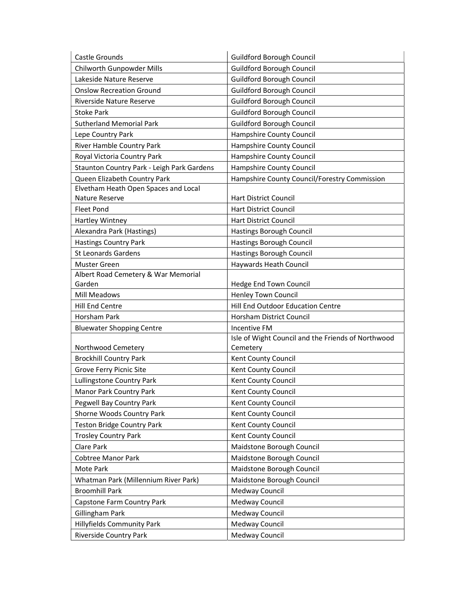| Castle Grounds                             | <b>Guildford Borough Council</b>                   |
|--------------------------------------------|----------------------------------------------------|
| Chilworth Gunpowder Mills                  | <b>Guildford Borough Council</b>                   |
| Lakeside Nature Reserve                    | <b>Guildford Borough Council</b>                   |
| <b>Onslow Recreation Ground</b>            | <b>Guildford Borough Council</b>                   |
| Riverside Nature Reserve                   | <b>Guildford Borough Council</b>                   |
| <b>Stoke Park</b>                          | <b>Guildford Borough Council</b>                   |
| <b>Sutherland Memorial Park</b>            | <b>Guildford Borough Council</b>                   |
| Lepe Country Park                          | Hampshire County Council                           |
| River Hamble Country Park                  | Hampshire County Council                           |
| Royal Victoria Country Park                | Hampshire County Council                           |
| Staunton Country Park - Leigh Park Gardens | Hampshire County Council                           |
| Queen Elizabeth Country Park               | Hampshire County Council/Forestry Commission       |
| Elvetham Heath Open Spaces and Local       |                                                    |
| Nature Reserve                             | <b>Hart District Council</b>                       |
| <b>Fleet Pond</b>                          | <b>Hart District Council</b>                       |
| Hartley Wintney                            | <b>Hart District Council</b>                       |
| Alexandra Park (Hastings)                  | Hastings Borough Council                           |
| <b>Hastings Country Park</b>               | Hastings Borough Council                           |
| <b>St Leonards Gardens</b>                 | Hastings Borough Council                           |
| Muster Green                               | Haywards Heath Council                             |
| Albert Road Cemetery & War Memorial        |                                                    |
| Garden                                     | Hedge End Town Council                             |
| Mill Meadows                               | <b>Henley Town Council</b>                         |
| Hill End Centre                            | Hill End Outdoor Education Centre                  |
| Horsham Park                               | Horsham District Council                           |
| <b>Bluewater Shopping Centre</b>           | Incentive FM                                       |
|                                            | Isle of Wight Council and the Friends of Northwood |
| Northwood Cemetery                         | Cemetery                                           |
| <b>Brockhill Country Park</b>              | Kent County Council                                |
| <b>Grove Ferry Picnic Site</b>             | Kent County Council                                |
| Lullingstone Country Park                  | Kent County Council                                |
| Manor Park Country Park                    | Kent County Council                                |
| Pegwell Bay Country Park                   | Kent County Council                                |
| Shorne Woods Country Park                  | Kent County Council                                |
| Teston Bridge Country Park                 | Kent County Council                                |
| <b>Trosley Country Park</b>                | Kent County Council                                |
| Clare Park                                 | Maidstone Borough Council                          |
| Cobtree Manor Park                         | Maidstone Borough Council                          |
| Mote Park                                  | Maidstone Borough Council                          |
| Whatman Park (Millennium River Park)       | Maidstone Borough Council                          |
| <b>Broomhill Park</b>                      | Medway Council                                     |
| Capstone Farm Country Park                 | Medway Council                                     |
| Gillingham Park                            | Medway Council                                     |
| Hillyfields Community Park                 | Medway Council                                     |
| Riverside Country Park                     | Medway Council                                     |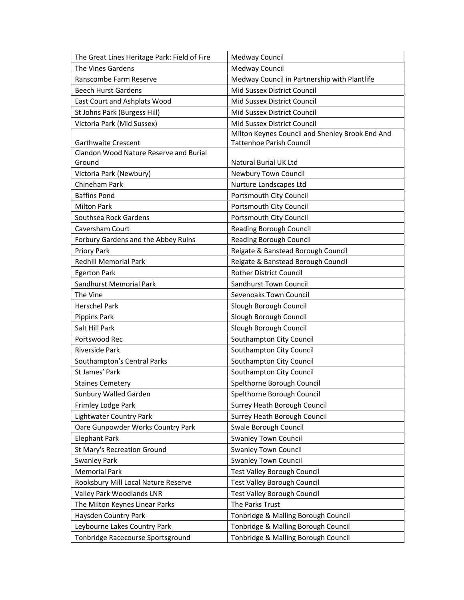| The Great Lines Heritage Park: Field of Fire  | Medway Council                                  |
|-----------------------------------------------|-------------------------------------------------|
| The Vines Gardens                             | Medway Council                                  |
| Ranscombe Farm Reserve                        | Medway Council in Partnership with Plantlife    |
| <b>Beech Hurst Gardens</b>                    | Mid Sussex District Council                     |
| East Court and Ashplats Wood                  | Mid Sussex District Council                     |
| St Johns Park (Burgess Hill)                  | Mid Sussex District Council                     |
| Victoria Park (Mid Sussex)                    | Mid Sussex District Council                     |
|                                               | Milton Keynes Council and Shenley Brook End And |
| <b>Garthwaite Crescent</b>                    | <b>Tattenhoe Parish Council</b>                 |
| <b>Clandon Wood Nature Reserve and Burial</b> |                                                 |
| Ground                                        | Natural Burial UK Ltd                           |
| Victoria Park (Newbury)                       | Newbury Town Council                            |
| Chineham Park                                 | Nurture Landscapes Ltd                          |
| <b>Baffins Pond</b>                           | Portsmouth City Council                         |
| <b>Milton Park</b>                            | Portsmouth City Council                         |
| Southsea Rock Gardens                         | Portsmouth City Council                         |
| Caversham Court                               | <b>Reading Borough Council</b>                  |
| Forbury Gardens and the Abbey Ruins           | <b>Reading Borough Council</b>                  |
| Priory Park                                   | Reigate & Banstead Borough Council              |
| <b>Redhill Memorial Park</b>                  | Reigate & Banstead Borough Council              |
| <b>Egerton Park</b>                           | <b>Rother District Council</b>                  |
| Sandhurst Memorial Park                       | Sandhurst Town Council                          |
| The Vine                                      | Sevenoaks Town Council                          |
| <b>Herschel Park</b>                          | Slough Borough Council                          |
| Pippins Park                                  | Slough Borough Council                          |
| Salt Hill Park                                | Slough Borough Council                          |
| Portswood Rec                                 | Southampton City Council                        |
| <b>Riverside Park</b>                         | Southampton City Council                        |
| Southampton's Central Parks                   | Southampton City Council                        |
| St James' Park                                | Southampton City Council                        |
| <b>Staines Cemetery</b>                       | Spelthorne Borough Council                      |
| Sunbury Walled Garden                         | Spelthorne Borough Council                      |
| Frimley Lodge Park                            | Surrey Heath Borough Council                    |
| <b>Lightwater Country Park</b>                | Surrey Heath Borough Council                    |
| Oare Gunpowder Works Country Park             | Swale Borough Council                           |
| <b>Elephant Park</b>                          | <b>Swanley Town Council</b>                     |
| St Mary's Recreation Ground                   | <b>Swanley Town Council</b>                     |
| <b>Swanley Park</b>                           | <b>Swanley Town Council</b>                     |
| <b>Memorial Park</b>                          | <b>Test Valley Borough Council</b>              |
| Rooksbury Mill Local Nature Reserve           | <b>Test Valley Borough Council</b>              |
| Valley Park Woodlands LNR                     | <b>Test Valley Borough Council</b>              |
| The Milton Keynes Linear Parks                | The Parks Trust                                 |
| Haysden Country Park                          | Tonbridge & Malling Borough Council             |
| Leybourne Lakes Country Park                  | Tonbridge & Malling Borough Council             |
| Tonbridge Racecourse Sportsground             | Tonbridge & Malling Borough Council             |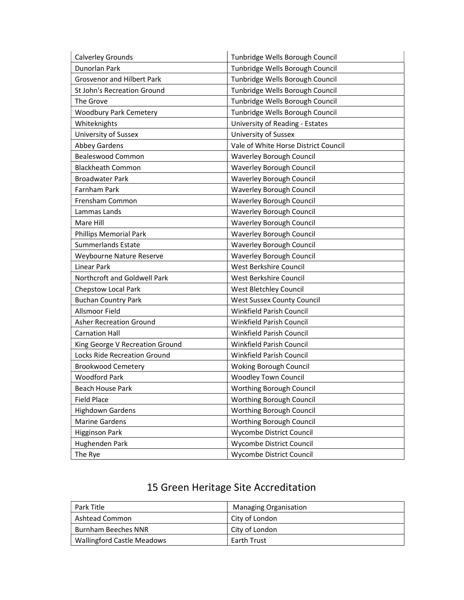| Calverley Grounds                 | Tunbridge Wells Borough Council      |
|-----------------------------------|--------------------------------------|
| Dunorlan Park                     | Tunbridge Wells Borough Council      |
| <b>Grosvenor and Hilbert Park</b> | Tunbridge Wells Borough Council      |
| St John's Recreation Ground       | Tunbridge Wells Borough Council      |
| The Grove                         | Tunbridge Wells Borough Council      |
| <b>Woodbury Park Cemetery</b>     | Tunbridge Wells Borough Council      |
| Whiteknights                      | University of Reading - Estates      |
| <b>University of Sussex</b>       | University of Sussex                 |
| Abbey Gardens                     | Vale of White Horse District Council |
| <b>Bealeswood Common</b>          | Waverley Borough Council             |
| <b>Blackheath Common</b>          | <b>Waverley Borough Council</b>      |
| <b>Broadwater Park</b>            | Waverley Borough Council             |
| Farnham Park                      | <b>Waverley Borough Council</b>      |
| Frensham Common                   | Waverley Borough Council             |
| Lammas Lands                      | Waverley Borough Council             |
| Mare Hill                         | Waverley Borough Council             |
| <b>Phillips Memorial Park</b>     | Waverley Borough Council             |
| <b>Summerlands Estate</b>         | Waverley Borough Council             |
| Weybourne Nature Reserve          | Waverley Borough Council             |
| Linear Park                       | West Berkshire Council               |
| Northcroft and Goldwell Park      | West Berkshire Council               |
| <b>Chepstow Local Park</b>        | West Bletchley Council               |
| <b>Buchan Country Park</b>        | West Sussex County Council           |
| <b>Allsmoor Field</b>             | Winkfield Parish Council             |
| <b>Asher Recreation Ground</b>    | Winkfield Parish Council             |
| <b>Carnation Hall</b>             | Winkfield Parish Council             |
| King George V Recreation Ground   | Winkfield Parish Council             |
| Locks Ride Recreation Ground      | Winkfield Parish Council             |
| <b>Brookwood Cemetery</b>         | Woking Borough Council               |
| <b>Woodford Park</b>              | <b>Woodley Town Council</b>          |
| Beach House Park                  | Worthing Borough Council             |
| <b>Field Place</b>                | Worthing Borough Council             |
| <b>Highdown Gardens</b>           | Worthing Borough Council             |
| <b>Marine Gardens</b>             | Worthing Borough Council             |
| <b>Higginson Park</b>             | Wycombe District Council             |
| Hughenden Park                    | Wycombe District Council             |
| The Rye                           | Wycombe District Council             |

| Park Title                        | <b>Managing Organisation</b> |
|-----------------------------------|------------------------------|
| Ashtead Common                    | City of London               |
| <b>Burnham Beeches NNR</b>        | City of London               |
| <b>Wallingford Castle Meadows</b> | <b>Earth Trust</b>           |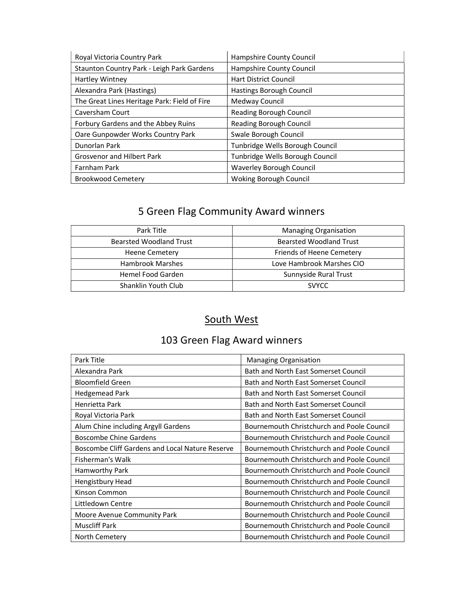| Royal Victoria Country Park                  | Hampshire County Council        |
|----------------------------------------------|---------------------------------|
| Staunton Country Park - Leigh Park Gardens   | Hampshire County Council        |
| Hartley Wintney                              | <b>Hart District Council</b>    |
| Alexandra Park (Hastings)                    | Hastings Borough Council        |
| The Great Lines Heritage Park: Field of Fire | Medway Council                  |
| Caversham Court                              | Reading Borough Council         |
| Forbury Gardens and the Abbey Ruins          | Reading Borough Council         |
| Oare Gunpowder Works Country Park            | Swale Borough Council           |
| Dunorlan Park                                | Tunbridge Wells Borough Council |
| <b>Grosvenor and Hilbert Park</b>            | Tunbridge Wells Borough Council |
| Farnham Park                                 | <b>Waverley Borough Council</b> |
| <b>Brookwood Cemetery</b>                    | <b>Woking Borough Council</b>   |

# 5 Green Flag Community Award winners

| Park Title                     | <b>Managing Organisation</b>   |
|--------------------------------|--------------------------------|
| <b>Bearsted Woodland Trust</b> | <b>Bearsted Woodland Trust</b> |
| Heene Cemetery                 | Friends of Heene Cemetery      |
| <b>Hambrook Marshes</b>        | Love Hambrook Marshes CIO      |
| Hemel Food Garden              | Sunnyside Rural Trust          |
| Shanklin Youth Club            | <b>SVYCC</b>                   |

#### South West

| Park Title                                      | <b>Managing Organisation</b>               |
|-------------------------------------------------|--------------------------------------------|
| Alexandra Park                                  | Bath and North East Somerset Council       |
| <b>Bloomfield Green</b>                         | Bath and North East Somerset Council       |
| <b>Hedgemead Park</b>                           | Bath and North East Somerset Council       |
| Henrietta Park                                  | Bath and North East Somerset Council       |
| Royal Victoria Park                             | Bath and North East Somerset Council       |
| Alum Chine including Argyll Gardens             | Bournemouth Christchurch and Poole Council |
| <b>Boscombe Chine Gardens</b>                   | Bournemouth Christchurch and Poole Council |
| Boscombe Cliff Gardens and Local Nature Reserve | Bournemouth Christchurch and Poole Council |
| Fisherman's Walk                                | Bournemouth Christchurch and Poole Council |
| Hamworthy Park                                  | Bournemouth Christchurch and Poole Council |
| Hengistbury Head                                | Bournemouth Christchurch and Poole Council |
| Kinson Common                                   | Bournemouth Christchurch and Poole Council |
| Littledown Centre                               | Bournemouth Christchurch and Poole Council |
| Moore Avenue Community Park                     | Bournemouth Christchurch and Poole Council |
| <b>Muscliff Park</b>                            | Bournemouth Christchurch and Poole Council |
| North Cemetery                                  | Bournemouth Christchurch and Poole Council |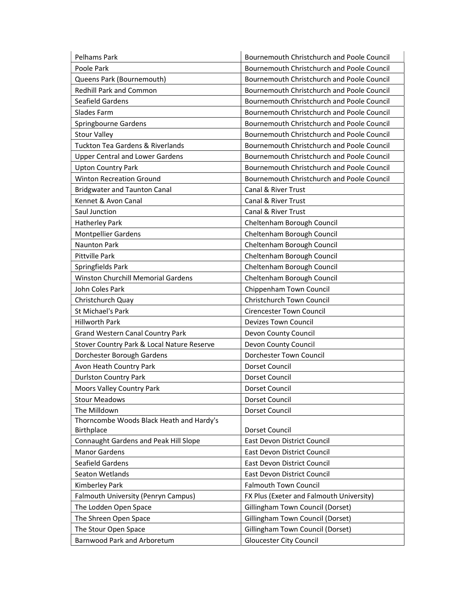| Pelhams Park                                           | Bournemouth Christchurch and Poole Council |
|--------------------------------------------------------|--------------------------------------------|
| Poole Park                                             | Bournemouth Christchurch and Poole Council |
| Queens Park (Bournemouth)                              | Bournemouth Christchurch and Poole Council |
| <b>Redhill Park and Common</b>                         | Bournemouth Christchurch and Poole Council |
| Seafield Gardens                                       | Bournemouth Christchurch and Poole Council |
| Slades Farm                                            | Bournemouth Christchurch and Poole Council |
| Springbourne Gardens                                   | Bournemouth Christchurch and Poole Council |
| <b>Stour Valley</b>                                    | Bournemouth Christchurch and Poole Council |
| <b>Tuckton Tea Gardens &amp; Riverlands</b>            | Bournemouth Christchurch and Poole Council |
| <b>Upper Central and Lower Gardens</b>                 | Bournemouth Christchurch and Poole Council |
| <b>Upton Country Park</b>                              | Bournemouth Christchurch and Poole Council |
| <b>Winton Recreation Ground</b>                        | Bournemouth Christchurch and Poole Council |
| <b>Bridgwater and Taunton Canal</b>                    | Canal & River Trust                        |
| Kennet & Avon Canal                                    | Canal & River Trust                        |
| Saul Junction                                          | Canal & River Trust                        |
| <b>Hatherley Park</b>                                  | Cheltenham Borough Council                 |
| <b>Montpellier Gardens</b>                             | Cheltenham Borough Council                 |
| <b>Naunton Park</b>                                    | Cheltenham Borough Council                 |
| <b>Pittville Park</b>                                  | Cheltenham Borough Council                 |
| Springfields Park                                      | Cheltenham Borough Council                 |
| Winston Churchill Memorial Gardens                     | Cheltenham Borough Council                 |
| John Coles Park                                        | Chippenham Town Council                    |
| Christchurch Quay                                      | Christchurch Town Council                  |
| St Michael's Park                                      | <b>Cirencester Town Council</b>            |
| <b>Hillworth Park</b>                                  | <b>Devizes Town Council</b>                |
| <b>Grand Western Canal Country Park</b>                | Devon County Council                       |
| Stover Country Park & Local Nature Reserve             | Devon County Council                       |
| Dorchester Borough Gardens                             | Dorchester Town Council                    |
| Avon Heath Country Park                                | Dorset Council                             |
| <b>Durlston Country Park</b>                           | Dorset Council                             |
| Moors Valley Country Park                              | Dorset Council                             |
| <b>Stour Meadows</b>                                   | Dorset Council                             |
| The Milldown                                           | Dorset Council                             |
| Thorncombe Woods Black Heath and Hardy's<br>Birthplace | Dorset Council                             |
| Connaught Gardens and Peak Hill Slope                  | East Devon District Council                |
| <b>Manor Gardens</b>                                   | East Devon District Council                |
| Seafield Gardens                                       | East Devon District Council                |
| Seaton Wetlands                                        | East Devon District Council                |
| Kimberley Park                                         | <b>Falmouth Town Council</b>               |
| Falmouth University (Penryn Campus)                    | FX Plus (Exeter and Falmouth University)   |
| The Lodden Open Space                                  | Gillingham Town Council (Dorset)           |
| The Shreen Open Space                                  | Gillingham Town Council (Dorset)           |
| The Stour Open Space                                   | Gillingham Town Council (Dorset)           |
| Barnwood Park and Arboretum                            | <b>Gloucester City Council</b>             |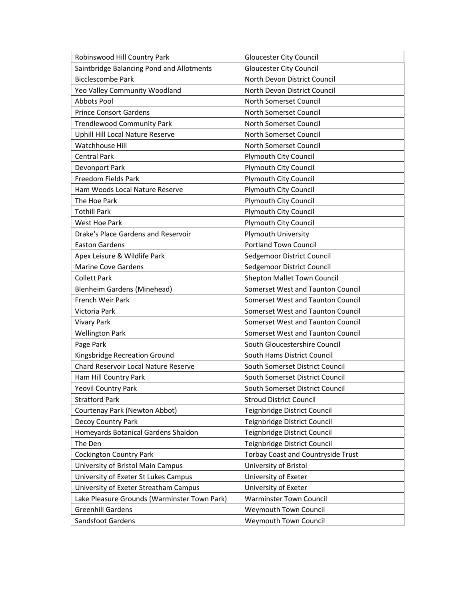| Robinswood Hill Country Park                 | <b>Gloucester City Council</b>            |
|----------------------------------------------|-------------------------------------------|
| Saintbridge Balancing Pond and Allotments    | <b>Gloucester City Council</b>            |
| <b>Bicclescombe Park</b>                     | North Devon District Council              |
| Yeo Valley Community Woodland                | North Devon District Council              |
| Abbots Pool                                  | North Somerset Council                    |
| <b>Prince Consort Gardens</b>                | <b>North Somerset Council</b>             |
| <b>Trendlewood Community Park</b>            | North Somerset Council                    |
| Uphill Hill Local Nature Reserve             | North Somerset Council                    |
| Watchhouse Hill                              | North Somerset Council                    |
| <b>Central Park</b>                          | <b>Plymouth City Council</b>              |
| Devonport Park                               | Plymouth City Council                     |
| Freedom Fields Park                          | Plymouth City Council                     |
| Ham Woods Local Nature Reserve               | <b>Plymouth City Council</b>              |
| The Hoe Park                                 | Plymouth City Council                     |
| <b>Tothill Park</b>                          | <b>Plymouth City Council</b>              |
| West Hoe Park                                | Plymouth City Council                     |
| Drake's Place Gardens and Reservoir          | Plymouth University                       |
| <b>Easton Gardens</b>                        | <b>Portland Town Council</b>              |
| Apex Leisure & Wildlife Park                 | Sedgemoor District Council                |
| <b>Marine Cove Gardens</b>                   | Sedgemoor District Council                |
| <b>Collett Park</b>                          | Shepton Mallet Town Council               |
| <b>Blenheim Gardens (Minehead)</b>           | Somerset West and Taunton Council         |
| French Weir Park                             | Somerset West and Taunton Council         |
| Victoria Park                                | Somerset West and Taunton Council         |
| <b>Vivary Park</b>                           | Somerset West and Taunton Council         |
| <b>Wellington Park</b>                       | Somerset West and Taunton Council         |
| Page Park                                    | South Gloucestershire Council             |
| Kingsbridge Recreation Ground                | South Hams District Council               |
| Chard Reservoir Local Nature Reserve         | South Somerset District Council           |
| Ham Hill Country Park                        | South Somerset District Council           |
| <b>Yeovil Country Park</b>                   | South Somerset District Council           |
| <b>Stratford Park</b>                        | <b>Stroud District Council</b>            |
| Courtenay Park (Newton Abbot)                | Teignbridge District Council              |
| Decoy Country Park                           | Teignbridge District Council              |
| Homeyards Botanical Gardens Shaldon          | Teignbridge District Council              |
| The Den                                      | Teignbridge District Council              |
| <b>Cockington Country Park</b>               | <b>Torbay Coast and Countryside Trust</b> |
| University of Bristol Main Campus            | University of Bristol                     |
| University of Exeter St Lukes Campus         | University of Exeter                      |
| University of Exeter Streatham Campus        | University of Exeter                      |
| Lake Pleasure Grounds (Warminster Town Park) | <b>Warminster Town Council</b>            |
| <b>Greenhill Gardens</b>                     | Weymouth Town Council                     |
| Sandsfoot Gardens                            | Weymouth Town Council                     |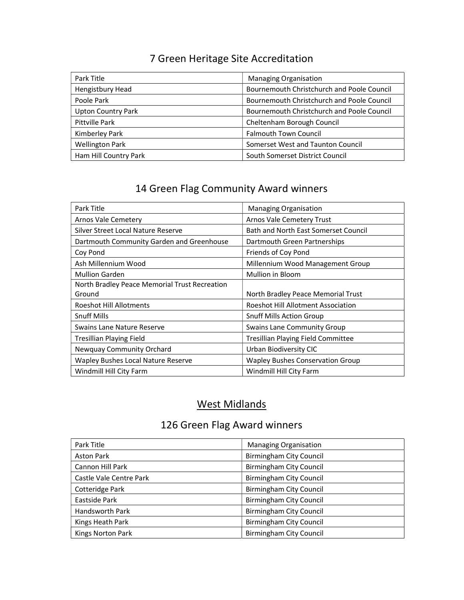| Park Title                | <b>Managing Organisation</b>               |
|---------------------------|--------------------------------------------|
| Hengistbury Head          | Bournemouth Christchurch and Poole Council |
| Poole Park                | Bournemouth Christchurch and Poole Council |
| <b>Upton Country Park</b> | Bournemouth Christchurch and Poole Council |
| Pittville Park            | Cheltenham Borough Council                 |
| Kimberley Park            | <b>Falmouth Town Council</b>               |
| <b>Wellington Park</b>    | Somerset West and Taunton Council          |
| Ham Hill Country Park     | South Somerset District Council            |

## 14 Green Flag Community Award winners

| Park Title                                    | <b>Managing Organisation</b>              |
|-----------------------------------------------|-------------------------------------------|
| Arnos Vale Cemetery                           | Arnos Vale Cemetery Trust                 |
| Silver Street Local Nature Reserve            | Bath and North East Somerset Council      |
| Dartmouth Community Garden and Greenhouse     | Dartmouth Green Partnerships              |
| Coy Pond                                      | Friends of Coy Pond                       |
| Ash Millennium Wood                           | Millennium Wood Management Group          |
| <b>Mullion Garden</b>                         | <b>Mullion in Bloom</b>                   |
| North Bradley Peace Memorial Trust Recreation |                                           |
| Ground                                        | North Bradley Peace Memorial Trust        |
| <b>Roeshot Hill Allotments</b>                | Roeshot Hill Allotment Association        |
| <b>Snuff Mills</b>                            | <b>Snuff Mills Action Group</b>           |
| Swains Lane Nature Reserve                    | <b>Swains Lane Community Group</b>        |
| <b>Tresillian Playing Field</b>               | <b>Tresillian Playing Field Committee</b> |
| Newquay Community Orchard                     | Urban Biodiversity CIC                    |
| Wapley Bushes Local Nature Reserve            | <b>Wapley Bushes Conservation Group</b>   |
| Windmill Hill City Farm                       | Windmill Hill City Farm                   |

#### West Midlands

| Park Title              | <b>Managing Organisation</b>   |
|-------------------------|--------------------------------|
| <b>Aston Park</b>       | <b>Birmingham City Council</b> |
| Cannon Hill Park        | <b>Birmingham City Council</b> |
| Castle Vale Centre Park | <b>Birmingham City Council</b> |
| Cotteridge Park         | <b>Birmingham City Council</b> |
| Eastside Park           | <b>Birmingham City Council</b> |
| <b>Handsworth Park</b>  | <b>Birmingham City Council</b> |
| Kings Heath Park        | <b>Birmingham City Council</b> |
| Kings Norton Park       | <b>Birmingham City Council</b> |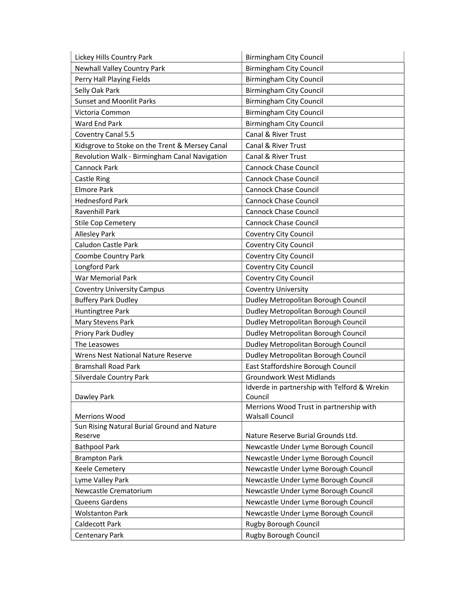| Lickey Hills Country Park                      | <b>Birmingham City Council</b>                          |
|------------------------------------------------|---------------------------------------------------------|
| Newhall Valley Country Park                    | <b>Birmingham City Council</b>                          |
| Perry Hall Playing Fields                      | <b>Birmingham City Council</b>                          |
| Selly Oak Park                                 | <b>Birmingham City Council</b>                          |
| <b>Sunset and Moonlit Parks</b>                | <b>Birmingham City Council</b>                          |
| Victoria Common                                | <b>Birmingham City Council</b>                          |
| Ward End Park                                  | <b>Birmingham City Council</b>                          |
| Coventry Canal 5.5                             | <b>Canal &amp; River Trust</b>                          |
| Kidsgrove to Stoke on the Trent & Mersey Canal | Canal & River Trust                                     |
| Revolution Walk - Birmingham Canal Navigation  | Canal & River Trust                                     |
| <b>Cannock Park</b>                            | <b>Cannock Chase Council</b>                            |
| Castle Ring                                    | <b>Cannock Chase Council</b>                            |
| <b>Elmore Park</b>                             | <b>Cannock Chase Council</b>                            |
| <b>Hednesford Park</b>                         | <b>Cannock Chase Council</b>                            |
| Ravenhill Park                                 | <b>Cannock Chase Council</b>                            |
| <b>Stile Cop Cemetery</b>                      | <b>Cannock Chase Council</b>                            |
| <b>Allesley Park</b>                           | <b>Coventry City Council</b>                            |
| Caludon Castle Park                            | <b>Coventry City Council</b>                            |
| <b>Coombe Country Park</b>                     | Coventry City Council                                   |
| Longford Park                                  | <b>Coventry City Council</b>                            |
| <b>War Memorial Park</b>                       | Coventry City Council                                   |
| <b>Coventry University Campus</b>              | <b>Coventry University</b>                              |
| <b>Buffery Park Dudley</b>                     | Dudley Metropolitan Borough Council                     |
| Huntingtree Park                               | Dudley Metropolitan Borough Council                     |
| Mary Stevens Park                              | Dudley Metropolitan Borough Council                     |
| Priory Park Dudley                             | Dudley Metropolitan Borough Council                     |
| The Leasowes                                   | Dudley Metropolitan Borough Council                     |
| Wrens Nest National Nature Reserve             | Dudley Metropolitan Borough Council                     |
| <b>Bramshall Road Park</b>                     | East Staffordshire Borough Council                      |
| Silverdale Country Park                        | <b>Groundwork West Midlands</b>                         |
| Dawley Park                                    | Idverde in partnership with Telford & Wrekin<br>Council |
|                                                | Merrions Wood Trust in partnership with                 |
| <b>Merrions Wood</b>                           | <b>Walsall Council</b>                                  |
| Sun Rising Natural Burial Ground and Nature    |                                                         |
| Reserve                                        | Nature Reserve Burial Grounds Ltd.                      |
| <b>Bathpool Park</b>                           | Newcastle Under Lyme Borough Council                    |
| <b>Brampton Park</b>                           | Newcastle Under Lyme Borough Council                    |
| Keele Cemetery                                 | Newcastle Under Lyme Borough Council                    |
| Lyme Valley Park                               | Newcastle Under Lyme Borough Council                    |
| Newcastle Crematorium                          | Newcastle Under Lyme Borough Council                    |
| Queens Gardens                                 | Newcastle Under Lyme Borough Council                    |
| <b>Wolstanton Park</b>                         | Newcastle Under Lyme Borough Council                    |
| Caldecott Park                                 | Rugby Borough Council                                   |
| <b>Centenary Park</b>                          | Rugby Borough Council                                   |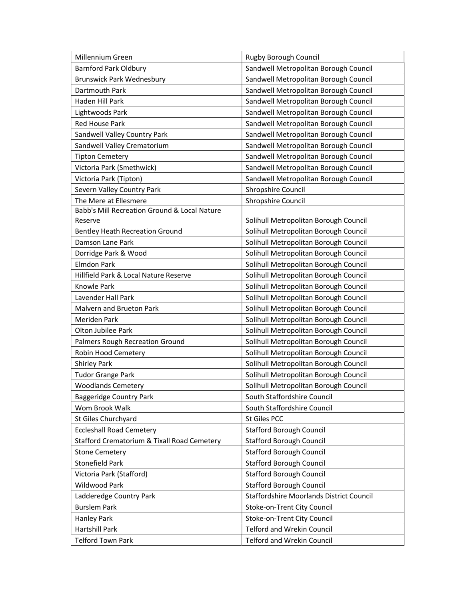| Millennium Green                             | Rugby Borough Council                    |
|----------------------------------------------|------------------------------------------|
| <b>Barnford Park Oldbury</b>                 | Sandwell Metropolitan Borough Council    |
| <b>Brunswick Park Wednesbury</b>             | Sandwell Metropolitan Borough Council    |
| Dartmouth Park                               | Sandwell Metropolitan Borough Council    |
| Haden Hill Park                              | Sandwell Metropolitan Borough Council    |
| Lightwoods Park                              | Sandwell Metropolitan Borough Council    |
| <b>Red House Park</b>                        | Sandwell Metropolitan Borough Council    |
| Sandwell Valley Country Park                 | Sandwell Metropolitan Borough Council    |
| Sandwell Valley Crematorium                  | Sandwell Metropolitan Borough Council    |
| <b>Tipton Cemetery</b>                       | Sandwell Metropolitan Borough Council    |
| Victoria Park (Smethwick)                    | Sandwell Metropolitan Borough Council    |
| Victoria Park (Tipton)                       | Sandwell Metropolitan Borough Council    |
| Severn Valley Country Park                   | Shropshire Council                       |
| The Mere at Ellesmere                        | Shropshire Council                       |
| Babb's Mill Recreation Ground & Local Nature |                                          |
| Reserve                                      | Solihull Metropolitan Borough Council    |
| <b>Bentley Heath Recreation Ground</b>       | Solihull Metropolitan Borough Council    |
| Damson Lane Park                             | Solihull Metropolitan Borough Council    |
| Dorridge Park & Wood                         | Solihull Metropolitan Borough Council    |
| <b>Elmdon Park</b>                           | Solihull Metropolitan Borough Council    |
| Hillfield Park & Local Nature Reserve        | Solihull Metropolitan Borough Council    |
| Knowle Park                                  | Solihull Metropolitan Borough Council    |
| Lavender Hall Park                           | Solihull Metropolitan Borough Council    |
| Malvern and Brueton Park                     | Solihull Metropolitan Borough Council    |
| Meriden Park                                 | Solihull Metropolitan Borough Council    |
| Olton Jubilee Park                           | Solihull Metropolitan Borough Council    |
| Palmers Rough Recreation Ground              | Solihull Metropolitan Borough Council    |
| Robin Hood Cemetery                          | Solihull Metropolitan Borough Council    |
| <b>Shirley Park</b>                          | Solihull Metropolitan Borough Council    |
| <b>Tudor Grange Park</b>                     | Solihull Metropolitan Borough Council    |
| <b>Woodlands Cemetery</b>                    | Solihull Metropolitan Borough Council    |
| <b>Baggeridge Country Park</b>               | South Staffordshire Council              |
| Wom Brook Walk                               | South Staffordshire Council              |
| St Giles Churchyard                          | St Giles PCC                             |
| <b>Eccleshall Road Cemetery</b>              | <b>Stafford Borough Council</b>          |
| Stafford Crematorium & Tixall Road Cemetery  | <b>Stafford Borough Council</b>          |
| <b>Stone Cemetery</b>                        | <b>Stafford Borough Council</b>          |
| <b>Stonefield Park</b>                       | <b>Stafford Borough Council</b>          |
| Victoria Park (Stafford)                     | <b>Stafford Borough Council</b>          |
| <b>Wildwood Park</b>                         | <b>Stafford Borough Council</b>          |
| Ladderedge Country Park                      | Staffordshire Moorlands District Council |
| <b>Burslem Park</b>                          | Stoke-on-Trent City Council              |
| <b>Hanley Park</b>                           | Stoke-on-Trent City Council              |
| <b>Hartshill Park</b>                        | <b>Telford and Wrekin Council</b>        |
| <b>Telford Town Park</b>                     | <b>Telford and Wrekin Council</b>        |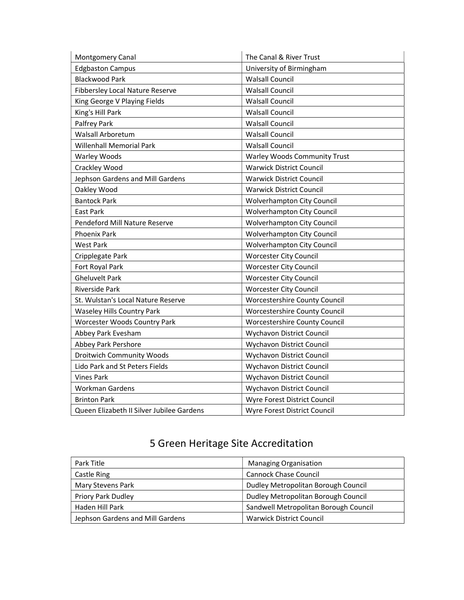| Montgomery Canal                          | The Canal & River Trust              |
|-------------------------------------------|--------------------------------------|
| <b>Edgbaston Campus</b>                   | University of Birmingham             |
| <b>Blackwood Park</b>                     | <b>Walsall Council</b>               |
| Fibbersley Local Nature Reserve           | <b>Walsall Council</b>               |
| King George V Playing Fields              | <b>Walsall Council</b>               |
| King's Hill Park                          | <b>Walsall Council</b>               |
| Palfrey Park                              | <b>Walsall Council</b>               |
| Walsall Arboretum                         | <b>Walsall Council</b>               |
| <b>Willenhall Memorial Park</b>           | <b>Walsall Council</b>               |
| <b>Warley Woods</b>                       | <b>Warley Woods Community Trust</b>  |
| Crackley Wood                             | <b>Warwick District Council</b>      |
| Jephson Gardens and Mill Gardens          | <b>Warwick District Council</b>      |
| Oakley Wood                               | <b>Warwick District Council</b>      |
| <b>Bantock Park</b>                       | Wolverhampton City Council           |
| East Park                                 | <b>Wolverhampton City Council</b>    |
| Pendeford Mill Nature Reserve             | <b>Wolverhampton City Council</b>    |
| <b>Phoenix Park</b>                       | Wolverhampton City Council           |
| <b>West Park</b>                          | <b>Wolverhampton City Council</b>    |
| Cripplegate Park                          | <b>Worcester City Council</b>        |
| Fort Royal Park                           | <b>Worcester City Council</b>        |
| <b>Gheluvelt Park</b>                     | <b>Worcester City Council</b>        |
| <b>Riverside Park</b>                     | Worcester City Council               |
| St. Wulstan's Local Nature Reserve        | Worcestershire County Council        |
| <b>Waseley Hills Country Park</b>         | <b>Worcestershire County Council</b> |
| <b>Worcester Woods Country Park</b>       | Worcestershire County Council        |
| Abbey Park Evesham                        | Wychavon District Council            |
| Abbey Park Pershore                       | Wychavon District Council            |
| <b>Droitwich Community Woods</b>          | Wychavon District Council            |
| Lido Park and St Peters Fields            | Wychavon District Council            |
| <b>Vines Park</b>                         | Wychavon District Council            |
| Workman Gardens                           | Wychavon District Council            |
| <b>Brinton Park</b>                       | Wyre Forest District Council         |
| Queen Elizabeth II Silver Jubilee Gardens | Wyre Forest District Council         |

| Park Title                       | <b>Managing Organisation</b>          |
|----------------------------------|---------------------------------------|
| Castle Ring                      | <b>Cannock Chase Council</b>          |
| Mary Stevens Park                | Dudley Metropolitan Borough Council   |
| Priory Park Dudley               | Dudley Metropolitan Borough Council   |
| Haden Hill Park                  | Sandwell Metropolitan Borough Council |
| Jephson Gardens and Mill Gardens | <b>Warwick District Council</b>       |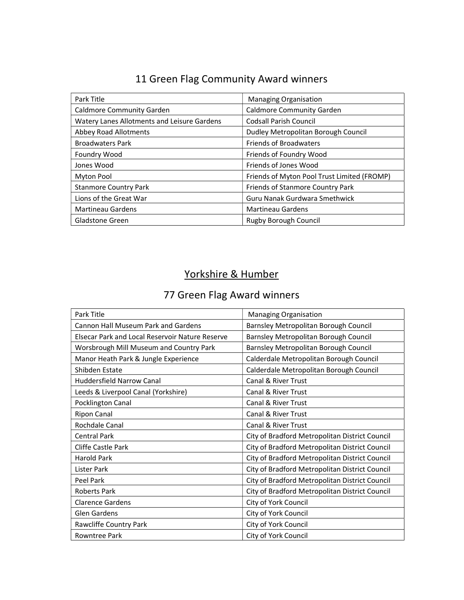## 11 Green Flag Community Award winners

| Park Title                                  | <b>Managing Organisation</b>                |
|---------------------------------------------|---------------------------------------------|
| <b>Caldmore Community Garden</b>            | <b>Caldmore Community Garden</b>            |
| Watery Lanes Allotments and Leisure Gardens | <b>Codsall Parish Council</b>               |
| <b>Abbey Road Allotments</b>                | Dudley Metropolitan Borough Council         |
| <b>Broadwaters Park</b>                     | <b>Friends of Broadwaters</b>               |
| <b>Foundry Wood</b>                         | Friends of Foundry Wood                     |
| Jones Wood                                  | Friends of Jones Wood                       |
| Myton Pool                                  | Friends of Myton Pool Trust Limited (FROMP) |
| <b>Stanmore Country Park</b>                | Friends of Stanmore Country Park            |
| Lions of the Great War                      | Guru Nanak Gurdwara Smethwick               |
| <b>Martineau Gardens</b>                    | <b>Martineau Gardens</b>                    |
| Gladstone Green                             | Rugby Borough Council                       |

## Yorkshire & Humber

| Park Title                                      | Managing Organisation                          |
|-------------------------------------------------|------------------------------------------------|
| <b>Cannon Hall Museum Park and Gardens</b>      | Barnsley Metropolitan Borough Council          |
| Elsecar Park and Local Reservoir Nature Reserve | Barnsley Metropolitan Borough Council          |
| Worsbrough Mill Museum and Country Park         | Barnsley Metropolitan Borough Council          |
| Manor Heath Park & Jungle Experience            | Calderdale Metropolitan Borough Council        |
| Shibden Estate                                  | Calderdale Metropolitan Borough Council        |
| Huddersfield Narrow Canal                       | <b>Canal &amp; River Trust</b>                 |
| Leeds & Liverpool Canal (Yorkshire)             | Canal & River Trust                            |
| Pocklington Canal                               | Canal & River Trust                            |
| <b>Ripon Canal</b>                              | Canal & River Trust                            |
| Rochdale Canal                                  | Canal & River Trust                            |
| <b>Central Park</b>                             | City of Bradford Metropolitan District Council |
| Cliffe Castle Park                              | City of Bradford Metropolitan District Council |
| <b>Harold Park</b>                              | City of Bradford Metropolitan District Council |
| Lister Park                                     | City of Bradford Metropolitan District Council |
| Peel Park                                       | City of Bradford Metropolitan District Council |
| <b>Roberts Park</b>                             | City of Bradford Metropolitan District Council |
| <b>Clarence Gardens</b>                         | City of York Council                           |
| <b>Glen Gardens</b>                             | City of York Council                           |
| Rawcliffe Country Park                          | City of York Council                           |
| Rowntree Park                                   | City of York Council                           |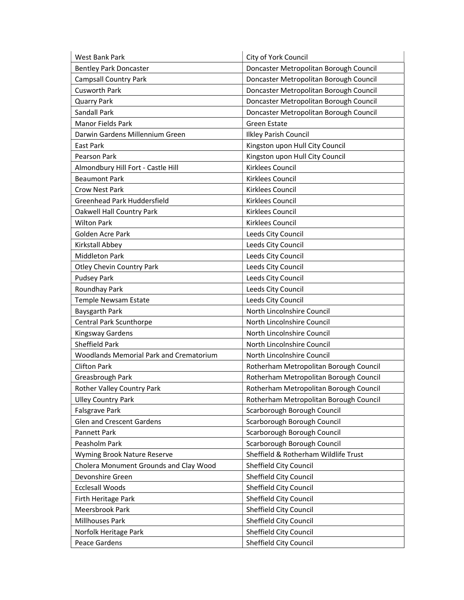| West Bank Park                          | City of York Council                   |
|-----------------------------------------|----------------------------------------|
| <b>Bentley Park Doncaster</b>           | Doncaster Metropolitan Borough Council |
| <b>Campsall Country Park</b>            | Doncaster Metropolitan Borough Council |
| <b>Cusworth Park</b>                    | Doncaster Metropolitan Borough Council |
| <b>Quarry Park</b>                      | Doncaster Metropolitan Borough Council |
| Sandall Park                            | Doncaster Metropolitan Borough Council |
| Manor Fields Park                       | Green Estate                           |
| Darwin Gardens Millennium Green         | <b>Ilkley Parish Council</b>           |
| East Park                               | Kingston upon Hull City Council        |
| <b>Pearson Park</b>                     | Kingston upon Hull City Council        |
| Almondbury Hill Fort - Castle Hill      | Kirklees Council                       |
| <b>Beaumont Park</b>                    | Kirklees Council                       |
| <b>Crow Nest Park</b>                   | Kirklees Council                       |
| Greenhead Park Huddersfield             | Kirklees Council                       |
| Oakwell Hall Country Park               | Kirklees Council                       |
| <b>Wilton Park</b>                      | Kirklees Council                       |
| Golden Acre Park                        | Leeds City Council                     |
| Kirkstall Abbey                         | Leeds City Council                     |
| <b>Middleton Park</b>                   | Leeds City Council                     |
| <b>Otley Chevin Country Park</b>        | Leeds City Council                     |
| <b>Pudsey Park</b>                      | Leeds City Council                     |
| Roundhay Park                           | Leeds City Council                     |
| Temple Newsam Estate                    | Leeds City Council                     |
| Baysgarth Park                          | North Lincolnshire Council             |
| Central Park Scunthorpe                 | North Lincolnshire Council             |
| Kingsway Gardens                        | North Lincolnshire Council             |
| <b>Sheffield Park</b>                   | North Lincolnshire Council             |
| Woodlands Memorial Park and Crematorium | North Lincolnshire Council             |
| <b>Clifton Park</b>                     | Rotherham Metropolitan Borough Council |
| Greasbrough Park                        | Rotherham Metropolitan Borough Council |
| <b>Rother Valley Country Park</b>       | Rotherham Metropolitan Borough Council |
| <b>Ulley Country Park</b>               | Rotherham Metropolitan Borough Council |
| Falsgrave Park                          | Scarborough Borough Council            |
| Glen and Crescent Gardens               | Scarborough Borough Council            |
| <b>Pannett Park</b>                     | Scarborough Borough Council            |
| Peasholm Park                           | Scarborough Borough Council            |
| Wyming Brook Nature Reserve             | Sheffield & Rotherham Wildlife Trust   |
| Cholera Monument Grounds and Clay Wood  | Sheffield City Council                 |
| Devonshire Green                        | Sheffield City Council                 |
| <b>Ecclesall Woods</b>                  | Sheffield City Council                 |
| Firth Heritage Park                     | Sheffield City Council                 |
| Meersbrook Park                         | Sheffield City Council                 |
| Millhouses Park                         | Sheffield City Council                 |
| Norfolk Heritage Park                   | Sheffield City Council                 |
| Peace Gardens                           | Sheffield City Council                 |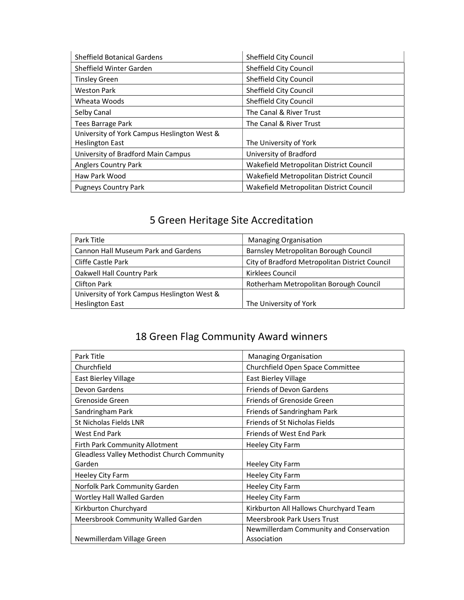| <b>Sheffield Botanical Gardens</b>          | Sheffield City Council                  |
|---------------------------------------------|-----------------------------------------|
| Sheffield Winter Garden                     | Sheffield City Council                  |
| <b>Tinsley Green</b>                        | Sheffield City Council                  |
| <b>Weston Park</b>                          | Sheffield City Council                  |
| Wheata Woods                                | Sheffield City Council                  |
| Selby Canal                                 | The Canal & River Trust                 |
| Tees Barrage Park                           | The Canal & River Trust                 |
| University of York Campus Heslington West & |                                         |
| <b>Heslington East</b>                      | The University of York                  |
| University of Bradford Main Campus          | University of Bradford                  |
| <b>Anglers Country Park</b>                 | Wakefield Metropolitan District Council |
| Haw Park Wood                               | Wakefield Metropolitan District Council |
| <b>Pugneys Country Park</b>                 | Wakefield Metropolitan District Council |

| Park Title                                  | <b>Managing Organisation</b>                   |
|---------------------------------------------|------------------------------------------------|
| <b>Cannon Hall Museum Park and Gardens</b>  | Barnsley Metropolitan Borough Council          |
| Cliffe Castle Park                          | City of Bradford Metropolitan District Council |
| Oakwell Hall Country Park                   | Kirklees Council                               |
| <b>Clifton Park</b>                         | Rotherham Metropolitan Borough Council         |
| University of York Campus Heslington West & |                                                |
| <b>Heslington East</b>                      | The University of York                         |

| Park Title                                         | <b>Managing Organisation</b>            |
|----------------------------------------------------|-----------------------------------------|
| Churchfield                                        | Churchfield Open Space Committee        |
| East Bierley Village                               | East Bierley Village                    |
| Devon Gardens                                      | <b>Friends of Devon Gardens</b>         |
| Grenoside Green                                    | Friends of Grenoside Green              |
| Sandringham Park                                   | Friends of Sandringham Park             |
| St Nicholas Fields LNR                             | Friends of St Nicholas Fields           |
| West End Park                                      | Friends of West End Park                |
| Firth Park Community Allotment                     | Heeley City Farm                        |
| <b>Gleadless Valley Methodist Church Community</b> |                                         |
| Garden                                             | Heeley City Farm                        |
| Heeley City Farm                                   | Heeley City Farm                        |
| Norfolk Park Community Garden                      | Heeley City Farm                        |
| Wortley Hall Walled Garden                         | Heeley City Farm                        |
| Kirkburton Churchyard                              | Kirkburton All Hallows Churchyard Team  |
| Meersbrook Community Walled Garden                 | <b>Meersbrook Park Users Trust</b>      |
|                                                    | Newmillerdam Community and Conservation |
| Newmillerdam Village Green                         | Association                             |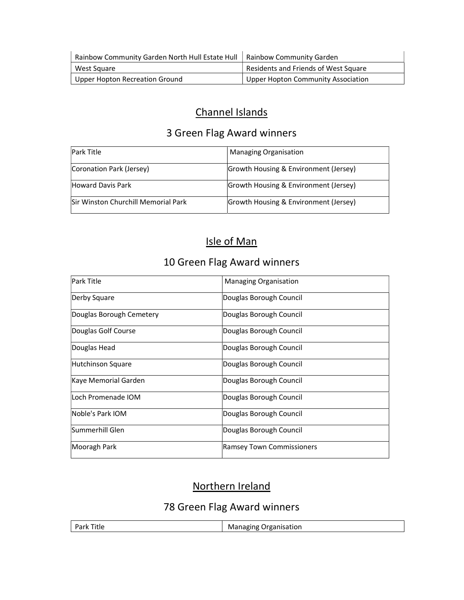| Rainbow Community Garden North Hull Estate Hull   Rainbow Community Garden |                                           |
|----------------------------------------------------------------------------|-------------------------------------------|
| West Square                                                                | Residents and Friends of West Square      |
| Upper Hopton Recreation Ground                                             | <b>Upper Hopton Community Association</b> |

#### Channel Islands

#### 3 Green Flag Award winners

| <b>Park Title</b>                          | <b>Managing Organisation</b>          |
|--------------------------------------------|---------------------------------------|
| Coronation Park (Jersey)                   | Growth Housing & Environment (Jersey) |
| Howard Davis Park                          | Growth Housing & Environment (Jersey) |
| <b>Sir Winston Churchill Memorial Park</b> | Growth Housing & Environment (Jersey) |

#### Isle of Man

#### 10 Green Flag Award winners

| <b>Park Title</b>        | <b>Managing Organisation</b>     |
|--------------------------|----------------------------------|
| Derby Square             | Douglas Borough Council          |
| Douglas Borough Cemetery | Douglas Borough Council          |
| Douglas Golf Course      | Douglas Borough Council          |
| Douglas Head             | Douglas Borough Council          |
| Hutchinson Square        | Douglas Borough Council          |
| Kaye Memorial Garden     | Douglas Borough Council          |
| Loch Promenade IOM       | Douglas Borough Council          |
| Noble's Park IOM         | Douglas Borough Council          |
| Summerhill Glen          | Douglas Borough Council          |
| Mooragh Park             | <b>Ramsey Town Commissioners</b> |

### Northern Ireland

| <b>Park Title</b> | <b>Managing Organisation</b> |
|-------------------|------------------------------|
|                   |                              |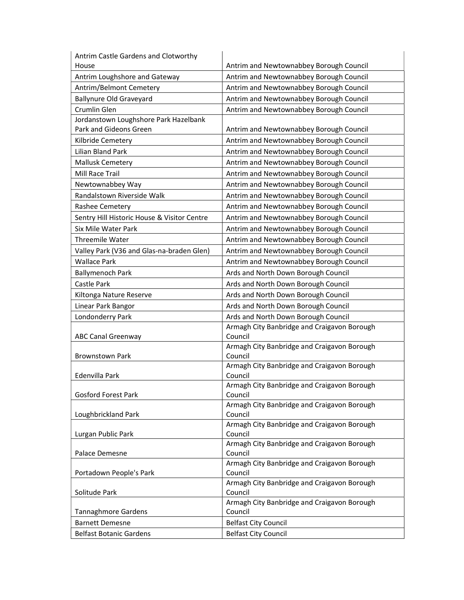| Antrim Castle Gardens and Clotworthy        |                                                        |
|---------------------------------------------|--------------------------------------------------------|
| House                                       | Antrim and Newtownabbey Borough Council                |
| Antrim Loughshore and Gateway               | Antrim and Newtownabbey Borough Council                |
| Antrim/Belmont Cemetery                     | Antrim and Newtownabbey Borough Council                |
| <b>Ballynure Old Graveyard</b>              | Antrim and Newtownabbey Borough Council                |
| Crumlin Glen                                | Antrim and Newtownabbey Borough Council                |
| Jordanstown Loughshore Park Hazelbank       |                                                        |
| Park and Gideons Green                      | Antrim and Newtownabbey Borough Council                |
| Kilbride Cemetery                           | Antrim and Newtownabbey Borough Council                |
| Lilian Bland Park                           | Antrim and Newtownabbey Borough Council                |
| <b>Mallusk Cemetery</b>                     | Antrim and Newtownabbey Borough Council                |
| Mill Race Trail                             | Antrim and Newtownabbey Borough Council                |
| Newtownabbey Way                            | Antrim and Newtownabbey Borough Council                |
| Randalstown Riverside Walk                  | Antrim and Newtownabbey Borough Council                |
| Rashee Cemetery                             | Antrim and Newtownabbey Borough Council                |
| Sentry Hill Historic House & Visitor Centre | Antrim and Newtownabbey Borough Council                |
| Six Mile Water Park                         | Antrim and Newtownabbey Borough Council                |
| <b>Threemile Water</b>                      | Antrim and Newtownabbey Borough Council                |
| Valley Park (V36 and Glas-na-braden Glen)   | Antrim and Newtownabbey Borough Council                |
| <b>Wallace Park</b>                         | Antrim and Newtownabbey Borough Council                |
| <b>Ballymenoch Park</b>                     | Ards and North Down Borough Council                    |
| Castle Park                                 | Ards and North Down Borough Council                    |
| Kiltonga Nature Reserve                     | Ards and North Down Borough Council                    |
| Linear Park Bangor                          | Ards and North Down Borough Council                    |
| Londonderry Park                            | Ards and North Down Borough Council                    |
|                                             | Armagh City Banbridge and Craigavon Borough            |
| <b>ABC Canal Greenway</b>                   | Council                                                |
|                                             | Armagh City Banbridge and Craigavon Borough            |
| <b>Brownstown Park</b>                      | Council                                                |
|                                             | Armagh City Banbridge and Craigavon Borough            |
| Edenvilla Park                              | Council                                                |
|                                             | Armagh City Banbridge and Craigavon Borough            |
| <b>Gosford Forest Park</b>                  | Council                                                |
| Loughbrickland Park                         | Armagh City Banbridge and Craigavon Borough<br>Council |
|                                             | Armagh City Banbridge and Craigavon Borough            |
| Lurgan Public Park                          | Council                                                |
|                                             | Armagh City Banbridge and Craigavon Borough            |
| Palace Demesne                              | Council                                                |
|                                             | Armagh City Banbridge and Craigavon Borough            |
| Portadown People's Park                     | Council                                                |
|                                             | Armagh City Banbridge and Craigavon Borough            |
| Solitude Park                               | Council                                                |
|                                             | Armagh City Banbridge and Craigavon Borough            |
| Tannaghmore Gardens                         | Council                                                |
| <b>Barnett Demesne</b>                      | <b>Belfast City Council</b>                            |
| <b>Belfast Botanic Gardens</b>              | <b>Belfast City Council</b>                            |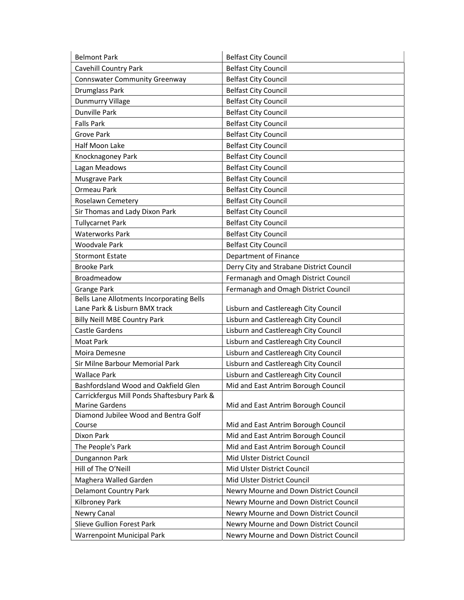| <b>Belmont Park</b>                                             | <b>Belfast City Council</b>                                                      |  |
|-----------------------------------------------------------------|----------------------------------------------------------------------------------|--|
| Cavehill Country Park                                           | <b>Belfast City Council</b>                                                      |  |
| <b>Connswater Community Greenway</b>                            | <b>Belfast City Council</b>                                                      |  |
| Drumglass Park                                                  | <b>Belfast City Council</b>                                                      |  |
| <b>Dunmurry Village</b>                                         | <b>Belfast City Council</b>                                                      |  |
| <b>Dunville Park</b>                                            | <b>Belfast City Council</b>                                                      |  |
| <b>Falls Park</b>                                               | <b>Belfast City Council</b>                                                      |  |
| <b>Grove Park</b>                                               | <b>Belfast City Council</b>                                                      |  |
| Half Moon Lake                                                  | <b>Belfast City Council</b>                                                      |  |
| Knocknagoney Park                                               | <b>Belfast City Council</b>                                                      |  |
| Lagan Meadows                                                   | <b>Belfast City Council</b>                                                      |  |
| Musgrave Park                                                   | <b>Belfast City Council</b>                                                      |  |
| Ormeau Park                                                     | <b>Belfast City Council</b>                                                      |  |
| Roselawn Cemetery                                               | <b>Belfast City Council</b>                                                      |  |
| Sir Thomas and Lady Dixon Park                                  | <b>Belfast City Council</b>                                                      |  |
| <b>Tullycarnet Park</b>                                         | <b>Belfast City Council</b>                                                      |  |
| <b>Waterworks Park</b>                                          | <b>Belfast City Council</b>                                                      |  |
| <b>Woodvale Park</b>                                            | <b>Belfast City Council</b>                                                      |  |
| <b>Stormont Estate</b>                                          | Department of Finance                                                            |  |
| <b>Brooke Park</b>                                              | Derry City and Strabane District Council                                         |  |
| <b>Broadmeadow</b>                                              | Fermanagh and Omagh District Council                                             |  |
| Grange Park                                                     | Fermanagh and Omagh District Council                                             |  |
| Bells Lane Allotments Incorporating Bells                       |                                                                                  |  |
| Lane Park & Lisburn BMX track                                   | Lisburn and Castlereagh City Council                                             |  |
| <b>Billy Neill MBE Country Park</b>                             | Lisburn and Castlereagh City Council                                             |  |
| <b>Castle Gardens</b>                                           | Lisburn and Castlereagh City Council                                             |  |
| Moat Park                                                       | Lisburn and Castlereagh City Council                                             |  |
| Moira Demesne                                                   | Lisburn and Castlereagh City Council                                             |  |
| Sir Milne Barbour Memorial Park                                 | Lisburn and Castlereagh City Council                                             |  |
| <b>Wallace Park</b>                                             | Lisburn and Castlereagh City Council                                             |  |
| Bashfordsland Wood and Oakfield Glen                            | Mid and East Antrim Borough Council                                              |  |
| Carrickfergus Mill Ponds Shaftesbury Park &                     |                                                                                  |  |
| <b>Marine Gardens</b>                                           | Mid and East Antrim Borough Council                                              |  |
| Diamond Jubilee Wood and Bentra Golf<br>Course                  | Mid and East Antrim Borough Council                                              |  |
| Dixon Park                                                      | Mid and East Antrim Borough Council                                              |  |
| The People's Park                                               | Mid and East Antrim Borough Council                                              |  |
| Dungannon Park                                                  | Mid Ulster District Council                                                      |  |
| Hill of The O'Neill                                             | Mid Ulster District Council                                                      |  |
| Maghera Walled Garden                                           | Mid Ulster District Council                                                      |  |
| <b>Delamont Country Park</b>                                    | Newry Mourne and Down District Council                                           |  |
| Kilbroney Park                                                  | Newry Mourne and Down District Council                                           |  |
| Newry Canal                                                     | Newry Mourne and Down District Council                                           |  |
|                                                                 |                                                                                  |  |
|                                                                 |                                                                                  |  |
| Slieve Gullion Forest Park<br><b>Warrenpoint Municipal Park</b> | Newry Mourne and Down District Council<br>Newry Mourne and Down District Council |  |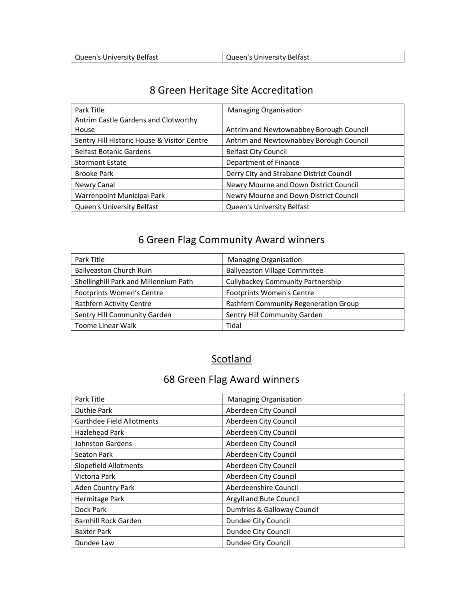| Park Title                                  | <b>Managing Organisation</b>             |
|---------------------------------------------|------------------------------------------|
| Antrim Castle Gardens and Clotworthy        |                                          |
| House                                       | Antrim and Newtownabbey Borough Council  |
| Sentry Hill Historic House & Visitor Centre | Antrim and Newtownabbey Borough Council  |
| <b>Belfast Botanic Gardens</b>              | <b>Belfast City Council</b>              |
| <b>Stormont Estate</b>                      | Department of Finance                    |
| Brooke Park                                 | Derry City and Strabane District Council |
| Newry Canal                                 | Newry Mourne and Down District Council   |
| <b>Warrenpoint Municipal Park</b>           | Newry Mourne and Down District Council   |
| Queen's University Belfast                  | Queen's University Belfast               |

#### 6 Green Flag Community Award winners

| Park Title                            | <b>Managing Organisation</b>             |
|---------------------------------------|------------------------------------------|
| <b>Ballyeaston Church Ruin</b>        | <b>Ballyeaston Village Committee</b>     |
| Shellinghill Park and Millennium Path | <b>Cullybackey Community Partnership</b> |
| Footprints Women's Centre             | <b>Footprints Women's Centre</b>         |
| <b>Rathfern Activity Centre</b>       | Rathfern Community Regeneration Group    |
| Sentry Hill Community Garden          | Sentry Hill Community Garden             |
| Toome Linear Walk                     | Tidal                                    |

#### **Scotland**

| Park Title                | <b>Managing Organisation</b> |
|---------------------------|------------------------------|
| <b>Duthie Park</b>        | Aberdeen City Council        |
| Garthdee Field Allotments | Aberdeen City Council        |
| <b>Hazlehead Park</b>     | Aberdeen City Council        |
| <b>Johnston Gardens</b>   | Aberdeen City Council        |
| Seaton Park               | Aberdeen City Council        |
| Slopefield Allotments     | Aberdeen City Council        |
| Victoria Park             | Aberdeen City Council        |
| <b>Aden Country Park</b>  | Aberdeenshire Council        |
| Hermitage Park            | Argyll and Bute Council      |
| Dock Park                 | Dumfries & Galloway Council  |
| Barnhill Rock Garden      | Dundee City Council          |
| <b>Baxter Park</b>        | Dundee City Council          |
| Dundee Law                | Dundee City Council          |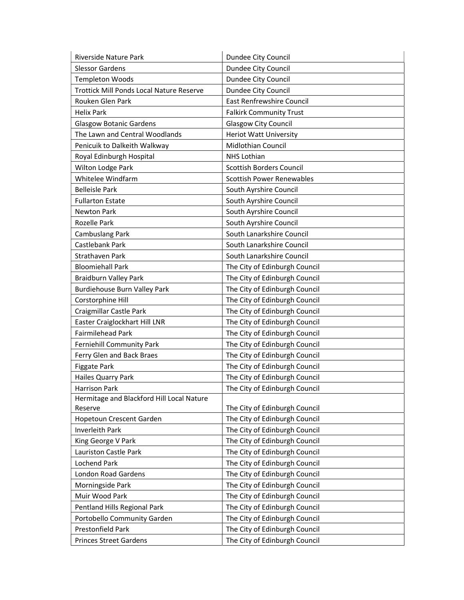| Riverside Nature Park                     | Dundee City Council              |
|-------------------------------------------|----------------------------------|
| <b>Slessor Gardens</b>                    | Dundee City Council              |
| <b>Templeton Woods</b>                    | Dundee City Council              |
| Trottick Mill Ponds Local Nature Reserve  | Dundee City Council              |
| Rouken Glen Park                          | <b>East Renfrewshire Council</b> |
| <b>Helix Park</b>                         | <b>Falkirk Community Trust</b>   |
| <b>Glasgow Botanic Gardens</b>            | <b>Glasgow City Council</b>      |
| The Lawn and Central Woodlands            | <b>Heriot Watt University</b>    |
| Penicuik to Dalkeith Walkway              | Midlothian Council               |
| Royal Edinburgh Hospital                  | <b>NHS Lothian</b>               |
| Wilton Lodge Park                         | <b>Scottish Borders Council</b>  |
| Whitelee Windfarm                         | <b>Scottish Power Renewables</b> |
| <b>Belleisle Park</b>                     | South Ayrshire Council           |
| <b>Fullarton Estate</b>                   | South Ayrshire Council           |
| <b>Newton Park</b>                        | South Ayrshire Council           |
| <b>Rozelle Park</b>                       | South Ayrshire Council           |
| Cambuslang Park                           | South Lanarkshire Council        |
| Castlebank Park                           | South Lanarkshire Council        |
| Strathaven Park                           | South Lanarkshire Council        |
| <b>Bloomiehall Park</b>                   | The City of Edinburgh Council    |
| Braidburn Valley Park                     | The City of Edinburgh Council    |
| Burdiehouse Burn Valley Park              | The City of Edinburgh Council    |
| Corstorphine Hill                         | The City of Edinburgh Council    |
| Craigmillar Castle Park                   | The City of Edinburgh Council    |
| Easter Craiglockhart Hill LNR             | The City of Edinburgh Council    |
| <b>Fairmilehead Park</b>                  | The City of Edinburgh Council    |
| Ferniehill Community Park                 | The City of Edinburgh Council    |
| Ferry Glen and Back Braes                 | The City of Edinburgh Council    |
| Figgate Park                              | The City of Edinburgh Council    |
| Hailes Quarry Park                        | The City of Edinburgh Council    |
| <b>Harrison Park</b>                      | The City of Edinburgh Council    |
| Hermitage and Blackford Hill Local Nature |                                  |
| Reserve                                   | The City of Edinburgh Council    |
| Hopetoun Crescent Garden                  | The City of Edinburgh Council    |
| Inverleith Park                           | The City of Edinburgh Council    |
| King George V Park                        | The City of Edinburgh Council    |
| Lauriston Castle Park                     | The City of Edinburgh Council    |
| <b>Lochend Park</b>                       | The City of Edinburgh Council    |
| <b>London Road Gardens</b>                | The City of Edinburgh Council    |
| Morningside Park                          | The City of Edinburgh Council    |
| Muir Wood Park                            | The City of Edinburgh Council    |
| Pentland Hills Regional Park              | The City of Edinburgh Council    |
| Portobello Community Garden               | The City of Edinburgh Council    |
| Prestonfield Park                         | The City of Edinburgh Council    |
| <b>Princes Street Gardens</b>             | The City of Edinburgh Council    |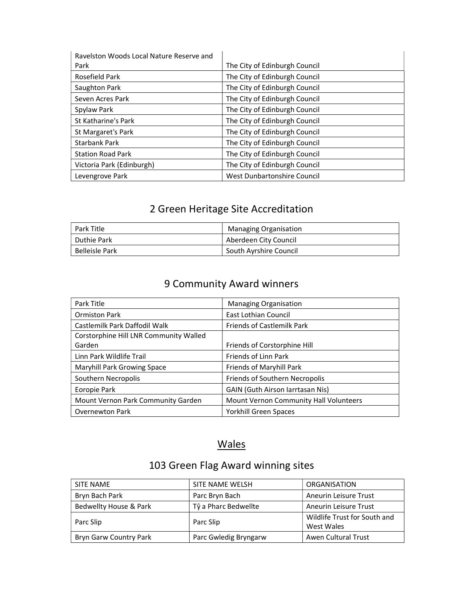| Ravelston Woods Local Nature Reserve and |                               |
|------------------------------------------|-------------------------------|
| Park                                     | The City of Edinburgh Council |
| Rosefield Park                           | The City of Edinburgh Council |
| Saughton Park                            | The City of Edinburgh Council |
| Seven Acres Park                         | The City of Edinburgh Council |
| Spylaw Park                              | The City of Edinburgh Council |
| St Katharine's Park                      | The City of Edinburgh Council |
| St Margaret's Park                       | The City of Edinburgh Council |
| <b>Starbank Park</b>                     | The City of Edinburgh Council |
| <b>Station Road Park</b>                 | The City of Edinburgh Council |
| Victoria Park (Edinburgh)                | The City of Edinburgh Council |
| Levengrove Park                          | West Dunbartonshire Council   |

| Park Title     | <b>Managing Organisation</b> |
|----------------|------------------------------|
| 'Duthie Park   | Aberdeen City Council        |
| Belleisle Park | South Ayrshire Council       |

#### 9 Community Award winners

| Park Title                             | <b>Managing Organisation</b>            |
|----------------------------------------|-----------------------------------------|
| <b>Ormiston Park</b>                   | East Lothian Council                    |
| Castlemilk Park Daffodil Walk          | <b>Friends of Castlemilk Park</b>       |
| Corstorphine Hill LNR Community Walled |                                         |
| Garden                                 | Friends of Corstorphine Hill            |
| Linn Park Wildlife Trail               | Friends of Linn Park                    |
| Maryhill Park Growing Space            | Friends of Maryhill Park                |
| Southern Necropolis                    | Friends of Southern Necropolis          |
| Eoropie Park                           | <b>GAIN (Guth Airson Iarrtasan Nis)</b> |
| Mount Vernon Park Community Garden     | Mount Vernon Community Hall Volunteers  |
| <b>Overnewton Park</b>                 | Yorkhill Green Spaces                   |

#### Wales

# 103 Green Flag Award winning sites

| SITE NAME              | SITE NAME WELSH       | <b>ORGANISATION</b>          |
|------------------------|-----------------------|------------------------------|
| Bryn Bach Park         | Parc Bryn Bach        | <b>Aneurin Leisure Trust</b> |
| Bedwellty House & Park | Tŷ a Pharc Bedwellte  | Aneurin Leisure Trust        |
|                        |                       | Wildlife Trust for South and |
| Parc Slip              | Parc Slip             | West Wales                   |
| Bryn Garw Country Park | Parc Gwledig Bryngarw | Awen Cultural Trust          |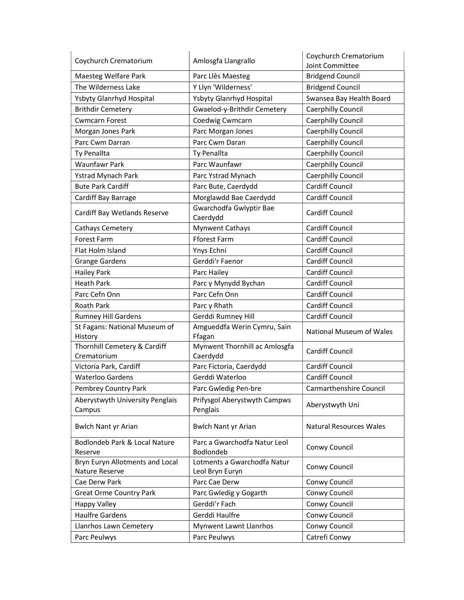| Coychurch Crematorium                             | Amlosgfa Llangrallo                               | Coychurch Crematorium<br>Joint Committee |
|---------------------------------------------------|---------------------------------------------------|------------------------------------------|
| Maesteg Welfare Park                              | Parc Llês Maesteg                                 | <b>Bridgend Council</b>                  |
| The Wilderness Lake                               | Y Llyn 'Wilderness'                               | <b>Bridgend Council</b>                  |
| Ysbyty Glanrhyd Hospital                          | Ysbyty Glanrhyd Hospital                          | Swansea Bay Health Board                 |
| <b>Brithdir Cemetery</b>                          | Gwaelod-y-Brithdir Cemetery                       | Caerphilly Council                       |
| <b>Cwmcarn Forest</b>                             | Coedwig Cwmcarn                                   | Caerphilly Council                       |
| Morgan Jones Park                                 | Parc Morgan Jones                                 | Caerphilly Council                       |
| Parc Cwm Darran                                   | Parc Cwm Daran                                    | Caerphilly Council                       |
| Ty Penallta                                       | Ty Penallta                                       | Caerphilly Council                       |
| <b>Waunfawr Park</b>                              | Parc Waunfawr                                     | Caerphilly Council                       |
| <b>Ystrad Mynach Park</b>                         | Parc Ystrad Mynach                                | Caerphilly Council                       |
|                                                   |                                                   | <b>Cardiff Council</b>                   |
| <b>Bute Park Cardiff</b>                          | Parc Bute, Caerdydd                               |                                          |
| Cardiff Bay Barrage                               | Morglawdd Bae Caerdydd<br>Gwarchodfa Gwlyptir Bae | <b>Cardiff Council</b>                   |
| Cardiff Bay Wetlands Reserve                      | Caerdydd                                          | <b>Cardiff Council</b>                   |
| Cathays Cemetery                                  | <b>Mynwent Cathays</b>                            | <b>Cardiff Council</b>                   |
| <b>Forest Farm</b>                                | <b>Fforest Farm</b>                               | Cardiff Council                          |
| Flat Holm Island                                  | Ynys Echni                                        | <b>Cardiff Council</b>                   |
| <b>Grange Gardens</b>                             | Gerddi'r Faenor                                   | <b>Cardiff Council</b>                   |
| Hailey Park                                       | Parc Hailey                                       | <b>Cardiff Council</b>                   |
| <b>Heath Park</b>                                 | Parc y Mynydd Bychan                              | <b>Cardiff Council</b>                   |
| Parc Cefn Onn                                     | Parc Cefn Onn                                     | Cardiff Council                          |
| <b>Roath Park</b>                                 | Parc y Rhath                                      | <b>Cardiff Council</b>                   |
| <b>Rumney Hill Gardens</b>                        | Gerddi Rumney Hill                                | <b>Cardiff Council</b>                   |
| St Fagans: National Museum of<br>History          | Amgueddfa Werin Cymru, Sain<br>Ffagan             | National Museum of Wales                 |
| Thornhill Cemetery & Cardiff<br>Crematorium       | Mynwent Thornhill ac Amlosgfa<br>Caerdydd         | <b>Cardiff Council</b>                   |
| Victoria Park, Cardiff                            | Parc Fictoria, Caerdydd                           | <b>Cardiff Council</b>                   |
| <b>Waterloo Gardens</b>                           | Gerddi Waterloo                                   | <b>Cardiff Council</b>                   |
| Pembrey Country Park                              | Parc Gwledig Pen-bre                              | <b>Carmarthenshire Council</b>           |
| Aberystwyth University Penglais<br>Campus         | Prifysgol Aberystwyth Campws<br>Penglais          | Aberystwyth Uni                          |
| <b>Bwlch Nant yr Arian</b>                        | <b>Bwlch Nant yr Arian</b>                        | <b>Natural Resources Wales</b>           |
| Bodlondeb Park & Local Nature<br>Reserve          | Parc a Gwarchodfa Natur Leol<br>Bodlondeb         | Conwy Council                            |
| Bryn Euryn Allotments and Local<br>Nature Reserve | Lotments a Gwarchodfa Natur<br>Leol Bryn Euryn    | Conwy Council                            |
| Cae Derw Park                                     | Parc Cae Derw                                     | Conwy Council                            |
| <b>Great Orme Country Park</b>                    | Parc Gwledig y Gogarth                            | Conwy Council                            |
| Happy Valley                                      | Gerddi'r Fach                                     | Conwy Council                            |
| <b>Haulfre Gardens</b>                            | Gerddi Haulfre                                    | Conwy Council                            |
| Llanrhos Lawn Cemetery                            | Mynwent Lawnt Llanrhos                            | Conwy Council                            |
| Parc Peulwys                                      | Parc Peulwys                                      | Catrefi Conwy                            |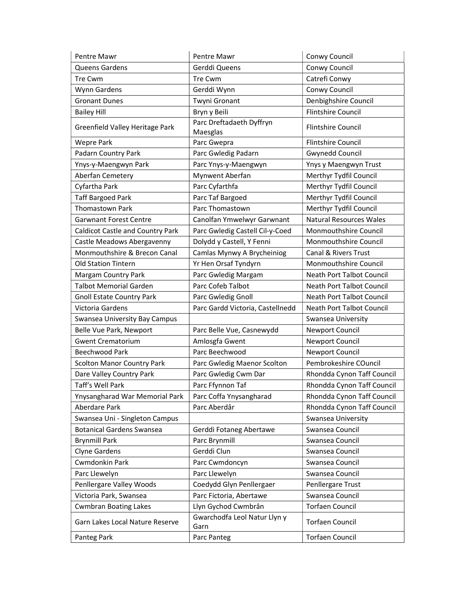| Pentre Mawr                             | Pentre Mawr                          | Conwy Council                  |
|-----------------------------------------|--------------------------------------|--------------------------------|
| Queens Gardens                          | Gerddi Queens                        | Conwy Council                  |
| Tre Cwm                                 | Tre Cwm                              | Catrefi Conwy                  |
| Wynn Gardens                            | Gerddi Wynn                          | Conwy Council                  |
| <b>Gronant Dunes</b>                    | Twyni Gronant                        | Denbighshire Council           |
| <b>Bailey Hill</b>                      | Bryn y Beili                         | <b>Flintshire Council</b>      |
| Greenfield Valley Heritage Park         | Parc Dreftadaeth Dyffryn<br>Maesglas | <b>Flintshire Council</b>      |
| <b>Wepre Park</b>                       | Parc Gwepra                          | <b>Flintshire Council</b>      |
| Padarn Country Park                     | Parc Gwledig Padarn                  | <b>Gwynedd Council</b>         |
| Ynys-y-Maengwyn Park                    | Parc Ynys-y-Maengwyn                 | Ynys y Maengwyn Trust          |
| Aberfan Cemetery                        | Mynwent Aberfan                      | Merthyr Tydfil Council         |
| Cyfartha Park                           | Parc Cyfarthfa                       | Merthyr Tydfil Council         |
| <b>Taff Bargoed Park</b>                | Parc Taf Bargoed                     | Merthyr Tydfil Council         |
| <b>Thomastown Park</b>                  | Parc Thomastown                      | Merthyr Tydfil Council         |
| <b>Garwnant Forest Centre</b>           | Canolfan Ymwelwyr Garwnant           | <b>Natural Resources Wales</b> |
| <b>Caldicot Castle and Country Park</b> | Parc Gwledig Castell Cil-y-Coed      | Monmouthshire Council          |
| Castle Meadows Abergavenny              | Dolydd y Castell, Y Fenni            | Monmouthshire Council          |
| Monmouthshire & Brecon Canal            | Camlas Mynwy A Brycheiniog           | Canal & Rivers Trust           |
| Old Station Tintern                     | Yr Hen Orsaf Tyndyrn                 | Monmouthshire Council          |
| Margam Country Park                     | Parc Gwledig Margam                  | Neath Port Talbot Council      |
| <b>Talbot Memorial Garden</b>           | Parc Cofeb Talbot                    | Neath Port Talbot Council      |
| <b>Gnoll Estate Country Park</b>        | Parc Gwledig Gnoll                   | Neath Port Talbot Council      |
| Victoria Gardens                        | Parc Gardd Victoria, Castellnedd     | Neath Port Talbot Council      |
| Swansea University Bay Campus           |                                      | Swansea University             |
| Belle Vue Park, Newport                 | Parc Belle Vue, Casnewydd            | Newport Council                |
| <b>Gwent Crematorium</b>                | Amlosgfa Gwent                       | Newport Council                |
| Beechwood Park                          | Parc Beechwood                       | Newport Council                |
| <b>Scolton Manor Country Park</b>       | Parc Gwledig Maenor Scolton          | Pembrokeshire COuncil          |
| Dare Valley Country Park                | Parc Gwledig Cwm Dar                 | Rhondda Cynon Taff Council     |
| Taff's Well Park                        | Parc Ffynnon Taf                     | Rhondda Cynon Taff Council     |
| Ynysangharad War Memorial Park          | Parc Coffa Ynysangharad              | Rhondda Cynon Taff Council     |
| <b>Aberdare Park</b>                    | Parc Aberdâr                         | Rhondda Cynon Taff Council     |
| Swansea Uni - Singleton Campus          |                                      | Swansea University             |
| <b>Botanical Gardens Swansea</b>        | Gerddi Fotaneg Abertawe              | Swansea Council                |
| <b>Brynmill Park</b>                    | Parc Brynmill                        | Swansea Council                |
| <b>Clyne Gardens</b>                    | Gerddi Clun                          | Swansea Council                |
| Cwmdonkin Park                          | Parc Cwmdoncyn                       | Swansea Council                |
| Parc Llewelyn                           | Parc Llewelyn                        | Swansea Council                |
| Penllergare Valley Woods                | Coedydd Glyn Penllergaer             | Penllergare Trust              |
| Victoria Park, Swansea                  | Parc Fictoria, Abertawe              | Swansea Council                |
| <b>Cwmbran Boating Lakes</b>            | Llyn Gychod Cwmbrân                  | <b>Torfaen Council</b>         |
| Garn Lakes Local Nature Reserve         | Gwarchodfa Leol Natur Llyn y<br>Garn | <b>Torfaen Council</b>         |
| Panteg Park                             | Parc Panteg                          | <b>Torfaen Council</b>         |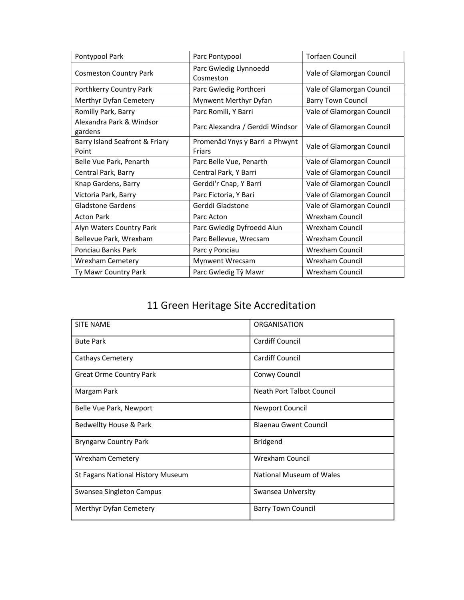| Pontypool Park                          | Parc Pontypool                           | <b>Torfaen Council</b>    |
|-----------------------------------------|------------------------------------------|---------------------------|
| <b>Cosmeston Country Park</b>           | Parc Gwledig Llynnoedd<br>Cosmeston      | Vale of Glamorgan Council |
| Porthkerry Country Park                 | Parc Gwledig Porthceri                   | Vale of Glamorgan Council |
| Merthyr Dyfan Cemetery                  | Mynwent Merthyr Dyfan                    | <b>Barry Town Council</b> |
| Romilly Park, Barry                     | Parc Romili, Y Barri                     | Vale of Glamorgan Council |
| Alexandra Park & Windsor<br>gardens     | Parc Alexandra / Gerddi Windsor          | Vale of Glamorgan Council |
| Barry Island Seafront & Friary<br>Point | Promenâd Ynys y Barri a Phwynt<br>Friars | Vale of Glamorgan Council |
| Belle Vue Park, Penarth                 | Parc Belle Vue, Penarth                  | Vale of Glamorgan Council |
| Central Park, Barry                     | Central Park, Y Barri                    | Vale of Glamorgan Council |
| Knap Gardens, Barry                     | Gerddi'r Cnap, Y Barri                   | Vale of Glamorgan Council |
| Victoria Park, Barry                    | Parc Fictoria, Y Bari                    | Vale of Glamorgan Council |
| <b>Gladstone Gardens</b>                | Gerddi Gladstone                         | Vale of Glamorgan Council |
| <b>Acton Park</b>                       | Parc Acton                               | Wrexham Council           |
| Alyn Waters Country Park                | Parc Gwledig Dyfroedd Alun               | Wrexham Council           |
| Bellevue Park, Wrexham                  | Parc Bellevue, Wrecsam                   | <b>Wrexham Council</b>    |
| Ponciau Banks Park                      | Parc y Ponciau                           | Wrexham Council           |
| <b>Wrexham Cemetery</b>                 | Mynwent Wrecsam                          | Wrexham Council           |
| Ty Mawr Country Park                    | Parc Gwledig Tŷ Mawr                     | <b>Wrexham Council</b>    |

| <b>SITE NAME</b>                  | ORGANISATION                     |
|-----------------------------------|----------------------------------|
| <b>Bute Park</b>                  | <b>Cardiff Council</b>           |
| Cathays Cemetery                  | <b>Cardiff Council</b>           |
| <b>Great Orme Country Park</b>    | Conwy Council                    |
| Margam Park                       | <b>Neath Port Talbot Council</b> |
| Belle Vue Park, Newport           | Newport Council                  |
| Bedwellty House & Park            | <b>Blaenau Gwent Council</b>     |
| <b>Bryngarw Country Park</b>      | <b>Bridgend</b>                  |
| <b>Wrexham Cemetery</b>           | <b>Wrexham Council</b>           |
| St Fagans National History Museum | National Museum of Wales         |
| Swansea Singleton Campus          | Swansea University               |
| Merthyr Dyfan Cemetery            | <b>Barry Town Council</b>        |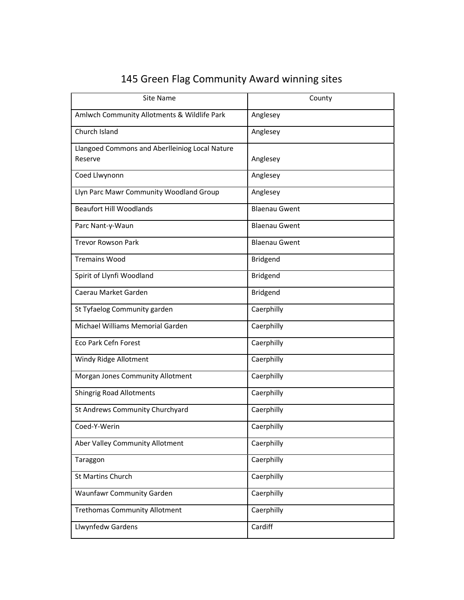| <b>Site Name</b>                               | County               |
|------------------------------------------------|----------------------|
| Amlwch Community Allotments & Wildlife Park    | Anglesey             |
| Church Island                                  | Anglesey             |
| Llangoed Commons and Aberlleiniog Local Nature |                      |
| Reserve                                        | Anglesey             |
| Coed Llwynonn                                  | Anglesey             |
| Llyn Parc Mawr Community Woodland Group        | Anglesey             |
| <b>Beaufort Hill Woodlands</b>                 | <b>Blaenau Gwent</b> |
| Parc Nant-y-Waun                               | <b>Blaenau Gwent</b> |
| <b>Trevor Rowson Park</b>                      | <b>Blaenau Gwent</b> |
| <b>Tremains Wood</b>                           | Bridgend             |
| Spirit of Llynfi Woodland                      | Bridgend             |
| Caerau Market Garden                           | <b>Bridgend</b>      |
| St Tyfaelog Community garden                   | Caerphilly           |
| Michael Williams Memorial Garden               | Caerphilly           |
| <b>Eco Park Cefn Forest</b>                    | Caerphilly           |
| Windy Ridge Allotment                          | Caerphilly           |
| Morgan Jones Community Allotment               | Caerphilly           |
| <b>Shingrig Road Allotments</b>                | Caerphilly           |
| St Andrews Community Churchyard                | Caerphilly           |
| Coed-Y-Werin                                   | Caerphilly           |
| Aber Valley Community Allotment                | Caerphilly           |
| Taraggon                                       | Caerphilly           |
| <b>St Martins Church</b>                       | Caerphilly           |
| <b>Waunfawr Community Garden</b>               | Caerphilly           |
| <b>Trethomas Community Allotment</b>           | Caerphilly           |
| Llwynfedw Gardens                              | Cardiff              |

# 145 Green Flag Community Award winning sites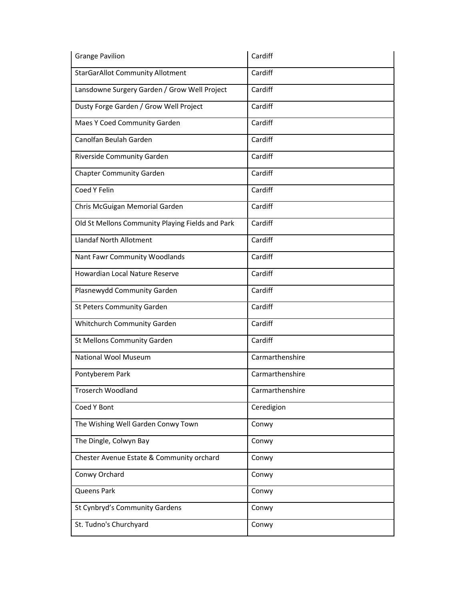| <b>Grange Pavilion</b>                           | Cardiff         |
|--------------------------------------------------|-----------------|
| <b>StarGarAllot Community Allotment</b>          | Cardiff         |
| Lansdowne Surgery Garden / Grow Well Project     | Cardiff         |
| Dusty Forge Garden / Grow Well Project           | Cardiff         |
| Maes Y Coed Community Garden                     | Cardiff         |
| Canolfan Beulah Garden                           | Cardiff         |
| Riverside Community Garden                       | Cardiff         |
| <b>Chapter Community Garden</b>                  | Cardiff         |
| Coed Y Felin                                     | Cardiff         |
| Chris McGuigan Memorial Garden                   | Cardiff         |
| Old St Mellons Community Playing Fields and Park | Cardiff         |
| <b>Llandaf North Allotment</b>                   | Cardiff         |
| Nant Fawr Community Woodlands                    | Cardiff         |
| Howardian Local Nature Reserve                   | Cardiff         |
| Plasnewydd Community Garden                      | Cardiff         |
| St Peters Community Garden                       | Cardiff         |
| Whitchurch Community Garden                      | Cardiff         |
| St Mellons Community Garden                      | Cardiff         |
| <b>National Wool Museum</b>                      | Carmarthenshire |
| Pontyberem Park                                  | Carmarthenshire |
| Troserch Woodland                                | Carmarthenshire |
| Coed Y Bont                                      | Ceredigion      |
| The Wishing Well Garden Conwy Town               | Conwy           |
| The Dingle, Colwyn Bay                           | Conwy           |
| Chester Avenue Estate & Community orchard        | Conwy           |
| Conwy Orchard                                    | Conwy           |
| <b>Queens Park</b>                               | Conwy           |
| St Cynbryd's Community Gardens                   | Conwy           |
| St. Tudno's Churchyard                           | Conwy           |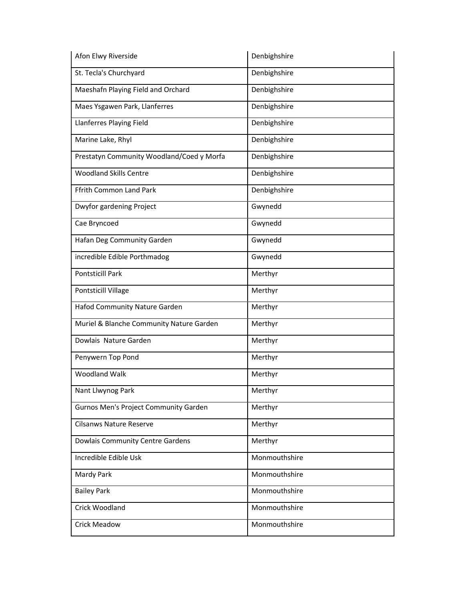| Afon Elwy Riverside                       | Denbighshire  |
|-------------------------------------------|---------------|
| St. Tecla's Churchyard                    | Denbighshire  |
| Maeshafn Playing Field and Orchard        | Denbighshire  |
| Maes Ysgawen Park, Llanferres             | Denbighshire  |
| Llanferres Playing Field                  | Denbighshire  |
| Marine Lake, Rhyl                         | Denbighshire  |
| Prestatyn Community Woodland/Coed y Morfa | Denbighshire  |
| <b>Woodland Skills Centre</b>             | Denbighshire  |
| Ffrith Common Land Park                   | Denbighshire  |
| Dwyfor gardening Project                  | Gwynedd       |
| Cae Bryncoed                              | Gwynedd       |
| Hafan Deg Community Garden                | Gwynedd       |
| incredible Edible Porthmadog              | Gwynedd       |
| <b>Pontsticill Park</b>                   | Merthyr       |
| Pontsticill Village                       | Merthyr       |
| Hafod Community Nature Garden             | Merthyr       |
| Muriel & Blanche Community Nature Garden  | Merthyr       |
| Dowlais Nature Garden                     | Merthyr       |
| Penywern Top Pond                         | Merthyr       |
| <b>Woodland Walk</b>                      | Merthyr       |
| Nant Llwynog Park                         | Merthyr       |
| Gurnos Men's Project Community Garden     | Merthyr       |
| <b>Cilsanws Nature Reserve</b>            | Merthyr       |
| Dowlais Community Centre Gardens          | Merthyr       |
| Incredible Edible Usk                     | Monmouthshire |
| Mardy Park                                | Monmouthshire |
| <b>Bailey Park</b>                        | Monmouthshire |
| Crick Woodland                            | Monmouthshire |
| <b>Crick Meadow</b>                       | Monmouthshire |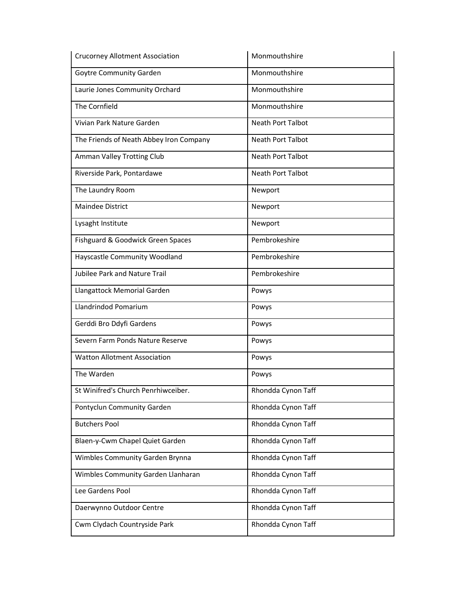| <b>Crucorney Allotment Association</b>  | Monmouthshire            |
|-----------------------------------------|--------------------------|
| Goytre Community Garden                 | Monmouthshire            |
| Laurie Jones Community Orchard          | Monmouthshire            |
| The Cornfield                           | Monmouthshire            |
| Vivian Park Nature Garden               | <b>Neath Port Talbot</b> |
| The Friends of Neath Abbey Iron Company | <b>Neath Port Talbot</b> |
| Amman Valley Trotting Club              | <b>Neath Port Talbot</b> |
| Riverside Park, Pontardawe              | Neath Port Talbot        |
| The Laundry Room                        | Newport                  |
| <b>Maindee District</b>                 | Newport                  |
| Lysaght Institute                       | Newport                  |
| Fishguard & Goodwick Green Spaces       | Pembrokeshire            |
| Hayscastle Community Woodland           | Pembrokeshire            |
| Jubilee Park and Nature Trail           | Pembrokeshire            |
| Llangattock Memorial Garden             | Powys                    |
| Llandrindod Pomarium                    | Powys                    |
| Gerddi Bro Ddyfi Gardens                | Powys                    |
| Severn Farm Ponds Nature Reserve        | Powys                    |
| <b>Watton Allotment Association</b>     | Powys                    |
| The Warden                              | Powys                    |
| St Winifred's Church Penrhiwceiber.     | Rhondda Cynon Taff       |
| Pontyclun Community Garden              | Rhondda Cynon Taff       |
| <b>Butchers Pool</b>                    | Rhondda Cynon Taff       |
| Blaen-y-Cwm Chapel Quiet Garden         | Rhondda Cynon Taff       |
| Wimbles Community Garden Brynna         | Rhondda Cynon Taff       |
| Wimbles Community Garden Llanharan      | Rhondda Cynon Taff       |
| Lee Gardens Pool                        | Rhondda Cynon Taff       |
| Daerwynno Outdoor Centre                | Rhondda Cynon Taff       |
| Cwm Clydach Countryside Park            | Rhondda Cynon Taff       |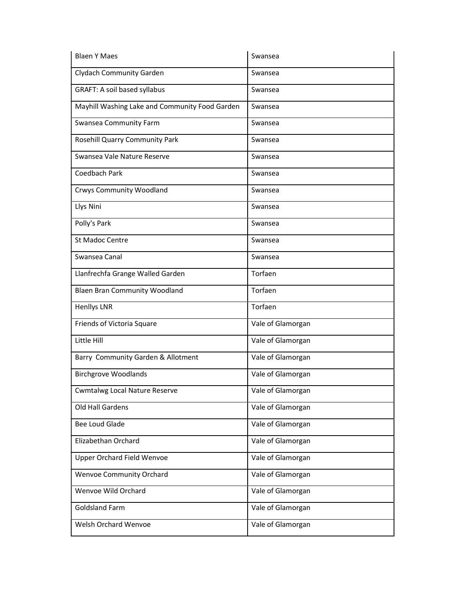| <b>Blaen Y Maes</b>                            | Swansea           |
|------------------------------------------------|-------------------|
| <b>Clydach Community Garden</b>                | Swansea           |
| <b>GRAFT: A soil based syllabus</b>            | Swansea           |
| Mayhill Washing Lake and Community Food Garden | Swansea           |
| <b>Swansea Community Farm</b>                  | Swansea           |
| Rosehill Quarry Community Park                 | Swansea           |
| Swansea Vale Nature Reserve                    | Swansea           |
| Coedbach Park                                  | Swansea           |
| <b>Crwys Community Woodland</b>                | Swansea           |
| Llys Nini                                      | Swansea           |
| Polly's Park                                   | Swansea           |
| <b>St Madoc Centre</b>                         | Swansea           |
| Swansea Canal                                  | Swansea           |
| Llanfrechfa Grange Walled Garden               | Torfaen           |
| <b>Blaen Bran Community Woodland</b>           | Torfaen           |
| <b>Henllys LNR</b>                             | Torfaen           |
| Friends of Victoria Square                     | Vale of Glamorgan |
| Little Hill                                    | Vale of Glamorgan |
| Barry Community Garden & Allotment             | Vale of Glamorgan |
| <b>Birchgrove Woodlands</b>                    | Vale of Glamorgan |
| <b>Cwmtalwg Local Nature Reserve</b>           | Vale of Glamorgan |
| Old Hall Gardens                               | Vale of Glamorgan |
| <b>Bee Loud Glade</b>                          | Vale of Glamorgan |
| Elizabethan Orchard                            | Vale of Glamorgan |
| <b>Upper Orchard Field Wenvoe</b>              | Vale of Glamorgan |
| <b>Wenvoe Community Orchard</b>                | Vale of Glamorgan |
| Wenvoe Wild Orchard                            | Vale of Glamorgan |
| <b>Goldsland Farm</b>                          | Vale of Glamorgan |
| Welsh Orchard Wenvoe                           | Vale of Glamorgan |